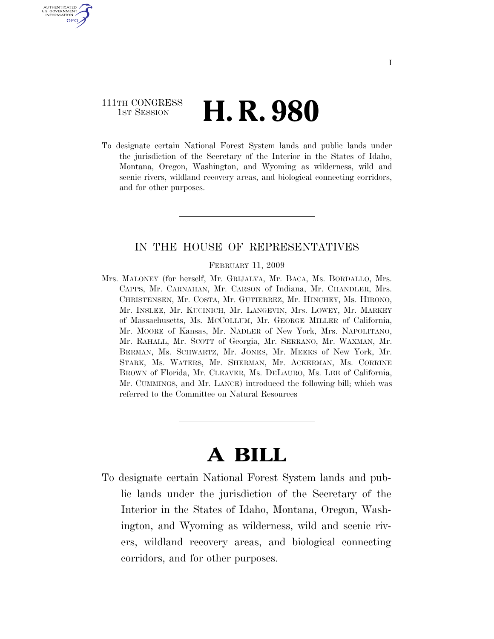### 111TH CONGRESS **1st Session H. R. 980**

U.S. GOVERNMENT **GPO** 

> To designate certain National Forest System lands and public lands under the jurisdiction of the Secretary of the Interior in the States of Idaho, Montana, Oregon, Washington, and Wyoming as wilderness, wild and scenic rivers, wildland recovery areas, and biological connecting corridors, and for other purposes.

#### IN THE HOUSE OF REPRESENTATIVES

#### FEBRUARY 11, 2009

Mrs. MALONEY (for herself, Mr. GRIJALVA, Mr. BACA, Ms. BORDALLO, Mrs. CAPPS, Mr. CARNAHAN, Mr. CARSON of Indiana, Mr. CHANDLER, Mrs. CHRISTENSEN, Mr. COSTA, Mr. GUTIERREZ, Mr. HINCHEY, Ms. HIRONO, Mr. INSLEE, Mr. KUCINICH, Mr. LANGEVIN, Mrs. LOWEY, Mr. MARKEY of Massachusetts, Ms. MCCOLLUM, Mr. GEORGE MILLER of California, Mr. MOORE of Kansas, Mr. NADLER of New York, Mrs. NAPOLITANO, Mr. RAHALL, Mr. SCOTT of Georgia, Mr. SERRANO, Mr. WAXMAN, Mr. BERMAN, Ms. SCHWARTZ, Mr. JONES, Mr. MEEKS of New York, Mr. STARK, Ms. WATERS, Mr. SHERMAN, Mr. ACKERMAN, Ms. CORRINE BROWN of Florida, Mr. CLEAVER, Ms. DELAURO, Ms. LEE of California, Mr. CUMMINGS, and Mr. LANCE) introduced the following bill; which was referred to the Committee on Natural Resources

## **A BILL**

To designate certain National Forest System lands and public lands under the jurisdiction of the Secretary of the Interior in the States of Idaho, Montana, Oregon, Washington, and Wyoming as wilderness, wild and scenic rivers, wildland recovery areas, and biological connecting corridors, and for other purposes.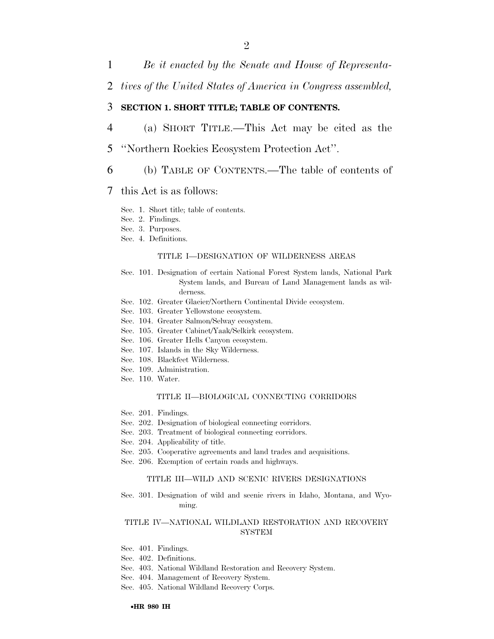- 1 *Be it enacted by the Senate and House of Representa-*
- 2 *tives of the United States of America in Congress assembled,*

#### 3 **SECTION 1. SHORT TITLE; TABLE OF CONTENTS.**

- 4 (a) SHORT TITLE.—This Act may be cited as the
- 5 ''Northern Rockies Ecosystem Protection Act''.
- 6 (b) TABLE OF CONTENTS.—The table of contents of

#### 7 this Act is as follows:

- Sec. 1. Short title; table of contents.
- Sec. 2. Findings.
- Sec. 3. Purposes.
- Sec. 4. Definitions.

#### TITLE I—DESIGNATION OF WILDERNESS AREAS

- Sec. 101. Designation of certain National Forest System lands, National Park System lands, and Bureau of Land Management lands as wilderness.
- Sec. 102. Greater Glacier/Northern Continental Divide ecosystem.
- Sec. 103. Greater Yellowstone ecosystem.
- Sec. 104. Greater Salmon/Selway ecosystem.
- Sec. 105. Greater Cabinet/Yaak/Selkirk ecosystem.
- Sec. 106. Greater Hells Canyon ecosystem.
- Sec. 107. Islands in the Sky Wilderness.
- Sec. 108. Blackfeet Wilderness.
- Sec. 109. Administration.
- Sec. 110. Water.

#### TITLE II—BIOLOGICAL CONNECTING CORRIDORS

- Sec. 201. Findings.
- Sec. 202. Designation of biological connecting corridors.
- Sec. 203. Treatment of biological connecting corridors.
- Sec. 204. Applicability of title.
- Sec. 205. Cooperative agreements and land trades and acquisitions.
- Sec. 206. Exemption of certain roads and highways.

#### TITLE III—WILD AND SCENIC RIVERS DESIGNATIONS

Sec. 301. Designation of wild and scenic rivers in Idaho, Montana, and Wyoming.

#### TITLE IV—NATIONAL WILDLAND RESTORATION AND RECOVERY SYSTEM

- Sec. 401. Findings.
- Sec. 402. Definitions.
- Sec. 403. National Wildland Restoration and Recovery System.
- Sec. 404. Management of Recovery System.
- Sec. 405. National Wildland Recovery Corps.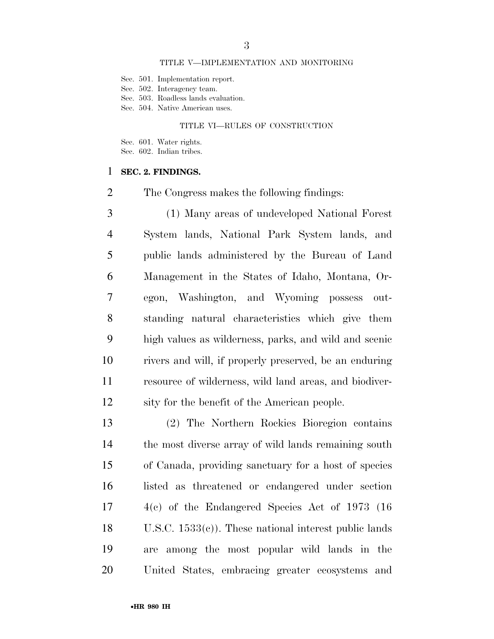#### TITLE V—IMPLEMENTATION AND MONITORING

Sec. 501. Implementation report.

Sec. 502. Interagency team.

Sec. 503. Roadless lands evaluation.

Sec. 504. Native American uses.

#### TITLE VI—RULES OF CONSTRUCTION

Sec. 601. Water rights.

Sec. 602. Indian tribes.

#### **SEC. 2. FINDINGS.**

The Congress makes the following findings:

 (1) Many areas of undeveloped National Forest System lands, National Park System lands, and public lands administered by the Bureau of Land Management in the States of Idaho, Montana, Or- egon, Washington, and Wyoming possess out- standing natural characteristics which give them high values as wilderness, parks, and wild and scenic rivers and will, if properly preserved, be an enduring resource of wilderness, wild land areas, and biodiver-sity for the benefit of the American people.

 (2) The Northern Rockies Bioregion contains the most diverse array of wild lands remaining south of Canada, providing sanctuary for a host of species listed as threatened or endangered under section 4(c) of the Endangered Species Act of 1973 (16 U.S.C. 1533(c)). These national interest public lands are among the most popular wild lands in the United States, embracing greater ecosystems and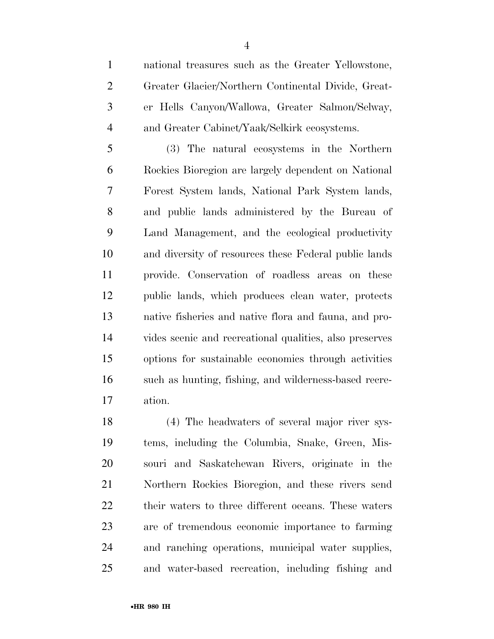er Hells Canyon/Wallowa, Greater Salmon/Selway, and Greater Cabinet/Yaak/Selkirk ecosystems.

 (3) The natural ecosystems in the Northern Rockies Bioregion are largely dependent on National Forest System lands, National Park System lands, and public lands administered by the Bureau of Land Management, and the ecological productivity and diversity of resources these Federal public lands provide. Conservation of roadless areas on these public lands, which produces clean water, protects native fisheries and native flora and fauna, and pro- vides scenic and recreational qualities, also preserves options for sustainable economics through activities such as hunting, fishing, and wilderness-based recre-ation.

 (4) The headwaters of several major river sys- tems, including the Columbia, Snake, Green, Mis- souri and Saskatchewan Rivers, originate in the Northern Rockies Bioregion, and these rivers send their waters to three different oceans. These waters are of tremendous economic importance to farming and ranching operations, municipal water supplies, and water-based recreation, including fishing and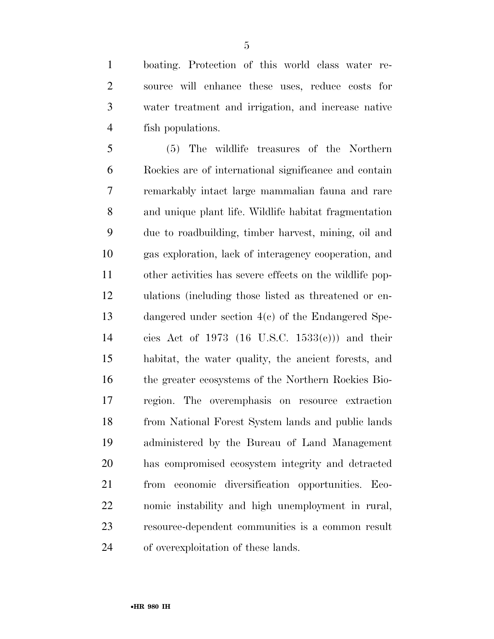boating. Protection of this world class water re- source will enhance these uses, reduce costs for water treatment and irrigation, and increase native fish populations.

 (5) The wildlife treasures of the Northern Rockies are of international significance and contain remarkably intact large mammalian fauna and rare and unique plant life. Wildlife habitat fragmentation due to roadbuilding, timber harvest, mining, oil and gas exploration, lack of interagency cooperation, and other activities has severe effects on the wildlife pop- ulations (including those listed as threatened or en- dangered under section 4(c) of the Endangered Spe- cies Act of 1973 (16 U.S.C. 1533(c))) and their habitat, the water quality, the ancient forests, and the greater ecosystems of the Northern Rockies Bio- region. The overemphasis on resource extraction from National Forest System lands and public lands administered by the Bureau of Land Management has compromised ecosystem integrity and detracted from economic diversification opportunities. Eco- nomic instability and high unemployment in rural, resource-dependent communities is a common result of overexploitation of these lands.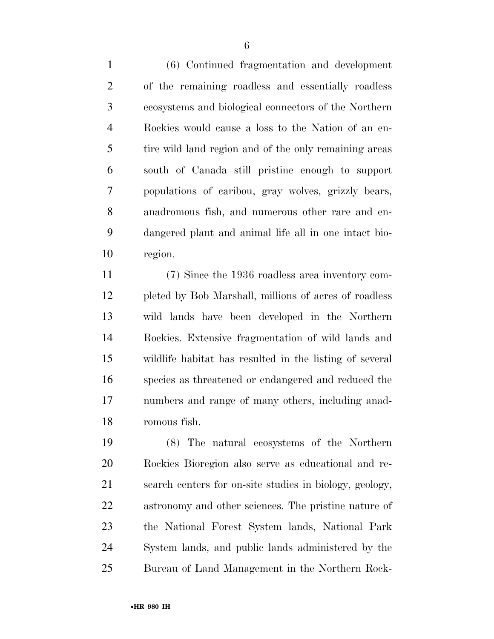(6) Continued fragmentation and development of the remaining roadless and essentially roadless ecosystems and biological connectors of the Northern Rockies would cause a loss to the Nation of an en- tire wild land region and of the only remaining areas south of Canada still pristine enough to support populations of caribou, gray wolves, grizzly bears, anadromous fish, and numerous other rare and en- dangered plant and animal life all in one intact bio-region.

 (7) Since the 1936 roadless area inventory com- pleted by Bob Marshall, millions of acres of roadless wild lands have been developed in the Northern Rockies. Extensive fragmentation of wild lands and wildlife habitat has resulted in the listing of several species as threatened or endangered and reduced the numbers and range of many others, including anad-romous fish.

 (8) The natural ecosystems of the Northern Rockies Bioregion also serve as educational and re- search centers for on-site studies in biology, geology, astronomy and other sciences. The pristine nature of the National Forest System lands, National Park System lands, and public lands administered by the Bureau of Land Management in the Northern Rock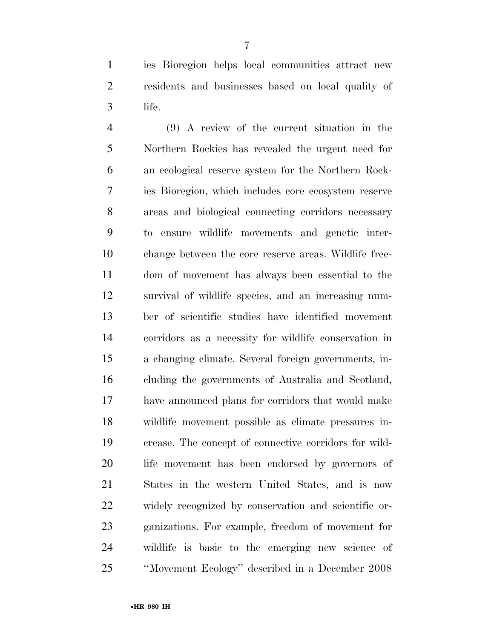ies Bioregion helps local communities attract new residents and businesses based on local quality of life.

 (9) A review of the current situation in the Northern Rockies has revealed the urgent need for an ecological reserve system for the Northern Rock- ies Bioregion, which includes core ecosystem reserve areas and biological connecting corridors necessary to ensure wildlife movements and genetic inter- change between the core reserve areas. Wildlife free- dom of movement has always been essential to the survival of wildlife species, and an increasing num- ber of scientific studies have identified movement corridors as a necessity for wildlife conservation in a changing climate. Several foreign governments, in- cluding the governments of Australia and Scotland, have announced plans for corridors that would make wildlife movement possible as climate pressures in- crease. The concept of connective corridors for wild- life movement has been endorsed by governors of States in the western United States, and is now widely recognized by conservation and scientific or- ganizations. For example, freedom of movement for wildlife is basic to the emerging new science of ''Movement Ecology'' described in a December 2008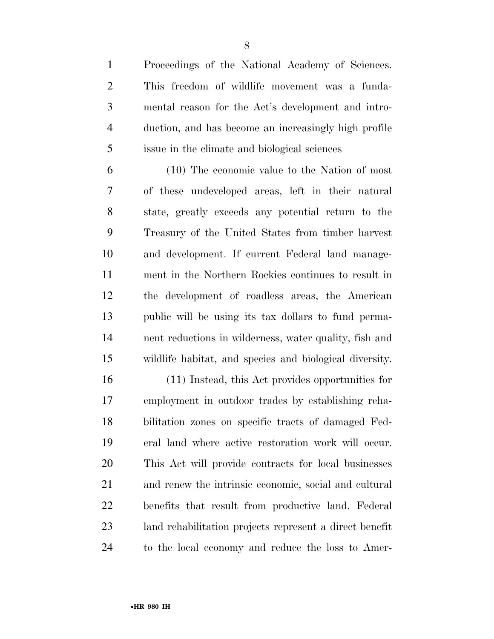Proceedings of the National Academy of Sciences. This freedom of wildlife movement was a funda- mental reason for the Act's development and intro- duction, and has become an increasingly high profile issue in the climate and biological sciences

 (10) The economic value to the Nation of most of these undeveloped areas, left in their natural state, greatly exceeds any potential return to the Treasury of the United States from timber harvest and development. If current Federal land manage- ment in the Northern Rockies continues to result in the development of roadless areas, the American public will be using its tax dollars to fund perma- nent reductions in wilderness, water quality, fish and wildlife habitat, and species and biological diversity.

 (11) Instead, this Act provides opportunities for employment in outdoor trades by establishing reha- bilitation zones on specific tracts of damaged Fed- eral land where active restoration work will occur. This Act will provide contracts for local businesses and renew the intrinsic economic, social and cultural benefits that result from productive land. Federal land rehabilitation projects represent a direct benefit to the local economy and reduce the loss to Amer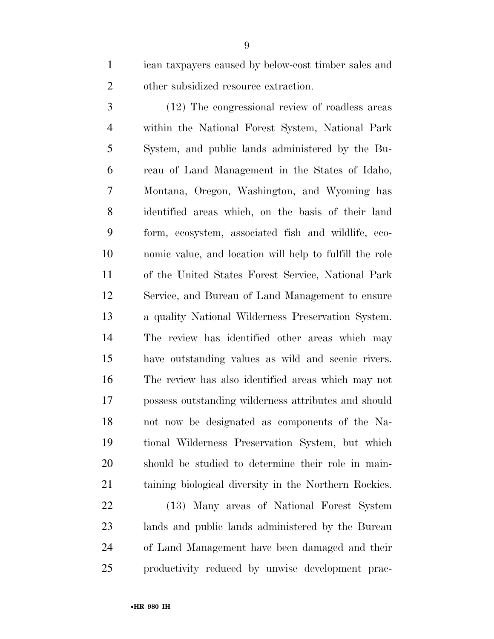ican taxpayers caused by below-cost timber sales and 2 other subsidized resource extraction.

 (12) The congressional review of roadless areas within the National Forest System, National Park System, and public lands administered by the Bu- reau of Land Management in the States of Idaho, Montana, Oregon, Washington, and Wyoming has identified areas which, on the basis of their land form, ecosystem, associated fish and wildlife, eco- nomic value, and location will help to fulfill the role of the United States Forest Service, National Park Service, and Bureau of Land Management to ensure a quality National Wilderness Preservation System. The review has identified other areas which may have outstanding values as wild and scenic rivers. The review has also identified areas which may not possess outstanding wilderness attributes and should not now be designated as components of the Na- tional Wilderness Preservation System, but which should be studied to determine their role in main-taining biological diversity in the Northern Rockies.

 (13) Many areas of National Forest System lands and public lands administered by the Bureau of Land Management have been damaged and their productivity reduced by unwise development prac-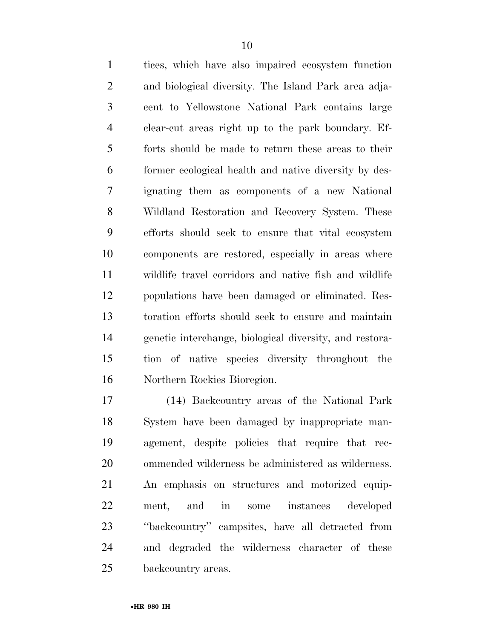tices, which have also impaired ecosystem function and biological diversity. The Island Park area adja- cent to Yellowstone National Park contains large clear-cut areas right up to the park boundary. Ef- forts should be made to return these areas to their former ecological health and native diversity by des- ignating them as components of a new National Wildland Restoration and Recovery System. These efforts should seek to ensure that vital ecosystem components are restored, especially in areas where wildlife travel corridors and native fish and wildlife populations have been damaged or eliminated. Res- toration efforts should seek to ensure and maintain genetic interchange, biological diversity, and restora- tion of native species diversity throughout the Northern Rockies Bioregion.

 (14) Backcountry areas of the National Park System have been damaged by inappropriate man- agement, despite policies that require that rec- ommended wilderness be administered as wilderness. An emphasis on structures and motorized equip- ment, and in some instances developed ''backcountry'' campsites, have all detracted from and degraded the wilderness character of these backcountry areas.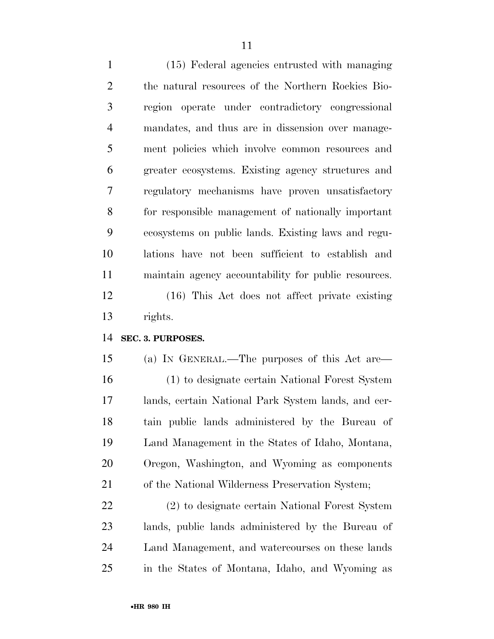(15) Federal agencies entrusted with managing the natural resources of the Northern Rockies Bio- region operate under contradictory congressional mandates, and thus are in dissension over manage- ment policies which involve common resources and greater ecosystems. Existing agency structures and regulatory mechanisms have proven unsatisfactory for responsible management of nationally important ecosystems on public lands. Existing laws and regu- lations have not been sufficient to establish and maintain agency accountability for public resources. (16) This Act does not affect private existing rights.

#### **SEC. 3. PURPOSES.**

 (a) IN GENERAL.—The purposes of this Act are— (1) to designate certain National Forest System lands, certain National Park System lands, and cer- tain public lands administered by the Bureau of Land Management in the States of Idaho, Montana, Oregon, Washington, and Wyoming as components of the National Wilderness Preservation System;

 (2) to designate certain National Forest System lands, public lands administered by the Bureau of Land Management, and watercourses on these lands in the States of Montana, Idaho, and Wyoming as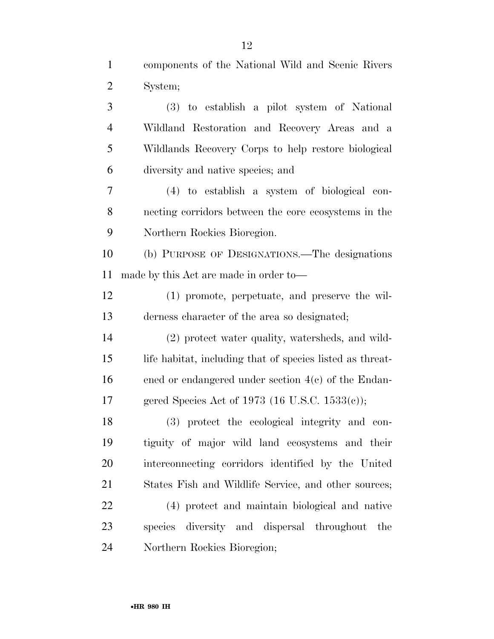components of the National Wild and Scenic Rivers System; (3) to establish a pilot system of National Wildland Restoration and Recovery Areas and a Wildlands Recovery Corps to help restore biological diversity and native species; and (4) to establish a system of biological con- necting corridors between the core ecosystems in the Northern Rockies Bioregion. (b) PURPOSE OF DESIGNATIONS.—The designations made by this Act are made in order to— (1) promote, perpetuate, and preserve the wil- derness character of the area so designated; (2) protect water quality, watersheds, and wild-15 life habitat, including that of species listed as threat- ened or endangered under section 4(c) of the Endan- gered Species Act of 1973 (16 U.S.C. 1533(c)); (3) protect the ecological integrity and con- tiguity of major wild land ecosystems and their interconnecting corridors identified by the United States Fish and Wildlife Service, and other sources; (4) protect and maintain biological and native species diversity and dispersal throughout the Northern Rockies Bioregion;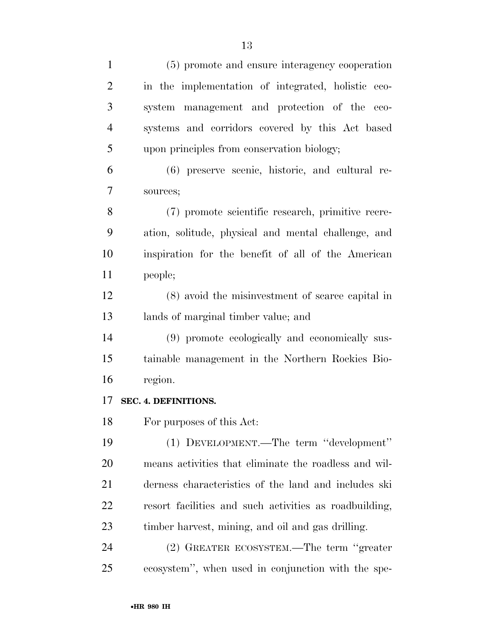| $\mathbf{1}$   | (5) promote and ensure interagency cooperation         |
|----------------|--------------------------------------------------------|
| $\overline{2}$ | in the implementation of integrated, holistic eco-     |
| 3              | system management and protection of the eco-           |
| $\overline{4}$ | systems and corridors covered by this Act based        |
| 5              | upon principles from conservation biology;             |
| 6              | (6) preserve scenic, historic, and cultural re-        |
| 7              | sources;                                               |
| 8              | (7) promote scientific research, primitive recre-      |
| 9              | ation, solitude, physical and mental challenge, and    |
| 10             | inspiration for the benefit of all of the American     |
| 11             | people;                                                |
| 12             | (8) avoid the misinvestment of scarce capital in       |
| 13             | lands of marginal timber value; and                    |
| 14             | (9) promote ecologically and economically sus-         |
| 15             | tainable management in the Northern Rockies Bio-       |
| 16             | region.                                                |
| 17             | SEC. 4. DEFINITIONS.                                   |
| 18             | For purposes of this Act:                              |
| 19             | (1) DEVELOPMENT.—The term "development"                |
| 20             | means activities that eliminate the roadless and wil-  |
| 21             | derness characteristics of the land and includes ski   |
| 22             | resort facilities and such activities as roadbuilding, |
| 23             | timber harvest, mining, and oil and gas drilling.      |
| 24             | (2) GREATER ECOSYSTEM.—The term "greater"              |
| 25             | ecosystem", when used in conjunction with the spe-     |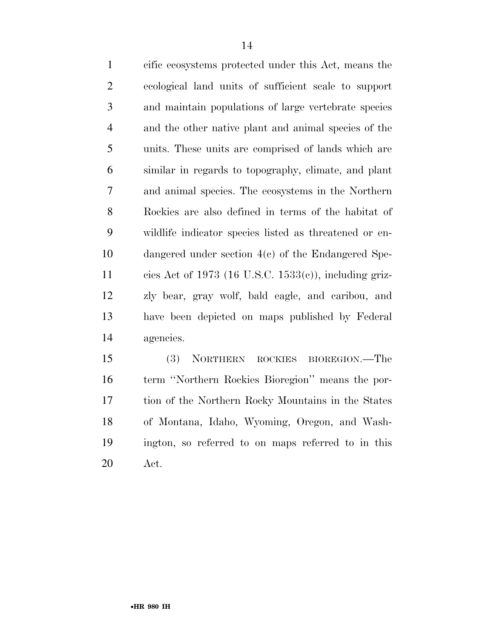cific ecosystems protected under this Act, means the ecological land units of sufficient scale to support and maintain populations of large vertebrate species and the other native plant and animal species of the units. These units are comprised of lands which are similar in regards to topography, climate, and plant and animal species. The ecosystems in the Northern Rockies are also defined in terms of the habitat of wildlife indicator species listed as threatened or en- dangered under section 4(c) of the Endangered Spe- cies Act of 1973 (16 U.S.C. 1533(c)), including griz- zly bear, gray wolf, bald eagle, and caribou, and have been depicted on maps published by Federal agencies.

 (3) NORTHERN ROCKIES BIOREGION.—The term ''Northern Rockies Bioregion'' means the por- tion of the Northern Rocky Mountains in the States of Montana, Idaho, Wyoming, Oregon, and Wash- ington, so referred to on maps referred to in this Act.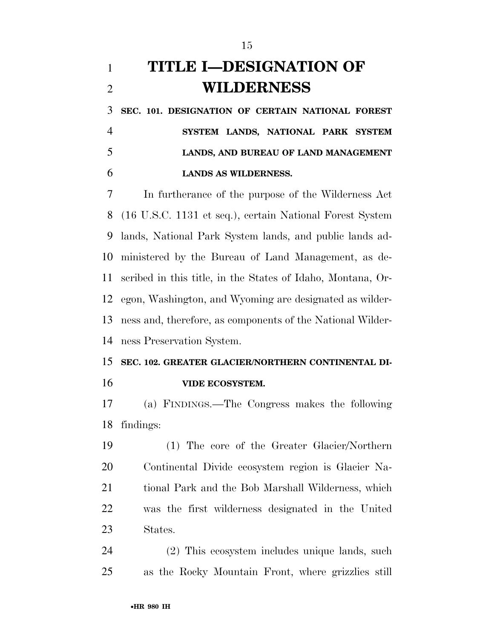### **TITLE I—DESIGNATION OF WILDERNESS**

 **SEC. 101. DESIGNATION OF CERTAIN NATIONAL FOREST SYSTEM LANDS, NATIONAL PARK SYSTEM LANDS, AND BUREAU OF LAND MANAGEMENT LANDS AS WILDERNESS.** 

 In furtherance of the purpose of the Wilderness Act (16 U.S.C. 1131 et seq.), certain National Forest System lands, National Park System lands, and public lands ad- ministered by the Bureau of Land Management, as de- scribed in this title, in the States of Idaho, Montana, Or- egon, Washington, and Wyoming are designated as wilder- ness and, therefore, as components of the National Wilder-ness Preservation System.

# **SEC. 102. GREATER GLACIER/NORTHERN CONTINENTAL DI-**

**VIDE ECOSYSTEM.** 

 (a) FINDINGS.—The Congress makes the following findings:

 (1) The core of the Greater Glacier/Northern Continental Divide ecosystem region is Glacier Na- tional Park and the Bob Marshall Wilderness, which was the first wilderness designated in the United States.

 (2) This ecosystem includes unique lands, such as the Rocky Mountain Front, where grizzlies still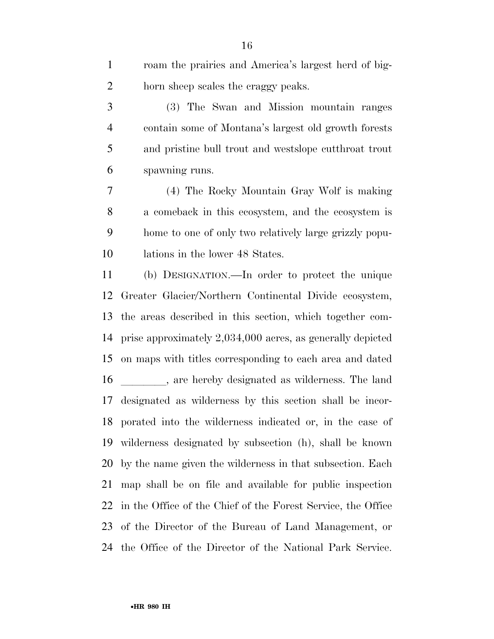| $\mathbf{1}$   | roam the prairies and America's largest herd of big-         |
|----------------|--------------------------------------------------------------|
| $\overline{2}$ | horn sheep scales the craggy peaks.                          |
| 3              | (3) The Swan and Mission mountain ranges                     |
| $\overline{4}$ | contain some of Montana's largest old growth forests         |
| 5              | and pristine bull trout and westslope cutthroat trout        |
| 6              | spawning runs.                                               |
| 7              | (4) The Rocky Mountain Gray Wolf is making                   |
| 8              | a comeback in this ecosystem, and the ecosystem is           |
| 9              | home to one of only two relatively large grizzly popu-       |
| 10             | lations in the lower 48 States.                              |
| 11             | (b) DESIGNATION.—In order to protect the unique              |
| 12             | Greater Glacier/Northern Continental Divide ecosystem,       |
| 13             | the areas described in this section, which together com-     |
| 14             | prise approximately 2,034,000 acres, as generally depicted   |
| 15             | on maps with titles corresponding to each area and dated     |
| 16             | , are hereby designated as wilderness. The land              |
| 17             | designated as wilderness by this section shall be incor-     |
| 18             | porated into the wilderness indicated or, in the case of     |
| 19             | wilderness designated by subsection (h), shall be known      |
| 20             | by the name given the wilderness in that subsection. Each    |
| 21             | map shall be on file and available for public inspection     |
| 22             | in the Office of the Chief of the Forest Service, the Office |
| 23             | of the Director of the Bureau of Land Management, or         |
| 24             | the Office of the Director of the National Park Service.     |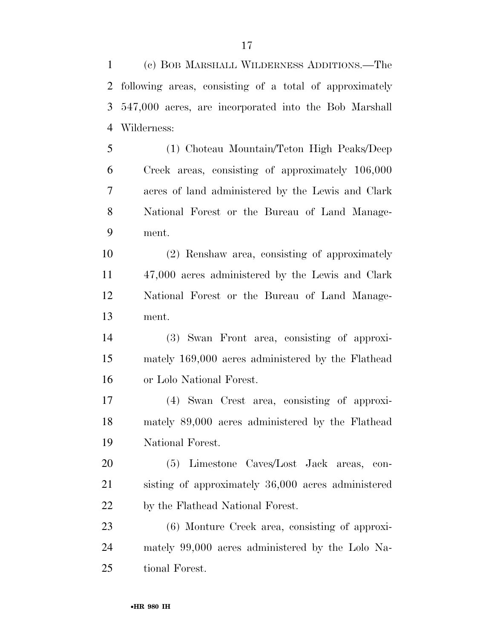(c) BOB MARSHALL WILDERNESS ADDITIONS.—The following areas, consisting of a total of approximately 547,000 acres, are incorporated into the Bob Marshall Wilderness:

 (1) Choteau Mountain/Teton High Peaks/Deep Creek areas, consisting of approximately 106,000 acres of land administered by the Lewis and Clark National Forest or the Bureau of Land Manage-ment.

 (2) Renshaw area, consisting of approximately 47,000 acres administered by the Lewis and Clark National Forest or the Bureau of Land Manage-ment.

 (3) Swan Front area, consisting of approxi- mately 169,000 acres administered by the Flathead or Lolo National Forest.

 (4) Swan Crest area, consisting of approxi- mately 89,000 acres administered by the Flathead National Forest.

 (5) Limestone Caves/Lost Jack areas, con- sisting of approximately 36,000 acres administered by the Flathead National Forest.

 (6) Monture Creek area, consisting of approxi- mately 99,000 acres administered by the Lolo Na-tional Forest.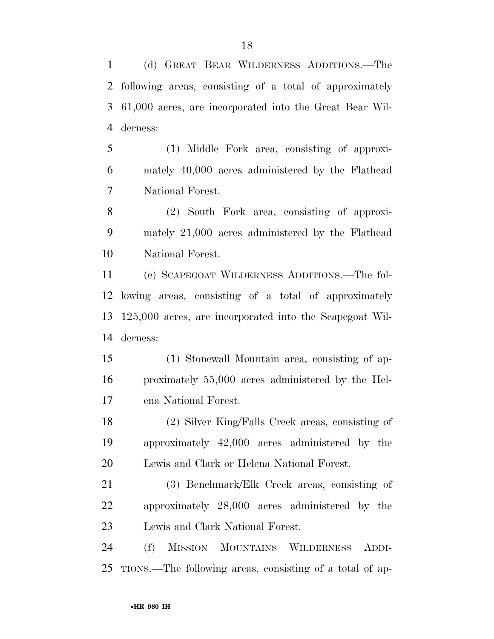(d) GREAT BEAR WILDERNESS ADDITIONS.—The following areas, consisting of a total of approximately 61,000 acres, are incorporated into the Great Bear Wil-derness:

 (1) Middle Fork area, consisting of approxi- mately 40,000 acres administered by the Flathead National Forest.

 (2) South Fork area, consisting of approxi- mately 21,000 acres administered by the Flathead National Forest.

 (e) SCAPEGOAT WILDERNESS ADDITIONS.—The fol- lowing areas, consisting of a total of approximately 125,000 acres, are incorporated into the Scapegoat Wil-derness:

 (1) Stonewall Mountain area, consisting of ap- proximately 55,000 acres administered by the Hel-ena National Forest.

 (2) Silver King/Falls Creek areas, consisting of approximately 42,000 acres administered by the Lewis and Clark or Helena National Forest.

 (3) Benchmark/Elk Creek areas, consisting of approximately 28,000 acres administered by the Lewis and Clark National Forest.

 (f) MISSION MOUNTAINS WILDERNESS ADDI-TIONS.—The following areas, consisting of a total of ap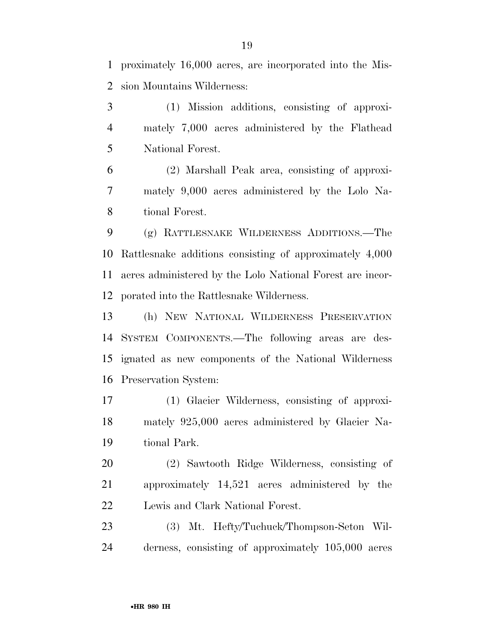proximately 16,000 acres, are incorporated into the Mis-sion Mountains Wilderness:

 (1) Mission additions, consisting of approxi- mately 7,000 acres administered by the Flathead National Forest.

 (2) Marshall Peak area, consisting of approxi- mately 9,000 acres administered by the Lolo Na-tional Forest.

 (g) RATTLESNAKE WILDERNESS ADDITIONS.—The Rattlesnake additions consisting of approximately 4,000 acres administered by the Lolo National Forest are incor-porated into the Rattlesnake Wilderness.

 (h) NEW NATIONAL WILDERNESS PRESERVATION SYSTEM COMPONENTS.—The following areas are des- ignated as new components of the National Wilderness Preservation System:

 (1) Glacier Wilderness, consisting of approxi- mately 925,000 acres administered by Glacier Na-tional Park.

 (2) Sawtooth Ridge Wilderness, consisting of approximately 14,521 acres administered by the Lewis and Clark National Forest.

 (3) Mt. Hefty/Tuchuck/Thompson-Seton Wil-derness, consisting of approximately 105,000 acres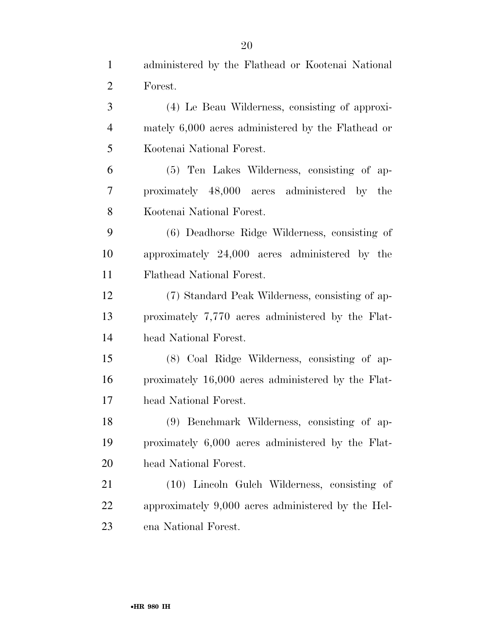administered by the Flathead or Kootenai National

| $\overline{2}$ | Forest.                                            |
|----------------|----------------------------------------------------|
| 3              | (4) Le Beau Wilderness, consisting of approxi-     |
| $\overline{4}$ | mately 6,000 acres administered by the Flathead or |
| 5              | Kootenai National Forest.                          |
| 6              | (5) Ten Lakes Wilderness, consisting of ap-        |
| 7              | proximately 48,000 acres administered by the       |
| 8              | Kootenai National Forest.                          |
| 9              | (6) Deadhorse Ridge Wilderness, consisting of      |
| 10             | approximately 24,000 acres administered by the     |
| 11             | Flathead National Forest.                          |
| 12             | (7) Standard Peak Wilderness, consisting of ap-    |
| 13             | proximately 7,770 acres administered by the Flat-  |
| 14             | head National Forest.                              |
| 15             | (8) Coal Ridge Wilderness, consisting of ap-       |
| 16             | proximately 16,000 acres administered by the Flat- |
| 17             | head National Forest.                              |
| 18             | (9) Benchmark Wilderness, consisting of ap-        |
| 19             | proximately 6,000 acres administered by the Flat-  |
| 20             | head National Forest.                              |
| 21             | (10) Lincoln Gulch Wilderness, consisting of       |
| 22             | approximately 9,000 acres administered by the Hel- |
| 23             | ena National Forest.                               |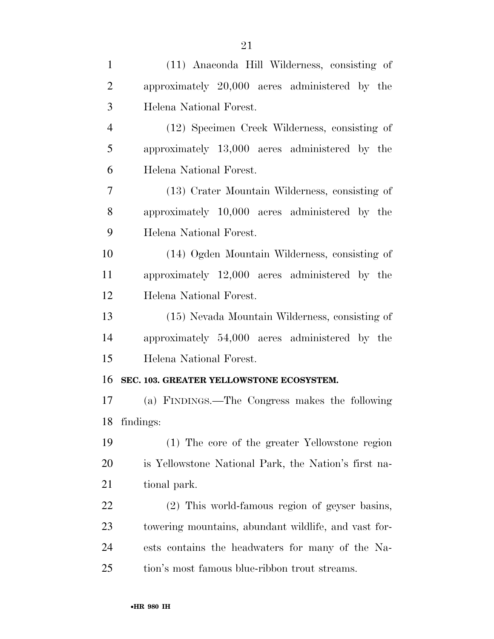| $\mathbf{1}$   | (11) Anaconda Hill Wilderness, consisting of         |
|----------------|------------------------------------------------------|
| $\overline{2}$ | approximately 20,000 acres administered by the       |
| 3              | Helena National Forest.                              |
| $\overline{4}$ | (12) Specimen Creek Wilderness, consisting of        |
| 5              | approximately 13,000 acres administered by the       |
| 6              | Helena National Forest.                              |
| $\overline{7}$ | (13) Crater Mountain Wilderness, consisting of       |
| 8              | approximately 10,000 acres administered by the       |
| 9              | Helena National Forest.                              |
| 10             | (14) Ogden Mountain Wilderness, consisting of        |
| 11             | approximately 12,000 acres administered by the       |
| 12             | Helena National Forest.                              |
| 13             | (15) Nevada Mountain Wilderness, consisting of       |
| 14             | approximately 54,000 acres administered by the       |
| 15             | Helena National Forest.                              |
| 16             | SEC. 103. GREATER YELLOWSTONE ECOSYSTEM.             |
| 17             | (a) FINDINGS.—The Congress makes the following       |
| 18             | findings:                                            |
| 19             | (1) The core of the greater Yellowstone region       |
| 20             | is Yellowstone National Park, the Nation's first na- |
| 21             | tional park.                                         |
| 22             | (2) This world-famous region of geyser basins,       |
| 23             | towering mountains, abundant wildlife, and vast for- |
| 24             | ests contains the headwaters for many of the Na-     |
| 25             | tion's most famous blue-ribbon trout streams.        |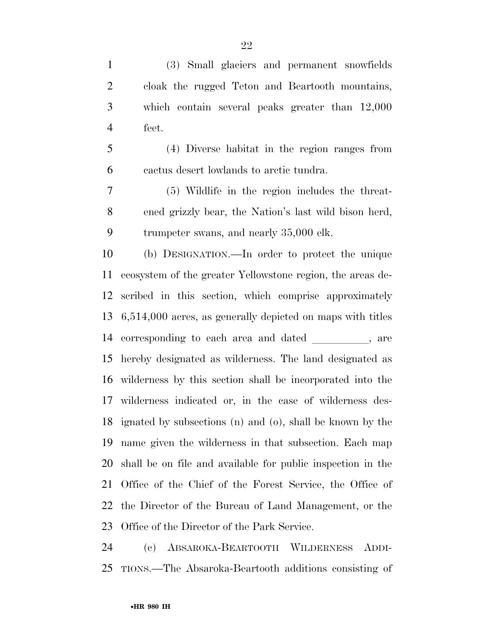(3) Small glaciers and permanent snowfields cloak the rugged Teton and Beartooth mountains, which contain several peaks greater than 12,000 feet.

 (4) Diverse habitat in the region ranges from cactus desert lowlands to arctic tundra.

 (5) Wildlife in the region includes the threat- ened grizzly bear, the Nation's last wild bison herd, trumpeter swans, and nearly 35,000 elk.

 (b) DESIGNATION.—In order to protect the unique ecosystem of the greater Yellowstone region, the areas de- scribed in this section, which comprise approximately 6,514,000 acres, as generally depicted on maps with titles 14 corresponding to each area and dated, are hereby designated as wilderness. The land designated as wilderness by this section shall be incorporated into the wilderness indicated or, in the case of wilderness des- ignated by subsections (n) and (o), shall be known by the name given the wilderness in that subsection. Each map shall be on file and available for public inspection in the Office of the Chief of the Forest Service, the Office of the Director of the Bureau of Land Management, or the Office of the Director of the Park Service.

 (c) ABSAROKA-BEARTOOTH WILDERNESS ADDI-TIONS.—The Absaroka-Beartooth additions consisting of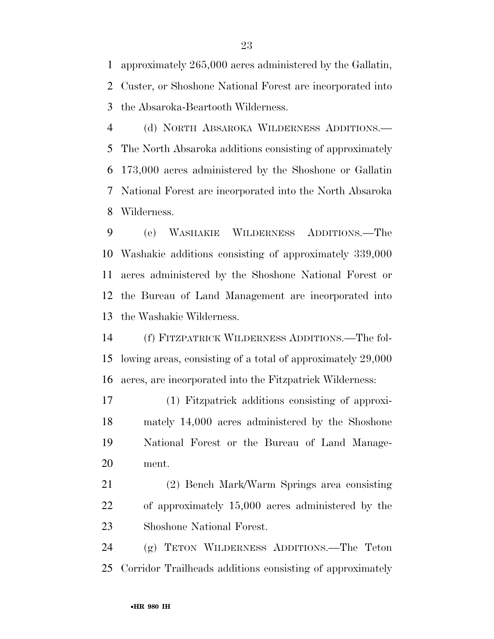approximately 265,000 acres administered by the Gallatin, Custer, or Shoshone National Forest are incorporated into the Absaroka-Beartooth Wilderness.

 (d) NORTH ABSAROKA WILDERNESS ADDITIONS.— The North Absaroka additions consisting of approximately 173,000 acres administered by the Shoshone or Gallatin National Forest are incorporated into the North Absaroka Wilderness.

 (e) WASHAKIE WILDERNESS ADDITIONS.—The Washakie additions consisting of approximately 339,000 acres administered by the Shoshone National Forest or the Bureau of Land Management are incorporated into the Washakie Wilderness.

 (f) FITZPATRICK WILDERNESS ADDITIONS.—The fol- lowing areas, consisting of a total of approximately 29,000 acres, are incorporated into the Fitzpatrick Wilderness:

 (1) Fitzpatrick additions consisting of approxi- mately 14,000 acres administered by the Shoshone National Forest or the Bureau of Land Manage-ment.

 (2) Bench Mark/Warm Springs area consisting of approximately 15,000 acres administered by the Shoshone National Forest.

 (g) TETON WILDERNESS ADDITIONS.—The Teton Corridor Trailheads additions consisting of approximately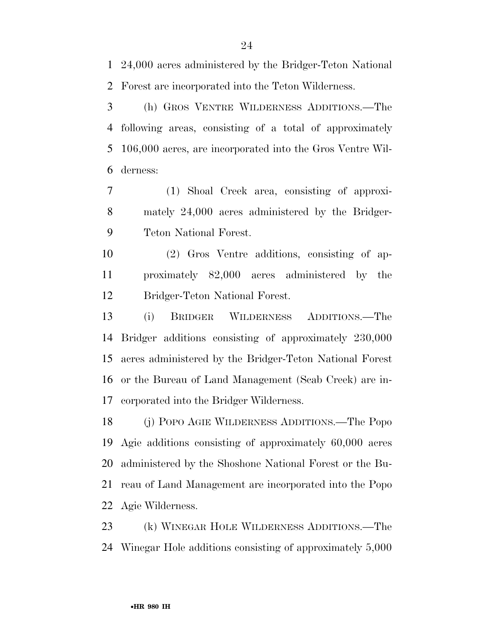24,000 acres administered by the Bridger-Teton National Forest are incorporated into the Teton Wilderness.

 (h) GROS VENTRE WILDERNESS ADDITIONS.—The following areas, consisting of a total of approximately 106,000 acres, are incorporated into the Gros Ventre Wil-derness:

 (1) Shoal Creek area, consisting of approxi- mately 24,000 acres administered by the Bridger-Teton National Forest.

 (2) Gros Ventre additions, consisting of ap- proximately 82,000 acres administered by the Bridger-Teton National Forest.

 (i) BRIDGER WILDERNESS ADDITIONS.—The Bridger additions consisting of approximately 230,000 acres administered by the Bridger-Teton National Forest or the Bureau of Land Management (Scab Creek) are in-corporated into the Bridger Wilderness.

 (j) POPO AGIE WILDERNESS ADDITIONS.—The Popo Agie additions consisting of approximately 60,000 acres administered by the Shoshone National Forest or the Bu- reau of Land Management are incorporated into the Popo Agie Wilderness.

 (k) WINEGAR HOLE WILDERNESS ADDITIONS.—The Winegar Hole additions consisting of approximately 5,000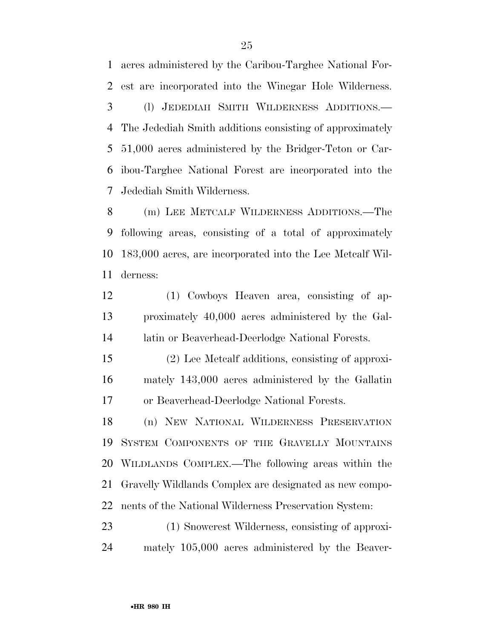acres administered by the Caribou-Targhee National For- est are incorporated into the Winegar Hole Wilderness. (l) JEDEDIAH SMITH WILDERNESS ADDITIONS.— The Jedediah Smith additions consisting of approximately 51,000 acres administered by the Bridger-Teton or Car- ibou-Targhee National Forest are incorporated into the Jedediah Smith Wilderness.

 (m) LEE METCALF WILDERNESS ADDITIONS.—The following areas, consisting of a total of approximately 183,000 acres, are incorporated into the Lee Metcalf Wil-derness:

 (1) Cowboys Heaven area, consisting of ap- proximately 40,000 acres administered by the Gal-latin or Beaverhead-Deerlodge National Forests.

 (2) Lee Metcalf additions, consisting of approxi- mately 143,000 acres administered by the Gallatin or Beaverhead-Deerlodge National Forests.

 (n) NEW NATIONAL WILDERNESS PRESERVATION SYSTEM COMPONENTS OF THE GRAVELLY MOUNTAINS WILDLANDS COMPLEX.—The following areas within the Gravelly Wildlands Complex are designated as new compo-nents of the National Wilderness Preservation System:

 (1) Snowcrest Wilderness, consisting of approxi-mately 105,000 acres administered by the Beaver-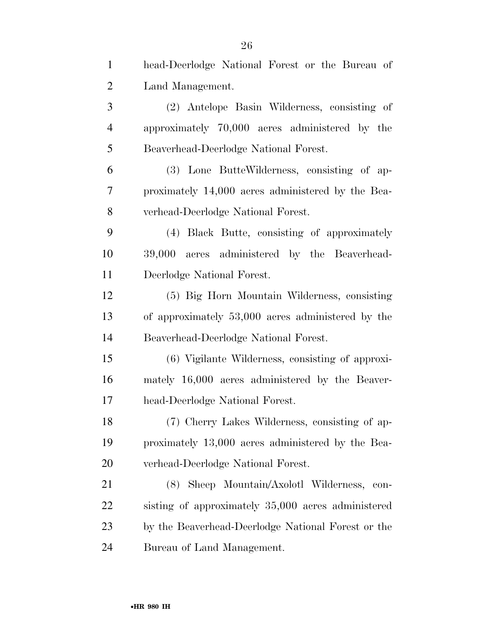| $\mathbf{1}$   | head-Deerlodge National Forest or the Bureau of    |
|----------------|----------------------------------------------------|
| $\overline{2}$ | Land Management.                                   |
| 3              | (2) Antelope Basin Wilderness, consisting of       |
| $\overline{4}$ | approximately 70,000 acres administered by the     |
| 5              | Beaverhead-Deerlodge National Forest.              |
| 6              | (3) Lone ButteWilderness, consisting of ap-        |
| 7              | proximately 14,000 acres administered by the Bea-  |
| 8              | verhead-Deerlodge National Forest.                 |
| 9              | (4) Black Butte, consisting of approximately       |
| 10             | 39,000 acres administered by the Beaverhead-       |
| 11             | Deerlodge National Forest.                         |
| 12             | (5) Big Horn Mountain Wilderness, consisting       |
| 13             | of approximately 53,000 acres administered by the  |
| 14             | Beaverhead-Deerlodge National Forest.              |
| 15             | (6) Vigilante Wilderness, consisting of approxi-   |
| 16             | mately 16,000 acres administered by the Beaver-    |
| 17             | head-Deerlodge National Forest.                    |
| 18             | (7) Cherry Lakes Wilderness, consisting of ap-     |
| 19             | proximately 13,000 acres administered by the Bea-  |
| 20             | verhead-Deerlodge National Forest.                 |
| 21             | Sheep Mountain/Axolotl Wilderness,<br>(8)<br>con-  |
| 22             | sisting of approximately 35,000 acres administered |
| 23             | by the Beaverhead-Deerlodge National Forest or the |
| 24             | Bureau of Land Management.                         |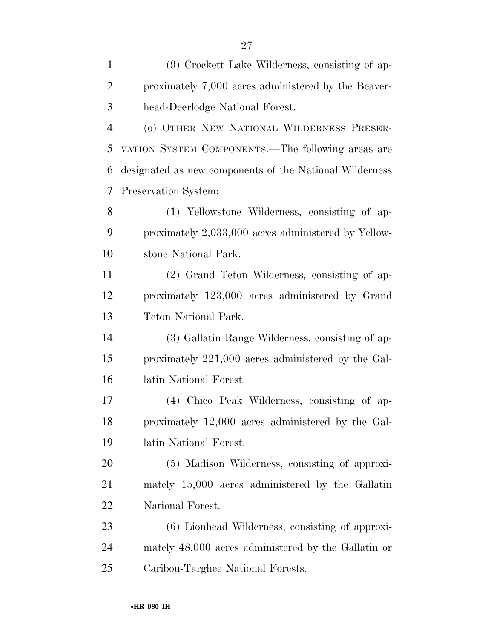| $\mathbf{1}$   | (9) Crockett Lake Wilderness, consisting of ap-         |
|----------------|---------------------------------------------------------|
| $\overline{2}$ | proximately 7,000 acres administered by the Beaver-     |
| 3              | head-Deerlodge National Forest.                         |
| $\overline{4}$ | (o) OTHER NEW NATIONAL WILDERNESS PRESER-               |
| 5              | VATION SYSTEM COMPONENTS.-The following areas are       |
| 6              | designated as new components of the National Wilderness |
| 7              | Preservation System:                                    |
| 8              | (1) Yellowstone Wilderness, consisting of ap-           |
| 9              | proximately 2,033,000 acres administered by Yellow-     |
| 10             | stone National Park.                                    |
| 11             | (2) Grand Teton Wilderness, consisting of ap-           |
| 12             | proximately 123,000 acres administered by Grand         |
| 13             | Teton National Park.                                    |
| 14             | (3) Gallatin Range Wilderness, consisting of ap-        |
| 15             | proximately 221,000 acres administered by the Gal-      |
| 16             | latin National Forest.                                  |
| 17             | (4) Chico Peak Wilderness, consisting of ap-            |
| 18             | proximately 12,000 acres administered by the Gal-       |
| 19             | latin National Forest.                                  |
| 20             | (5) Madison Wilderness, consisting of approxi-          |
| 21             | mately 15,000 acres administered by the Gallatin        |
| 22             | National Forest.                                        |
| 23             | (6) Lionhead Wilderness, consisting of approxi-         |
| 24             | mately 48,000 acres administered by the Gallatin or     |
| 25             | Caribou-Targhee National Forests.                       |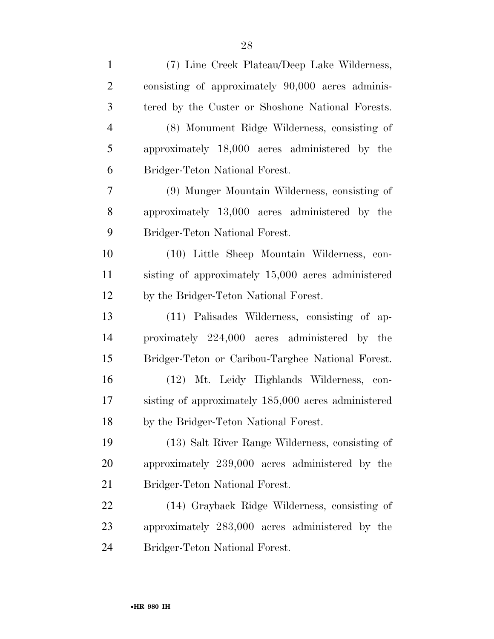| $\mathbf{1}$   | (7) Line Creek Plateau/Deep Lake Wilderness,        |
|----------------|-----------------------------------------------------|
| $\overline{2}$ | consisting of approximately 90,000 acres adminis-   |
| 3              | tered by the Custer or Shoshone National Forests.   |
| $\overline{4}$ | (8) Monument Ridge Wilderness, consisting of        |
| 5              | approximately 18,000 acres administered by the      |
| 6              | Bridger-Teton National Forest.                      |
| 7              | (9) Munger Mountain Wilderness, consisting of       |
| 8              | approximately 13,000 acres administered by the      |
| 9              | Bridger-Teton National Forest.                      |
| 10             | (10) Little Sheep Mountain Wilderness, con-         |
| 11             | sisting of approximately 15,000 acres administered  |
| 12             | by the Bridger-Teton National Forest.               |
| 13             | (11) Palisades Wilderness, consisting of ap-        |
| 14             | proximately 224,000 acres administered by the       |
| 15             | Bridger-Teton or Caribou-Targhee National Forest.   |
| 16             | (12) Mt. Leidy Highlands Wilderness, con-           |
| 17             | sisting of approximately 185,000 acres administered |
| 18             | by the Bridger-Teton National Forest.               |
| 19             | (13) Salt River Range Wilderness, consisting of     |
| 20             | approximately 239,000 acres administered by the     |
| 21             | Bridger-Teton National Forest.                      |
| 22             | (14) Grayback Ridge Wilderness, consisting of       |
| 23             | approximately 283,000 acres administered by the     |
| 24             | Bridger-Teton National Forest.                      |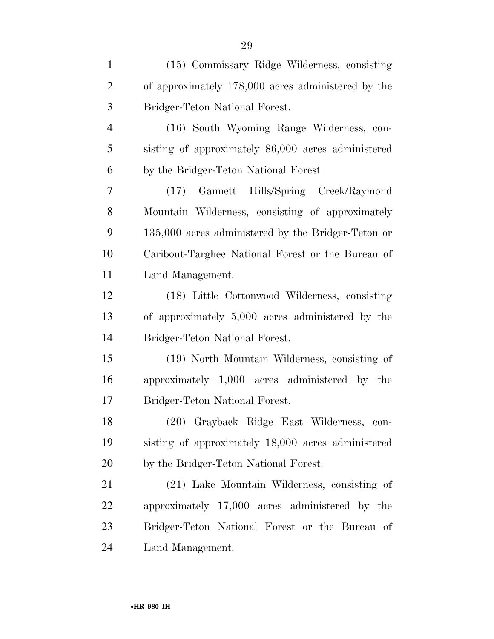| $\mathbf{1}$   | (15) Commissary Ridge Wilderness, consisting       |
|----------------|----------------------------------------------------|
| $\overline{2}$ | of approximately 178,000 acres administered by the |
| 3              | Bridger-Teton National Forest.                     |
| $\overline{4}$ | (16) South Wyoming Range Wilderness, con-          |
| 5              | sisting of approximately 86,000 acres administered |
| 6              | by the Bridger-Teton National Forest.              |
| 7              | (17) Gannett Hills/Spring Creek/Raymond            |
| 8              | Mountain Wilderness, consisting of approximately   |
| 9              | 135,000 acres administered by the Bridger-Teton or |
| 10             | Caribout-Targhee National Forest or the Bureau of  |
| 11             | Land Management.                                   |
| 12             | (18) Little Cottonwood Wilderness, consisting      |
| 13             | of approximately 5,000 acres administered by the   |
| 14             | Bridger-Teton National Forest.                     |
| 15             | (19) North Mountain Wilderness, consisting of      |
| 16             | approximately 1,000 acres administered by the      |
| 17             | Bridger-Teton National Forest.                     |
| 18             | (20) Grayback Ridge East Wilderness, con-          |
| 19             | sisting of approximately 18,000 acres administered |
| 20             | by the Bridger-Teton National Forest.              |
| 21             | (21) Lake Mountain Wilderness, consisting of       |
| 22             | approximately 17,000 acres administered by the     |
| 23             | Bridger-Teton National Forest or the Bureau of     |
| 24             | Land Management.                                   |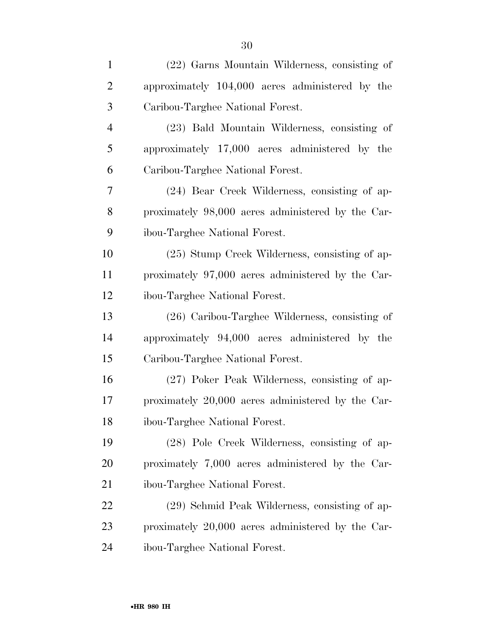| $\mathbf{1}$   | (22) Garns Mountain Wilderness, consisting of     |
|----------------|---------------------------------------------------|
| $\overline{2}$ | approximately 104,000 acres administered by the   |
| 3              | Caribou-Targhee National Forest.                  |
| $\overline{4}$ | (23) Bald Mountain Wilderness, consisting of      |
| 5              | approximately 17,000 acres administered by the    |
| 6              | Caribou-Targhee National Forest.                  |
| 7              | (24) Bear Creek Wilderness, consisting of ap-     |
| 8              | proximately 98,000 acres administered by the Car- |
| 9              | ibou-Targhee National Forest.                     |
| 10             | (25) Stump Creek Wilderness, consisting of ap-    |
| 11             | proximately 97,000 acres administered by the Car- |
| 12             | ibou-Targhee National Forest.                     |
| 13             | $(26)$ Caribou-Targhee Wilderness, consisting of  |
| 14             | approximately 94,000 acres administered by the    |
| 15             | Caribou-Targhee National Forest.                  |
| 16             | (27) Poker Peak Wilderness, consisting of ap-     |
| 17             | proximately 20,000 acres administered by the Car- |
| 18             | ibou-Targhee National Forest.                     |
| 19             | (28) Pole Creek Wilderness, consisting of ap-     |
| <b>20</b>      | proximately 7,000 acres administered by the Car-  |
| 21             | ibou-Targhee National Forest.                     |
| 22             | (29) Schmid Peak Wilderness, consisting of ap-    |
| 23             | proximately 20,000 acres administered by the Car- |
| 24             | ibou-Targhee National Forest.                     |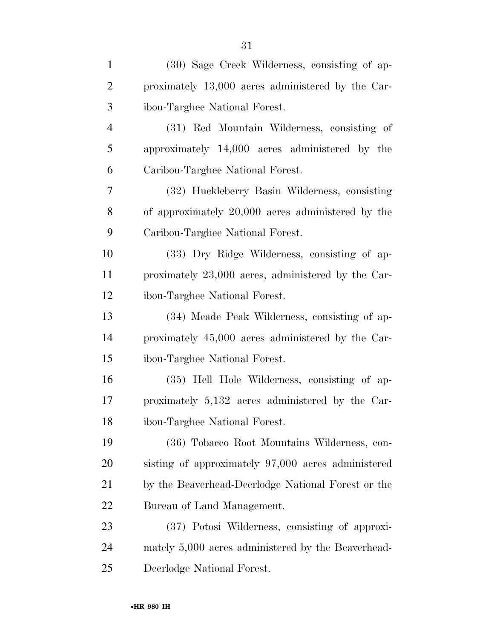| $\mathbf{1}$   | (30) Sage Creek Wilderness, consisting of ap-      |
|----------------|----------------------------------------------------|
| $\overline{2}$ | proximately 13,000 acres administered by the Car-  |
| 3              | ibou-Targhee National Forest.                      |
| $\overline{4}$ | (31) Red Mountain Wilderness, consisting of        |
| 5              | approximately 14,000 acres administered by the     |
| 6              | Caribou-Targhee National Forest.                   |
| 7              | (32) Huckleberry Basin Wilderness, consisting      |
| 8              | of approximately 20,000 acres administered by the  |
| 9              | Caribou-Targhee National Forest.                   |
| 10             | (33) Dry Ridge Wilderness, consisting of ap-       |
| 11             | proximately 23,000 acres, administered by the Car- |
| 12             | ibou-Targhee National Forest.                      |
| 13             | (34) Meade Peak Wilderness, consisting of ap-      |
| 14             | proximately 45,000 acres administered by the Car-  |
| 15             | ibou-Targhee National Forest.                      |
| 16             | (35) Hell Hole Wilderness, consisting of ap-       |
| 17             | proximately 5,132 acres administered by the Car-   |
| 18             | ibou-Targhee National Forest.                      |
| 19             | (36) Tobacco Root Mountains Wilderness, con-       |
| <b>20</b>      | sisting of approximately 97,000 acres administered |
| 21             | by the Beaverhead-Deerlodge National Forest or the |
| 22             | Bureau of Land Management.                         |
| 23             | (37) Potosi Wilderness, consisting of approxi-     |
| 24             | mately 5,000 acres administered by the Beaverhead- |
| 25             | Deerlodge National Forest.                         |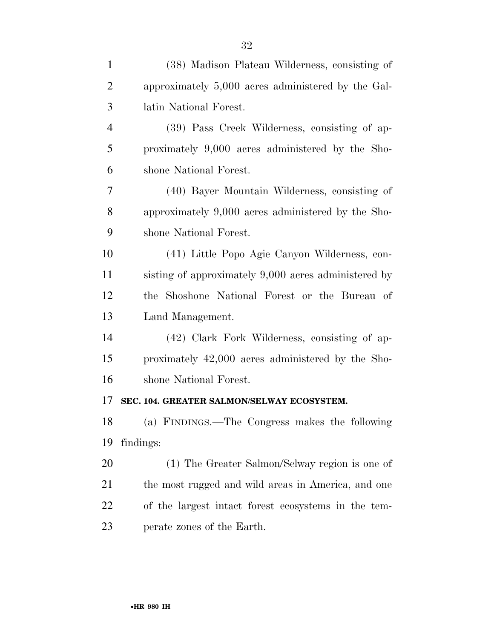| $\mathbf{1}$   | (38) Madison Plateau Wilderness, consisting of       |
|----------------|------------------------------------------------------|
| $\overline{2}$ | approximately 5,000 acres administered by the Gal-   |
| 3              | latin National Forest.                               |
| $\overline{4}$ | (39) Pass Creek Wilderness, consisting of ap-        |
| 5              | proximately 9,000 acres administered by the Sho-     |
| 6              | shone National Forest.                               |
| 7              | (40) Bayer Mountain Wilderness, consisting of        |
| 8              | approximately 9,000 acres administered by the Sho-   |
| 9              | shone National Forest.                               |
| 10             | (41) Little Popo Agie Canyon Wilderness, con-        |
| 11             | sisting of approximately 9,000 acres administered by |
| 12             | the Shoshone National Forest or the Bureau of        |
| 13             | Land Management.                                     |
| 14             | (42) Clark Fork Wilderness, consisting of ap-        |
| 15             | proximately 42,000 acres administered by the Sho-    |
| 16             | shone National Forest.                               |
| 17             | SEC. 104. GREATER SALMON/SELWAY ECOSYSTEM.           |
| 18             | (a) FINDINGS.—The Congress makes the following       |
| 19             | findings:                                            |
| 20             | (1) The Greater Salmon/Selway region is one of       |
| 21             | the most rugged and wild areas in America, and one   |
| 22             | of the largest intact forest ecosystems in the tem-  |
| 23             | perate zones of the Earth.                           |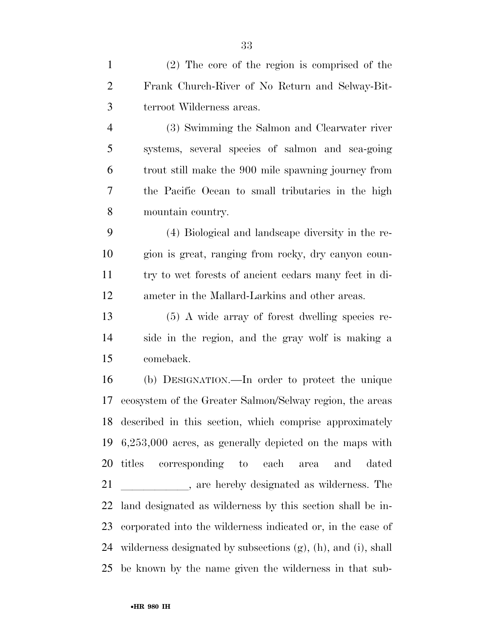(2) The core of the region is comprised of the Frank Church-River of No Return and Selway-Bit-terroot Wilderness areas.

 (3) Swimming the Salmon and Clearwater river systems, several species of salmon and sea-going trout still make the 900 mile spawning journey from the Pacific Ocean to small tributaries in the high mountain country.

 (4) Biological and landscape diversity in the re- gion is great, ranging from rocky, dry canyon coun- try to wet forests of ancient cedars many feet in di-ameter in the Mallard-Larkins and other areas.

 (5) A wide array of forest dwelling species re- side in the region, and the gray wolf is making a comeback.

 (b) DESIGNATION.—In order to protect the unique ecosystem of the Greater Salmon/Selway region, the areas described in this section, which comprise approximately 6,253,000 acres, as generally depicted on the maps with titles corresponding to each area and dated 21 are hereby designated as wilderness. The land designated as wilderness by this section shall be in- corporated into the wilderness indicated or, in the case of wilderness designated by subsections (g), (h), and (i), shall be known by the name given the wilderness in that sub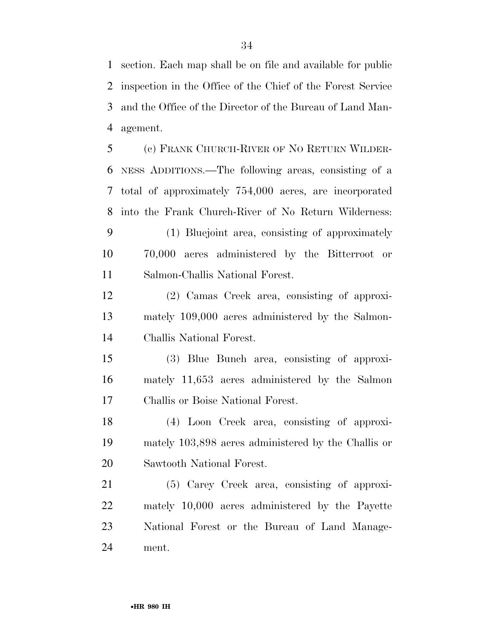section. Each map shall be on file and available for public inspection in the Office of the Chief of the Forest Service and the Office of the Director of the Bureau of Land Man-agement.

 (c) FRANK CHURCH-RIVER OF NO RETURN WILDER- NESS ADDITIONS.—The following areas, consisting of a total of approximately 754,000 acres, are incorporated into the Frank Church-River of No Return Wilderness:

 (1) Bluejoint area, consisting of approximately 70,000 acres administered by the Bitterroot or Salmon-Challis National Forest.

 (2) Camas Creek area, consisting of approxi- mately 109,000 acres administered by the Salmon-Challis National Forest.

 (3) Blue Bunch area, consisting of approxi- mately 11,653 acres administered by the Salmon Challis or Boise National Forest.

 (4) Loon Creek area, consisting of approxi- mately 103,898 acres administered by the Challis or Sawtooth National Forest.

 (5) Carey Creek area, consisting of approxi- mately 10,000 acres administered by the Payette National Forest or the Bureau of Land Manage-ment.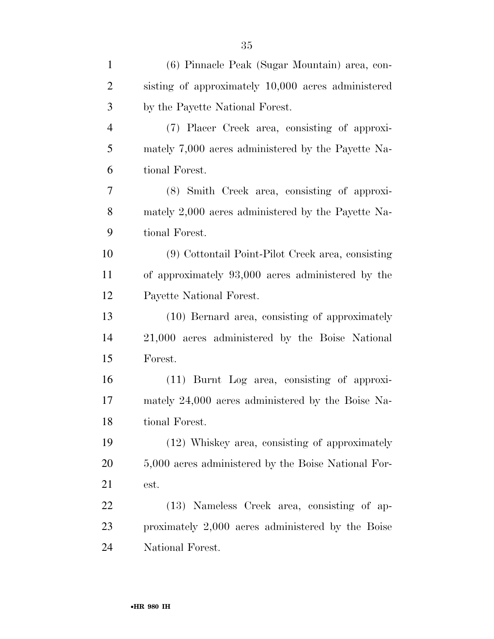| $\mathbf{1}$   | (6) Pinnacle Peak (Sugar Mountain) area, con-       |
|----------------|-----------------------------------------------------|
| $\overline{2}$ | sisting of approximately 10,000 acres administered  |
| 3              | by the Payette National Forest.                     |
| $\overline{4}$ | (7) Placer Creek area, consisting of approxi-       |
| 5              | mately 7,000 acres administered by the Payette Na-  |
| 6              | tional Forest.                                      |
| 7              | (8) Smith Creek area, consisting of approxi-        |
| 8              | mately 2,000 acres administered by the Payette Na-  |
| 9              | tional Forest.                                      |
| 10             | (9) Cottontail Point-Pilot Creek area, consisting   |
| 11             | of approximately 93,000 acres administered by the   |
| 12             | Payette National Forest.                            |
| 13             | (10) Bernard area, consisting of approximately      |
| 14             | 21,000 acres administered by the Boise National     |
| 15             | Forest.                                             |
| 16             | (11) Burnt Log area, consisting of approxi-         |
| 17             | mately 24,000 acres administered by the Boise Na-   |
| 18             | tional Forest.                                      |
| 19             | (12) Whiskey area, consisting of approximately      |
| 20             | 5,000 acres administered by the Boise National For- |
| 21             | est.                                                |
| 22             | (13) Nameless Creek area, consisting of ap-         |
| 23             | proximately 2,000 acres administered by the Boise   |
| 24             | National Forest.                                    |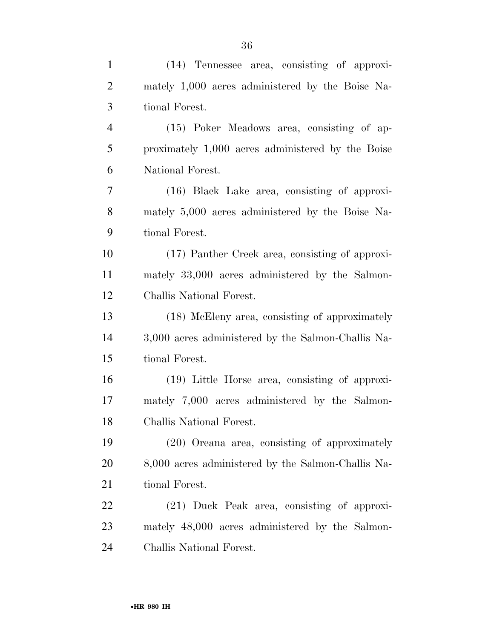| $\mathbf{1}$   | (14) Tennessee area, consisting of approxi-        |
|----------------|----------------------------------------------------|
| $\overline{2}$ | mately 1,000 acres administered by the Boise Na-   |
| 3              | tional Forest.                                     |
| $\overline{4}$ | (15) Poker Meadows area, consisting of ap-         |
| 5              | proximately 1,000 acres administered by the Boise  |
| 6              | National Forest.                                   |
| 7              | (16) Black Lake area, consisting of approxi-       |
| 8              | mately 5,000 acres administered by the Boise Na-   |
| 9              | tional Forest.                                     |
| 10             | (17) Panther Creek area, consisting of approxi-    |
| 11             | mately 33,000 acres administered by the Salmon-    |
| 12             | Challis National Forest.                           |
| 13             | (18) McEleny area, consisting of approximately     |
| 14             | 3,000 acres administered by the Salmon-Challis Na- |
| 15             | tional Forest.                                     |
| 16             | (19) Little Horse area, consisting of approxi-     |
| 17             | mately 7,000 acres administered by the Salmon-     |
| 18             | Challis National Forest.                           |
| 19             | (20) Oreana area, consisting of approximately      |
| 20             | 8,000 acres administered by the Salmon-Challis Na- |
| 21             | tional Forest.                                     |
| 22             | (21) Duck Peak area, consisting of approxi-        |
| 23             | mately 48,000 acres administered by the Salmon-    |
| 24             | Challis National Forest.                           |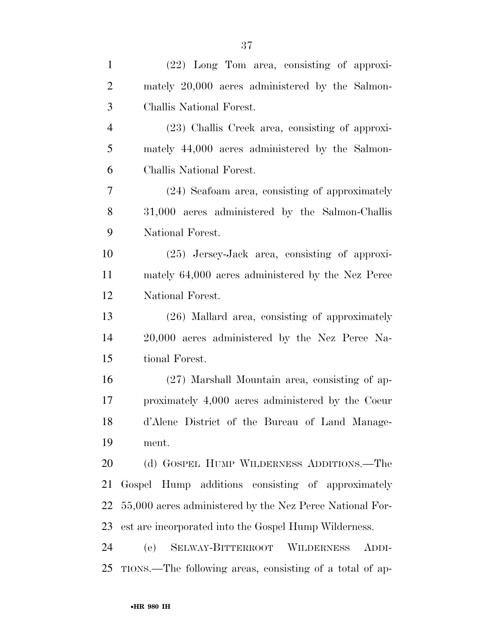| $\mathbf{1}$   | (22) Long Tom area, consisting of approxi-               |
|----------------|----------------------------------------------------------|
| $\overline{2}$ | mately 20,000 acres administered by the Salmon-          |
| 3              | Challis National Forest.                                 |
| $\overline{4}$ | (23) Challis Creek area, consisting of approxi-          |
| 5              | mately 44,000 acres administered by the Salmon-          |
| 6              | Challis National Forest.                                 |
| $\tau$         | (24) Seafoam area, consisting of approximately           |
| $8\,$          | 31,000 acres administered by the Salmon-Challis          |
| 9              | National Forest.                                         |
| 10             | $(25)$ Jersey-Jack area, consisting of approxi-          |
| 11             | mately 64,000 acres administered by the Nez Perce        |
| 12             | National Forest.                                         |
| 13             | (26) Mallard area, consisting of approximately           |
| 14             | 20,000 acres administered by the Nez Perce Na-           |
| 15             | tional Forest.                                           |
| 16             | (27) Marshall Mountain area, consisting of ap-           |
| 17             | proximately 4,000 acres administered by the Coeur        |
| 18             | d'Alene District of the Bureau of Land Manage-           |
| 19             | ment.                                                    |
| 20             | (d) GOSPEL HUMP WILDERNESS ADDITIONS.—The                |
| 21             | Gospel Hump additions consisting of approximately        |
| 22             | 55,000 acres administered by the Nez Perce National For- |
| 23             | est are incorporated into the Gospel Hump Wilderness.    |
| 24             | (e) SELWAY-BITTERROOT WILDERNESS<br>ADDI-                |
| 25             | TIONS.—The following areas, consisting of a total of ap- |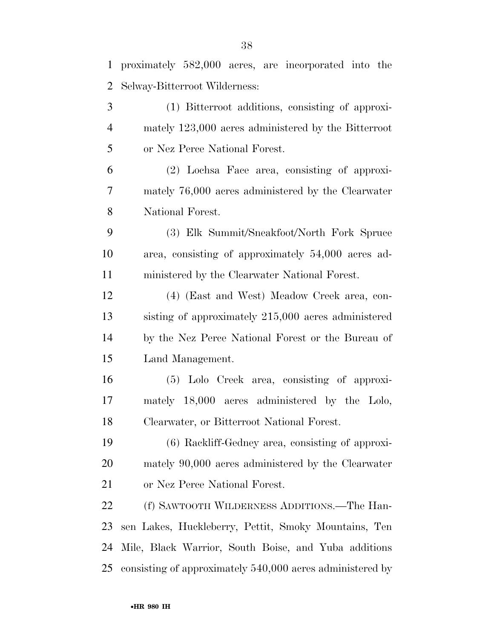proximately 582,000 acres, are incorporated into the

| 2              | Selway-Bitterroot Wilderness:                             |
|----------------|-----------------------------------------------------------|
| 3              | (1) Bitterroot additions, consisting of approxi-          |
| $\overline{4}$ | mately 123,000 acres administered by the Bitterroot       |
| 5              | or Nez Perce National Forest.                             |
| 6              | (2) Lochsa Face area, consisting of approxi-              |
| 7              | mately 76,000 acres administered by the Clearwater        |
| 8              | National Forest.                                          |
| 9              | (3) Elk Summit/Sneakfoot/North Fork Spruce                |
| 10             | area, consisting of approximately 54,000 acres ad-        |
| 11             | ministered by the Clearwater National Forest.             |
| 12             | (4) (East and West) Meadow Creek area, con-               |
| 13             | sisting of approximately 215,000 acres administered       |
| 14             | by the Nez Perce National Forest or the Bureau of         |
| 15             | Land Management.                                          |
| 16             | (5) Lolo Creek area, consisting of approxi-               |
| 17             | mately 18,000 acres administered by the Lolo,             |
| 18             | Clearwater, or Bitterroot National Forest.                |
| 19             | (6) Rackliff-Gedney area, consisting of approxi-          |
| 20             | mately 90,000 acres administered by the Clearwater        |
| 21             | or Nez Perce National Forest.                             |
| 22             | (f) SAWTOOTH WILDERNESS ADDITIONS.—The Han-               |
| 23             | sen Lakes, Huckleberry, Pettit, Smoky Mountains, Ten      |
| 24             | Mile, Black Warrior, South Boise, and Yuba additions      |
| 25             | consisting of approximately 540,000 acres administered by |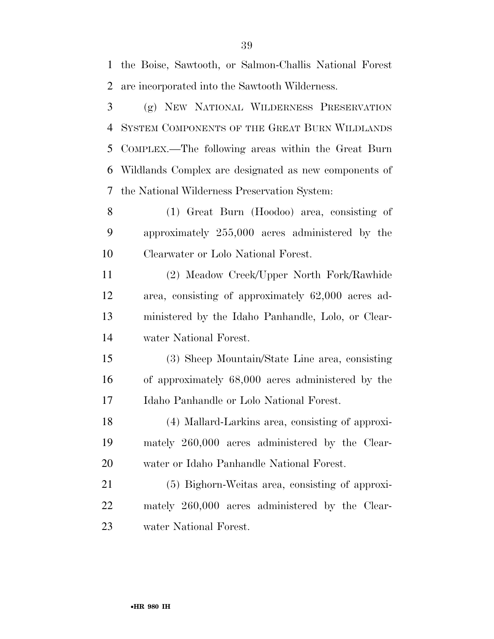water National Forest.

 COMPLEX.—The following areas within the Great Burn Wildlands Complex are designated as new components of the National Wilderness Preservation System: (1) Great Burn (Hoodoo) area, consisting of approximately 255,000 acres administered by the Clearwater or Lolo National Forest. (2) Meadow Creek/Upper North Fork/Rawhide area, consisting of approximately 62,000 acres ad- ministered by the Idaho Panhandle, Lolo, or Clear- water National Forest. (3) Sheep Mountain/State Line area, consisting of approximately 68,000 acres administered by the Idaho Panhandle or Lolo National Forest. (4) Mallard-Larkins area, consisting of approxi- mately 260,000 acres administered by the Clear- water or Idaho Panhandle National Forest. (5) Bighorn-Weitas area, consisting of approxi-mately 260,000 acres administered by the Clear-

 are incorporated into the Sawtooth Wilderness. (g) NEW NATIONAL WILDERNESS PRESERVATION

SYSTEM COMPONENTS OF THE GREAT BURN WILDLANDS

the Boise, Sawtooth, or Salmon-Challis National Forest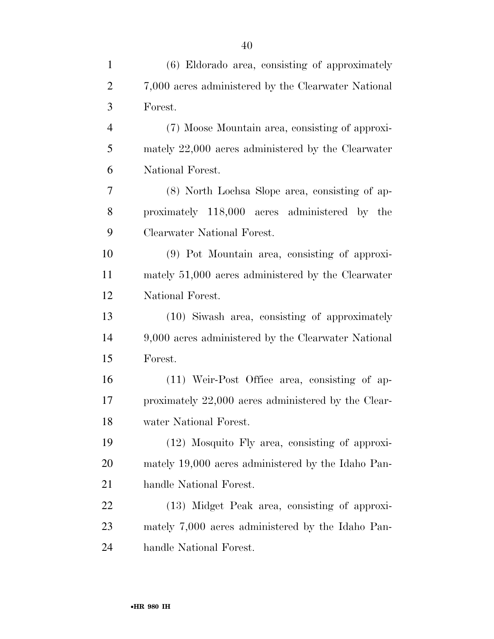| $\mathbf{1}$   | (6) Eldorado area, consisting of approximately      |
|----------------|-----------------------------------------------------|
| $\overline{2}$ | 7,000 acres administered by the Clearwater National |
| 3              | Forest.                                             |
| $\overline{4}$ | (7) Moose Mountain area, consisting of approxi-     |
| 5              | mately 22,000 acres administered by the Clearwater  |
| 6              | National Forest.                                    |
| 7              | (8) North Lochsa Slope area, consisting of ap-      |
| 8              | proximately 118,000 acres administered by the       |
| 9              | Clearwater National Forest.                         |
| 10             | (9) Pot Mountain area, consisting of approxi-       |
| 11             | mately 51,000 acres administered by the Clearwater  |
| 12             | National Forest.                                    |
| 13             | (10) Siwash area, consisting of approximately       |
| 14             | 9,000 acres administered by the Clearwater National |
| 15             | Forest.                                             |
| 16             | (11) Weir-Post Office area, consisting of ap-       |
| 17             | proximately 22,000 acres administered by the Clear- |
| 18             | water National Forest.                              |
| 19             | (12) Mosquito Fly area, consisting of approxi-      |
| 20             | mately 19,000 acres administered by the Idaho Pan-  |
| 21             | handle National Forest.                             |
| 22             | (13) Midget Peak area, consisting of approxi-       |
| 23             | mately 7,000 acres administered by the Idaho Pan-   |
| 24             | handle National Forest.                             |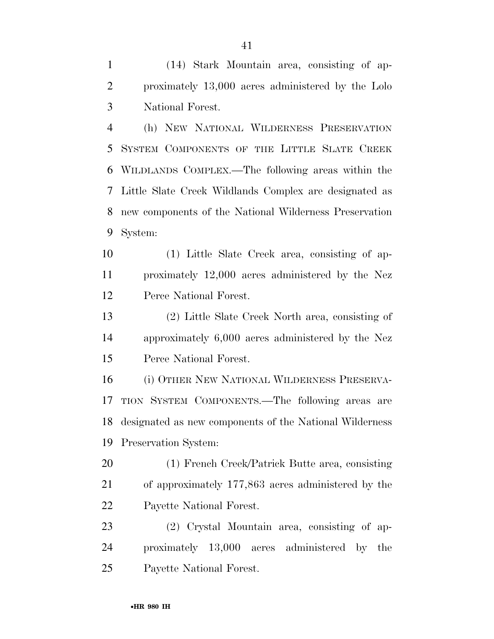(14) Stark Mountain area, consisting of ap- proximately 13,000 acres administered by the Lolo National Forest.

 (h) NEW NATIONAL WILDERNESS PRESERVATION SYSTEM COMPONENTS OF THE LITTLE SLATE CREEK WILDLANDS COMPLEX.—The following areas within the Little Slate Creek Wildlands Complex are designated as new components of the National Wilderness Preservation System:

 (1) Little Slate Creek area, consisting of ap- proximately 12,000 acres administered by the Nez Perce National Forest.

 (2) Little Slate Creek North area, consisting of approximately 6,000 acres administered by the Nez Perce National Forest.

 (i) OTHER NEW NATIONAL WILDERNESS PRESERVA- TION SYSTEM COMPONENTS.—The following areas are designated as new components of the National Wilderness Preservation System:

 (1) French Creek/Patrick Butte area, consisting of approximately 177,863 acres administered by the Payette National Forest.

 (2) Crystal Mountain area, consisting of ap- proximately 13,000 acres administered by the Payette National Forest.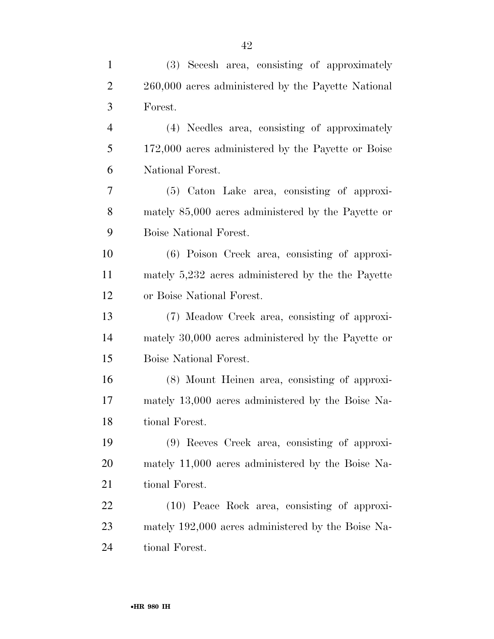| $\mathbf{1}$   | (3) Secesh area, consisting of approximately       |
|----------------|----------------------------------------------------|
| $\overline{c}$ | 260,000 acres administered by the Payette National |
| 3              | Forest.                                            |
| $\overline{4}$ | (4) Needles area, consisting of approximately      |
| 5              | 172,000 acres administered by the Payette or Boise |
| 6              | National Forest.                                   |
| 7              | (5) Caton Lake area, consisting of approxi-        |
| 8              | mately 85,000 acres administered by the Payette or |
| 9              | Boise National Forest.                             |
| 10             | (6) Poison Creek area, consisting of approxi-      |
| 11             | mately 5,232 acres administered by the the Payette |
| 12             | or Boise National Forest.                          |
| 13             | (7) Meadow Creek area, consisting of approxi-      |
| 14             | mately 30,000 acres administered by the Payette or |
| 15             | Boise National Forest.                             |
| 16             | (8) Mount Heinen area, consisting of approxi-      |
| 17             | mately 13,000 acres administered by the Boise Na-  |
| 18             | tional Forest.                                     |
| 19             | (9) Reeves Creek area, consisting of approxi-      |
| <b>20</b>      | mately 11,000 acres administered by the Boise Na-  |
| 21             | tional Forest.                                     |
| 22             | (10) Peace Rock area, consisting of approxi-       |
| 23             | mately 192,000 acres administered by the Boise Na- |
| 24             | tional Forest.                                     |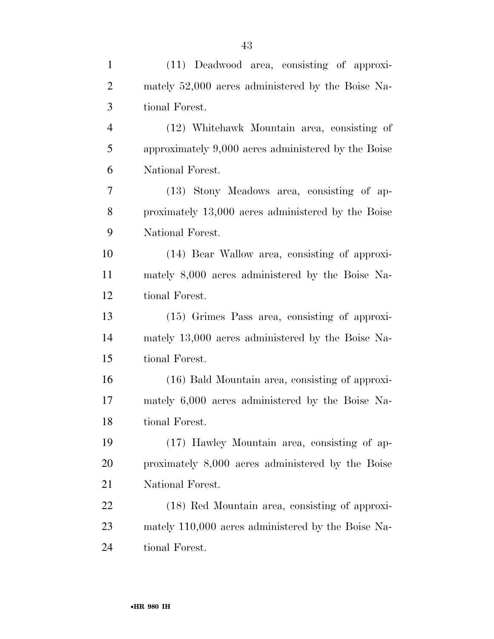| $\mathbf{1}$   | (11) Deadwood area, consisting of approxi-          |
|----------------|-----------------------------------------------------|
| $\overline{2}$ | mately 52,000 acres administered by the Boise Na-   |
| 3              | tional Forest.                                      |
| $\overline{4}$ | (12) Whitehawk Mountain area, consisting of         |
| 5              | approximately 9,000 acres administered by the Boise |
| 6              | National Forest.                                    |
| 7              | (13) Stony Meadows area, consisting of ap-          |
| 8              | proximately 13,000 acres administered by the Boise  |
| 9              | National Forest.                                    |
| 10             | (14) Bear Wallow area, consisting of approxi-       |
| 11             | mately 8,000 acres administered by the Boise Na-    |
| 12             | tional Forest.                                      |
| 13             | $(15)$ Grimes Pass area, consisting of approxi-     |
| 14             | mately 13,000 acres administered by the Boise Na-   |
| 15             | tional Forest.                                      |
| 16             | (16) Bald Mountain area, consisting of approxi-     |
| 17             | mately 6,000 acres administered by the Boise Na-    |
| 18             | tional Forest.                                      |
| 19             | (17) Hawley Mountain area, consisting of ap-        |
| 20             | proximately 8,000 acres administered by the Boise   |
| 21             | National Forest.                                    |
| 22             | (18) Red Mountain area, consisting of approxi-      |
| 23             | mately 110,000 acres administered by the Boise Na-  |
| 24             | tional Forest.                                      |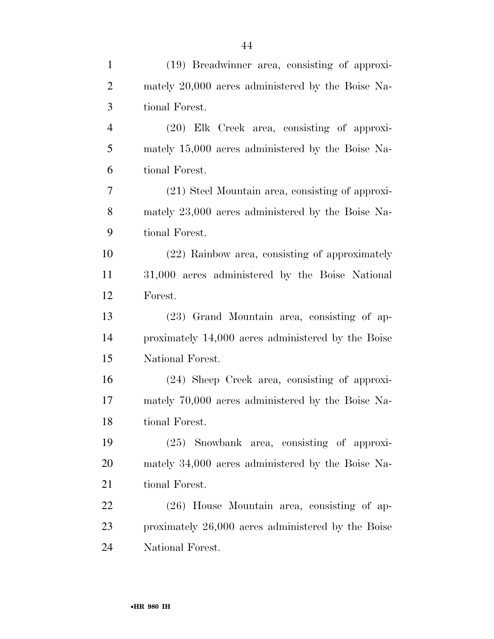| $\mathbf{1}$   | (19) Breadwinner area, consisting of approxi-      |
|----------------|----------------------------------------------------|
| $\overline{2}$ | mately 20,000 acres administered by the Boise Na-  |
| 3              | tional Forest.                                     |
| $\overline{4}$ | $(20)$ Elk Creek area, consisting of approxi-      |
| 5              | mately 15,000 acres administered by the Boise Na-  |
| 6              | tional Forest.                                     |
| 7              | (21) Steel Mountain area, consisting of approxi-   |
| $8\,$          | mately 23,000 acres administered by the Boise Na-  |
| 9              | tional Forest.                                     |
| 10             | (22) Rainbow area, consisting of approximately     |
| 11             | 31,000 acres administered by the Boise National    |
| 12             | Forest.                                            |
| 13             | (23) Grand Mountain area, consisting of ap-        |
| 14             | proximately 14,000 acres administered by the Boise |
| 15             | National Forest.                                   |
| 16             | (24) Sheep Creek area, consisting of approxi-      |
| 17             | mately 70,000 acres administered by the Boise Na-  |
| 18             | tional Forest.                                     |
| 19             | $(25)$ Snowbank area, consisting of approxi-       |
| 20             | mately 34,000 acres administered by the Boise Na-  |
| 21             | tional Forest.                                     |
| 22             | $(26)$ House Mountain area, consisting of ap-      |
| 23             | proximately 26,000 acres administered by the Boise |
| 24             | National Forest.                                   |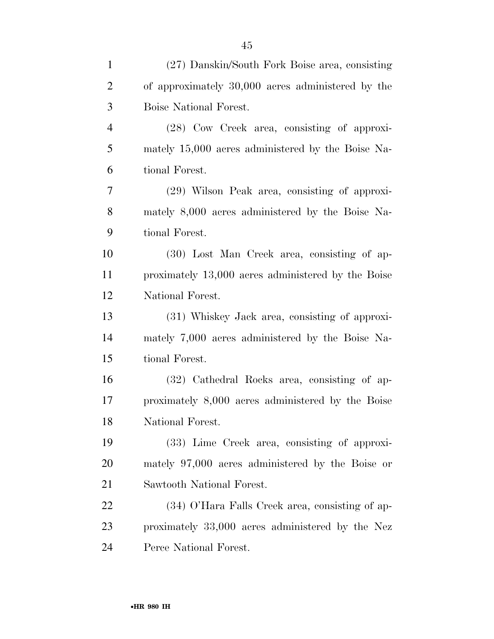| $\mathbf{1}$   | (27) Danskin/South Fork Boise area, consisting     |
|----------------|----------------------------------------------------|
| $\overline{2}$ | of approximately 30,000 acres administered by the  |
| 3              | Boise National Forest.                             |
| $\overline{4}$ | (28) Cow Creek area, consisting of approxi-        |
| 5              | mately 15,000 acres administered by the Boise Na-  |
| 6              | tional Forest.                                     |
| $\tau$         | (29) Wilson Peak area, consisting of approxi-      |
| 8              | mately 8,000 acres administered by the Boise Na-   |
| 9              | tional Forest.                                     |
| 10             | (30) Lost Man Creek area, consisting of ap-        |
| 11             | proximately 13,000 acres administered by the Boise |
| 12             | National Forest.                                   |
| 13             | (31) Whiskey Jack area, consisting of approxi-     |
| 14             | mately 7,000 acres administered by the Boise Na-   |
| 15             | tional Forest.                                     |
| 16             | (32) Cathedral Rocks area, consisting of ap-       |
| 17             | proximately 8,000 acres administered by the Boise  |
| 18             | National Forest.                                   |
| 19             | (33) Lime Creek area, consisting of approxi-       |
| 20             | mately 97,000 acres administered by the Boise or   |
| 21             | Sawtooth National Forest.                          |
| 22             | (34) O'Hara Falls Creek area, consisting of ap-    |
| 23             | proximately 33,000 acres administered by the Nez   |
| 24             | Perce National Forest.                             |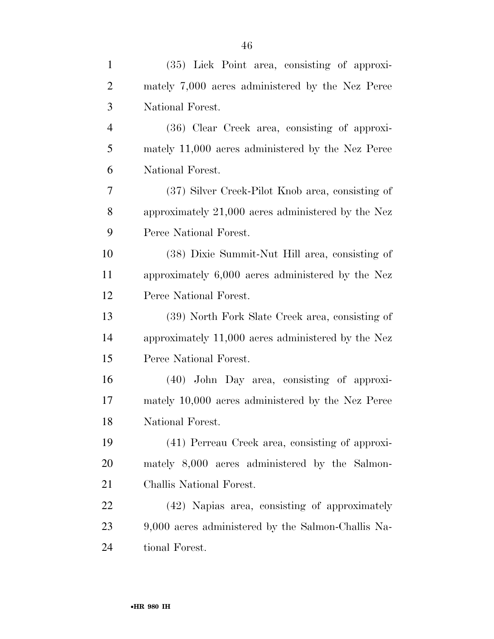| $\mathbf{1}$   | (35) Lick Point area, consisting of approxi-         |
|----------------|------------------------------------------------------|
| $\overline{2}$ | mately 7,000 acres administered by the Nez Perce     |
| 3              | National Forest.                                     |
| $\overline{4}$ | (36) Clear Creek area, consisting of approxi-        |
| 5              | mately 11,000 acres administered by the Nez Perce    |
| 6              | National Forest.                                     |
| 7              | (37) Silver Creek-Pilot Knob area, consisting of     |
| 8              | approximately $21,000$ acres administered by the Nez |
| 9              | Perce National Forest.                               |
| 10             | (38) Dixie Summit-Nut Hill area, consisting of       |
| 11             | approximately 6,000 acres administered by the Nez    |
| 12             | Perce National Forest.                               |
| 13             | (39) North Fork Slate Creek area, consisting of      |
| 14             | approximately 11,000 acres administered by the Nez   |
| 15             | Perce National Forest.                               |
| 16             | $(40)$ John Day area, consisting of approxi-         |
| 17             | mately 10,000 acres administered by the Nez Perce    |
| 18             | National Forest.                                     |
| 19             | (41) Perreau Creek area, consisting of approxi-      |
| 20             | mately 8,000 acres administered by the Salmon-       |
| 21             | Challis National Forest.                             |
| 22             | (42) Napias area, consisting of approximately        |
| 23             | 9,000 acres administered by the Salmon-Challis Na-   |
| 24             | tional Forest.                                       |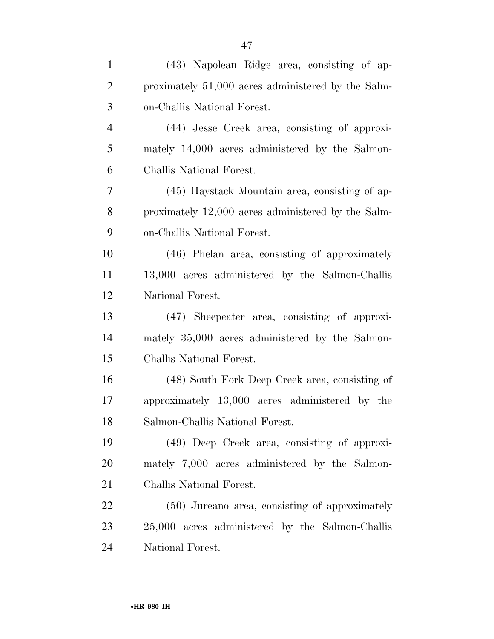| $\mathbf{1}$   | (43) Napolean Ridge area, consisting of ap-        |
|----------------|----------------------------------------------------|
| $\overline{2}$ | proximately 51,000 acres administered by the Salm- |
| 3              | on-Challis National Forest.                        |
| $\overline{4}$ | (44) Jesse Creek area, consisting of approxi-      |
| 5              | mately 14,000 acres administered by the Salmon-    |
| 6              | Challis National Forest.                           |
| 7              | (45) Haystack Mountain area, consisting of ap-     |
| 8              | proximately 12,000 acres administered by the Salm- |
| 9              | on-Challis National Forest.                        |
| 10             | (46) Phelan area, consisting of approximately      |
| 11             | 13,000 acres administered by the Salmon-Challis    |
| 12             | National Forest.                                   |
| 13             | (47) Sheepeater area, consisting of approxi-       |
| 14             | mately 35,000 acres administered by the Salmon-    |
| 15             | Challis National Forest.                           |
| 16             | (48) South Fork Deep Creek area, consisting of     |
| 17             | approximately 13,000 acres administered by the     |
| 18             | Salmon-Challis National Forest.                    |
| 19             | (49) Deep Creek area, consisting of approxi-       |
| 20             | mately 7,000 acres administered by the Salmon-     |
| 21             | Challis National Forest.                           |
| 22             | (50) Jureano area, consisting of approximately     |
| 23             | 25,000 acres administered by the Salmon-Challis    |
| 24             | National Forest.                                   |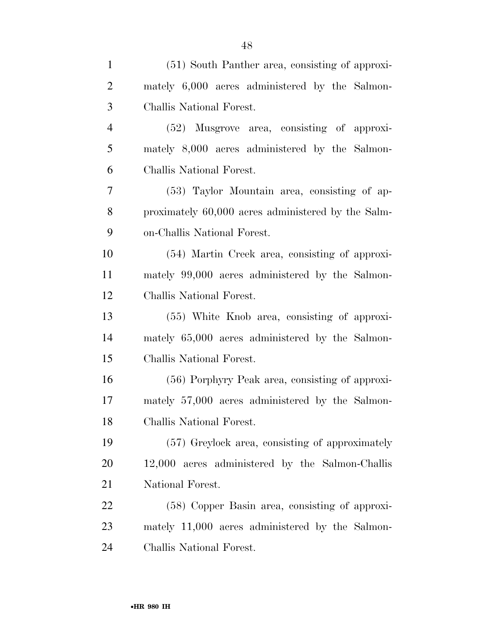| $\mathbf{1}$   | (51) South Panther area, consisting of approxi-    |
|----------------|----------------------------------------------------|
| $\overline{2}$ | mately 6,000 acres administered by the Salmon-     |
| 3              | Challis National Forest.                           |
| $\overline{4}$ | (52) Musgrove area, consisting of approxi-         |
| 5              | mately 8,000 acres administered by the Salmon-     |
| 6              | Challis National Forest.                           |
| 7              | (53) Taylor Mountain area, consisting of ap-       |
| 8              | proximately 60,000 acres administered by the Salm- |
| 9              | on-Challis National Forest.                        |
| 10             | (54) Martin Creek area, consisting of approxi-     |
| 11             | mately 99,000 acres administered by the Salmon-    |
| 12             | Challis National Forest.                           |
| 13             | $(55)$ White Knob area, consisting of approxi-     |
| 14             | mately 65,000 acres administered by the Salmon-    |
| 15             | Challis National Forest.                           |
| 16             | (56) Porphyry Peak area, consisting of approxi-    |
| 17             | mately 57,000 acres administered by the Salmon-    |
| 18             | Challis National Forest.                           |
| 19             | (57) Greylock area, consisting of approximately    |
| 20             | 12,000 acres administered by the Salmon-Challis    |
| 21             | National Forest.                                   |
| 22             | (58) Copper Basin area, consisting of approxi-     |
| 23             | mately 11,000 acres administered by the Salmon-    |
| 24             | Challis National Forest.                           |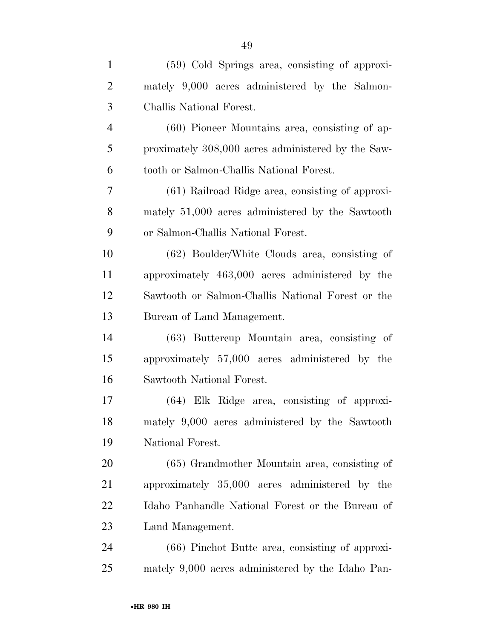| $\mathbf{1}$   | (59) Cold Springs area, consisting of approxi-     |
|----------------|----------------------------------------------------|
| $\overline{2}$ | mately 9,000 acres administered by the Salmon-     |
| 3              | Challis National Forest.                           |
| $\overline{4}$ | $(60)$ Pioneer Mountains area, consisting of ap-   |
| 5              | proximately 308,000 acres administered by the Saw- |
| 6              | tooth or Salmon-Challis National Forest.           |
| 7              | (61) Railroad Ridge area, consisting of approxi-   |
| 8              | mately 51,000 acres administered by the Sawtooth   |
| 9              | or Salmon-Challis National Forest.                 |
| 10             | (62) Boulder/White Clouds area, consisting of      |
| 11             | approximately 463,000 acres administered by the    |
| 12             | Sawtooth or Salmon-Challis National Forest or the  |
| 13             | Bureau of Land Management.                         |
| 14             | (63) Buttercup Mountain area, consisting of        |
| 15             | approximately 57,000 acres administered by the     |
| 16             | Sawtooth National Forest.                          |
| 17             | (64) Elk Ridge area, consisting of approxi-        |
| 18             | mately 9,000 acres administered by the Sawtooth    |
| 19             | National Forest.                                   |
| 20             | $(65)$ Grandmother Mountain area, consisting of    |
| 21             | approximately 35,000 acres administered by the     |
| <u>22</u>      | Idaho Panhandle National Forest or the Bureau of   |
| 23             | Land Management.                                   |
| 24             | $(66)$ Pinchot Butte area, consisting of approxi-  |
| 25             | mately 9,000 acres administered by the Idaho Pan-  |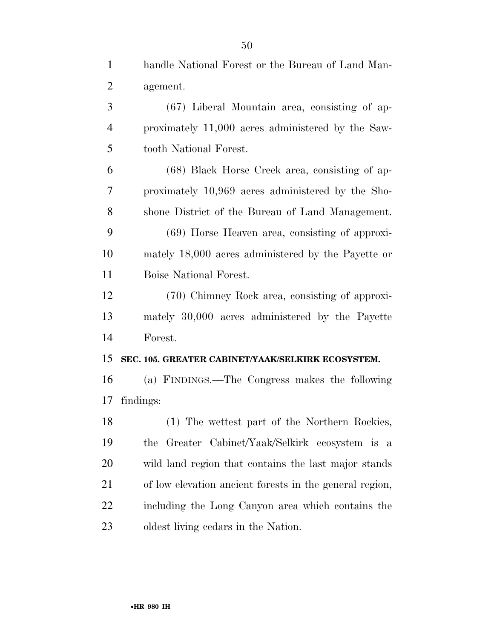| $\mathbf{1}$   | handle National Forest or the Bureau of Land Man-       |
|----------------|---------------------------------------------------------|
| $\overline{2}$ | agement.                                                |
| 3              | $(67)$ Liberal Mountain area, consisting of ap-         |
| 4              | proximately 11,000 acres administered by the Saw-       |
| 5              | tooth National Forest.                                  |
| 6              | (68) Black Horse Creek area, consisting of ap-          |
| 7              | proximately 10,969 acres administered by the Sho-       |
| 8              | shone District of the Bureau of Land Management.        |
| 9              | $(69)$ Horse Heaven area, consisting of approxi-        |
| 10             | mately 18,000 acres administered by the Payette or      |
| 11             | Boise National Forest.                                  |
| 12             | (70) Chimney Rock area, consisting of approxi-          |
| 13             | mately 30,000 acres administered by the Payette         |
| 14             | Forest.                                                 |
| 15             | SEC. 105. GREATER CABINET/YAAK/SELKIRK ECOSYSTEM.       |
| 16             | (a) FINDINGS.—The Congress makes the following          |
| 17             | findings:                                               |
| 18             | (1) The wettest part of the Northern Rockies,           |
| 19             | Greater Cabinet/Yaak/Selkirk ecosystem is a<br>the      |
| 20             | wild land region that contains the last major stands    |
| 21             | of low elevation ancient forests in the general region, |
| 22             | including the Long Canyon area which contains the       |
| 23             | oldest living cedars in the Nation.                     |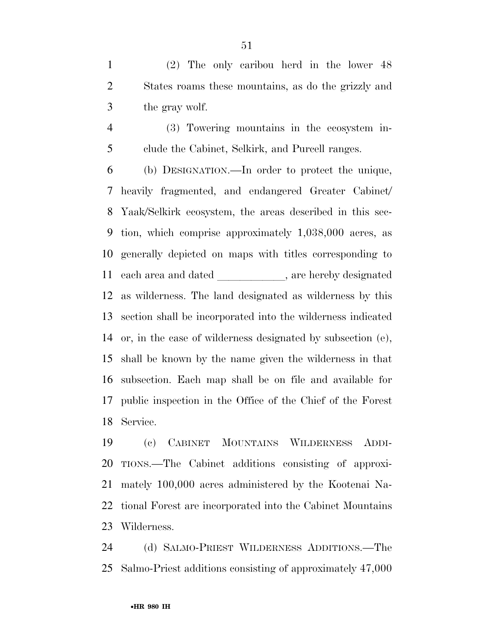(2) The only caribou herd in the lower 48 States roams these mountains, as do the grizzly and the gray wolf.

 (3) Towering mountains in the ecosystem in-clude the Cabinet, Selkirk, and Purcell ranges.

 (b) DESIGNATION.—In order to protect the unique, heavily fragmented, and endangered Greater Cabinet/ Yaak/Selkirk ecosystem, the areas described in this sec- tion, which comprise approximately 1,038,000 acres, as generally depicted on maps with titles corresponding to 11 each area and dated \_\_\_\_\_\_\_\_\_\_\_, are hereby designated as wilderness. The land designated as wilderness by this section shall be incorporated into the wilderness indicated or, in the case of wilderness designated by subsection (e), shall be known by the name given the wilderness in that subsection. Each map shall be on file and available for public inspection in the Office of the Chief of the Forest Service.

 (c) CABINET MOUNTAINS WILDERNESS ADDI- TIONS.—The Cabinet additions consisting of approxi- mately 100,000 acres administered by the Kootenai Na- tional Forest are incorporated into the Cabinet Mountains Wilderness.

 (d) SALMO-PRIEST WILDERNESS ADDITIONS.—The Salmo-Priest additions consisting of approximately 47,000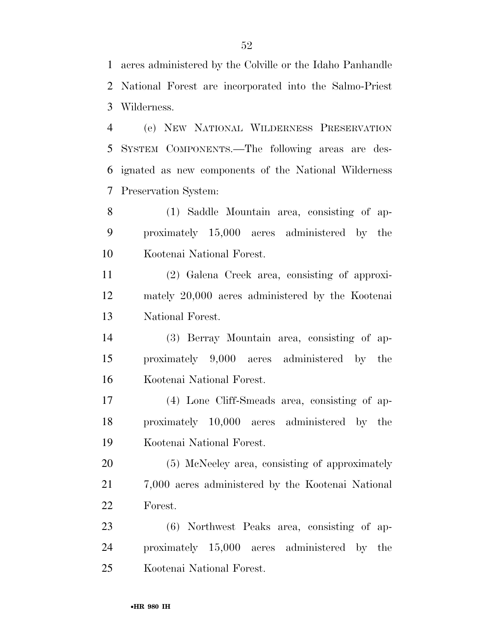acres administered by the Colville or the Idaho Panhandle National Forest are incorporated into the Salmo-Priest Wilderness.

 (e) NEW NATIONAL WILDERNESS PRESERVATION SYSTEM COMPONENTS.—The following areas are des- ignated as new components of the National Wilderness Preservation System:

 (1) Saddle Mountain area, consisting of ap- proximately 15,000 acres administered by the Kootenai National Forest.

 (2) Galena Creek area, consisting of approxi- mately 20,000 acres administered by the Kootenai National Forest.

 (3) Berray Mountain area, consisting of ap- proximately 9,000 acres administered by the Kootenai National Forest.

 (4) Lone Cliff-Smeads area, consisting of ap- proximately 10,000 acres administered by the Kootenai National Forest.

 (5) McNeeley area, consisting of approximately 7,000 acres administered by the Kootenai National Forest.

 (6) Northwest Peaks area, consisting of ap- proximately 15,000 acres administered by the Kootenai National Forest.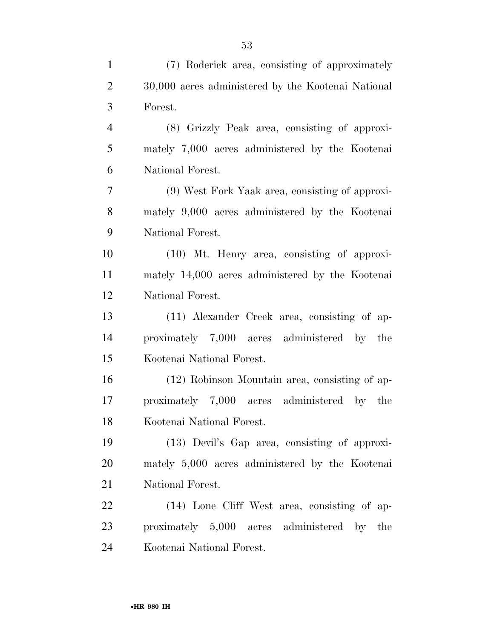| $\mathbf{1}$   | (7) Roderick area, consisting of approximately     |
|----------------|----------------------------------------------------|
| $\overline{2}$ | 30,000 acres administered by the Kootenai National |
| 3              | Forest.                                            |
| $\overline{4}$ | (8) Grizzly Peak area, consisting of approxi-      |
| 5              | mately 7,000 acres administered by the Kootenai    |
| 6              | National Forest.                                   |
| 7              | (9) West Fork Yaak area, consisting of approxi-    |
| 8              | mately 9,000 acres administered by the Kootenai    |
| 9              | National Forest.                                   |
| 10             | $(10)$ Mt. Henry area, consisting of approxi-      |
| 11             | mately 14,000 acres administered by the Kootenai   |
| 12             | National Forest.                                   |
| 13             | (11) Alexander Creek area, consisting of ap-       |
| 14             | proximately 7,000 acres administered by the        |
| 15             | Kootenai National Forest.                          |
| 16             | (12) Robinson Mountain area, consisting of ap-     |
| 17             | proximately 7,000 acres administered by the        |
| 18             | Kootenai National Forest.                          |
| 19             | (13) Devil's Gap area, consisting of approxi-      |
| 20             | mately 5,000 acres administered by the Kootenai    |
| 21             | National Forest.                                   |
| 22             | (14) Lone Cliff West area, consisting of ap-       |
| 23             | proximately 5,000 acres administered by the        |
| 24             | Kootenai National Forest.                          |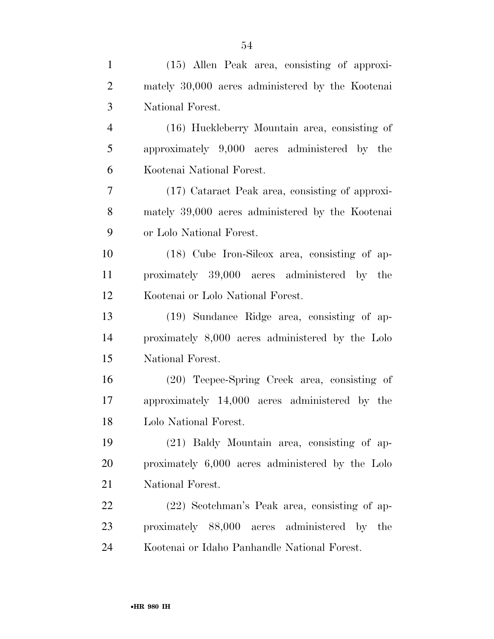| $\mathbf{1}$   | $(15)$ Allen Peak area, consisting of approxi-   |
|----------------|--------------------------------------------------|
| $\overline{2}$ | mately 30,000 acres administered by the Kootenai |
| 3              | National Forest.                                 |
| $\overline{4}$ | (16) Huckleberry Mountain area, consisting of    |
| 5              | approximately 9,000 acres administered by the    |
| 6              | Kootenai National Forest.                        |
| 7              | (17) Cataract Peak area, consisting of approxi-  |
| 8              | mately 39,000 acres administered by the Kootenai |
| 9              | or Lolo National Forest.                         |
| 10             | $(18)$ Cube Iron-Silcox area, consisting of ap-  |
| 11             | proximately 39,000 acres administered by the     |
| 12             | Kootenai or Lolo National Forest.                |
| 13             | (19) Sundance Ridge area, consisting of ap-      |
| 14             | proximately 8,000 acres administered by the Lolo |
| 15             | National Forest.                                 |
| 16             | (20) Teepee-Spring Creek area, consisting of     |
| 17             | approximately 14,000 acres administered by the   |
| 18             | Lolo National Forest.                            |
| 19             | (21) Baldy Mountain area, consisting of ap-      |
| 20             | proximately 6,000 acres administered by the Lolo |
| 21             | National Forest.                                 |
| 22             | (22) Scotchman's Peak area, consisting of ap-    |
| 23             | proximately 88,000 acres administered by the     |
| 24             | Kootenai or Idaho Panhandle National Forest.     |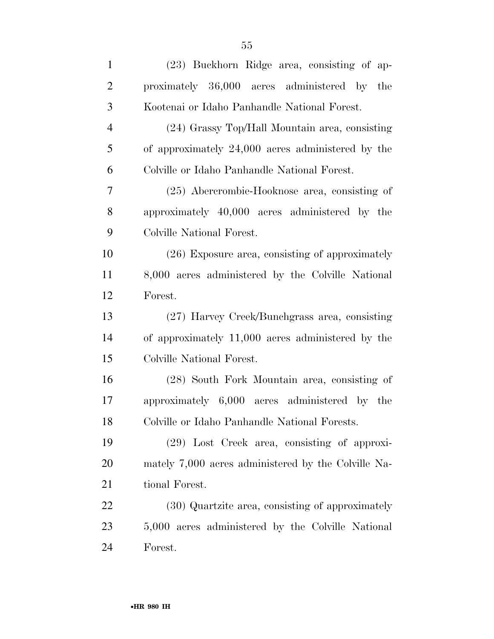| $\mathbf{1}$   | (23) Buckhorn Ridge area, consisting of ap-         |
|----------------|-----------------------------------------------------|
| $\overline{2}$ | proximately 36,000 acres administered by the        |
| 3              | Kootenai or Idaho Panhandle National Forest.        |
| $\overline{4}$ | (24) Grassy Top/Hall Mountain area, consisting      |
| 5              | of approximately 24,000 acres administered by the   |
| 6              | Colville or Idaho Panhandle National Forest.        |
| $\tau$         | (25) Abercrombie-Hooknose area, consisting of       |
| 8              | approximately 40,000 acres administered by the      |
| 9              | Colville National Forest.                           |
| 10             | $(26)$ Exposure area, consisting of approximately   |
| 11             | 8,000 acres administered by the Colville National   |
| 12             | Forest.                                             |
| 13             | (27) Harvey Creek/Bunchgrass area, consisting       |
| 14             | of approximately 11,000 acres administered by the   |
| 15             | Colville National Forest.                           |
| 16             | (28) South Fork Mountain area, consisting of        |
| 17             | approximately 6,000 acres administered by the       |
| 18             | Colville or Idaho Panhandle National Forests.       |
| 19             | $(29)$ Lost Creek area, consisting of approxi-      |
| 20             | mately 7,000 acres administered by the Colville Na- |
| 21             | tional Forest.                                      |
| 22             | (30) Quartzite area, consisting of approximately    |
| 23             | 5,000 acres administered by the Colville National   |
| 24             | Forest.                                             |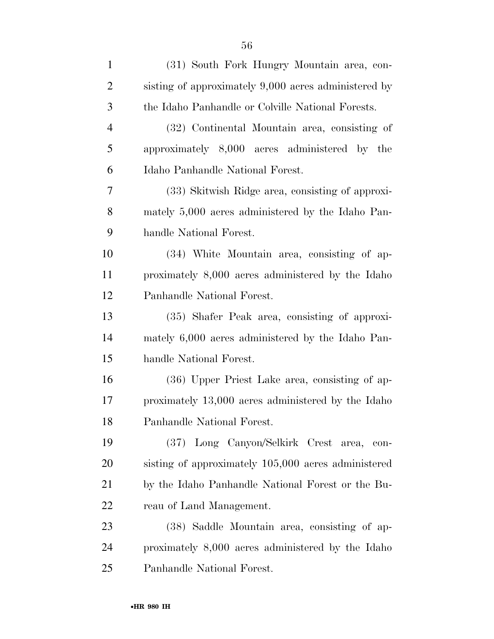| $\mathbf{1}$   | (31) South Fork Hungry Mountain area, con-           |
|----------------|------------------------------------------------------|
| $\overline{2}$ | sisting of approximately 9,000 acres administered by |
| 3              | the Idaho Panhandle or Colville National Forests.    |
| $\overline{4}$ | (32) Continental Mountain area, consisting of        |
| 5              | approximately 8,000 acres administered by the        |
| 6              | Idaho Panhandle National Forest.                     |
| 7              | (33) Skitwish Ridge area, consisting of approxi-     |
| 8              | mately 5,000 acres administered by the Idaho Pan-    |
| 9              | handle National Forest.                              |
| 10             | (34) White Mountain area, consisting of ap-          |
| 11             | proximately 8,000 acres administered by the Idaho    |
| 12             | Panhandle National Forest.                           |
| 13             | (35) Shafer Peak area, consisting of approxi-        |
| 14             | mately 6,000 acres administered by the Idaho Pan-    |
| 15             | handle National Forest.                              |
| 16             | (36) Upper Priest Lake area, consisting of ap-       |
| 17             | proximately 13,000 acres administered by the Idaho   |
| 18             | Panhandle National Forest.                           |
| 19             | (37) Long Canyon/Selkirk Crest area,<br>con-         |
| <b>20</b>      | sisting of approximately 105,000 acres administered  |
| 21             | by the Idaho Panhandle National Forest or the Bu-    |
| 22             | reau of Land Management.                             |
| 23             | (38) Saddle Mountain area, consisting of ap-         |
| 24             | proximately 8,000 acres administered by the Idaho    |
| 25             | Panhandle National Forest.                           |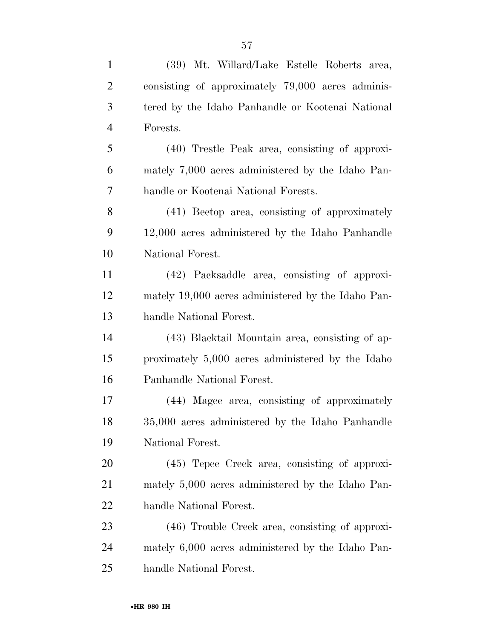| $\mathbf{1}$   | (39) Mt. Willard/Lake Estelle Roberts area,        |
|----------------|----------------------------------------------------|
| $\overline{2}$ | consisting of approximately 79,000 acres adminis-  |
| 3              | tered by the Idaho Panhandle or Kootenai National  |
| $\overline{4}$ | Forests.                                           |
| 5              | (40) Trestle Peak area, consisting of approxi-     |
| 6              | mately 7,000 acres administered by the Idaho Pan-  |
| 7              | handle or Kootenai National Forests.               |
| 8              | (41) Beetop area, consisting of approximately      |
| 9              | 12,000 acres administered by the Idaho Panhandle   |
| 10             | National Forest.                                   |
| 11             | (42) Packsaddle area, consisting of approxi-       |
| 12             | mately 19,000 acres administered by the Idaho Pan- |
| 13             | handle National Forest.                            |
| 14             | (43) Blacktail Mountain area, consisting of ap-    |
| 15             | proximately 5,000 acres administered by the Idaho  |
| 16             | Panhandle National Forest.                         |
| 17             | (44) Magee area, consisting of approximately       |
| 18             | 35,000 acres administered by the Idaho Panhandle   |
| 19             | National Forest.                                   |
| 20             | $(45)$ Tepee Creek area, consisting of approxi-    |
| 21             | mately 5,000 acres administered by the Idaho Pan-  |
| 22             | handle National Forest.                            |
| 23             | (46) Trouble Creek area, consisting of approxi-    |
| 24             | mately 6,000 acres administered by the Idaho Pan-  |
| 25             | handle National Forest.                            |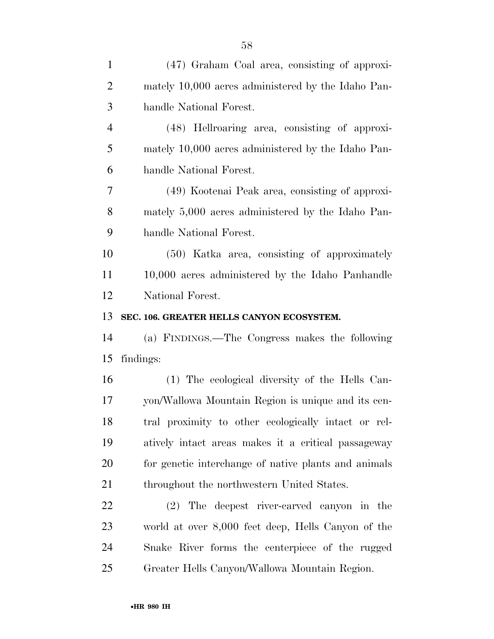| $\mathbf{1}$   | (47) Graham Coal area, consisting of approxi-        |
|----------------|------------------------------------------------------|
| $\overline{2}$ | mately 10,000 acres administered by the Idaho Pan-   |
| 3              | handle National Forest.                              |
| $\overline{4}$ | (48) Hellroaring area, consisting of approxi-        |
| 5              | mately 10,000 acres administered by the Idaho Pan-   |
| 6              | handle National Forest.                              |
| 7              | (49) Kootenai Peak area, consisting of approxi-      |
| 8              | mately 5,000 acres administered by the Idaho Pan-    |
| 9              | handle National Forest.                              |
| 10             | (50) Katka area, consisting of approximately         |
| 11             | 10,000 acres administered by the Idaho Panhandle     |
| 12             | National Forest.                                     |
| 13             | SEC. 106. GREATER HELLS CANYON ECOSYSTEM.            |
| 14             | (a) FINDINGS.—The Congress makes the following       |
| 15             | findings:                                            |
| 16             | (1) The ecological diversity of the Hells Can-       |
| 17             | yon/Wallowa Mountain Region is unique and its cen-   |
| 18             | tral proximity to other ecologically intact or rel-  |
| 19             | atively intact areas makes it a critical passage way |
| 20             | for genetic interchange of native plants and animals |
| 21             | throughout the northwestern United States.           |
| 22             | (2) The deepest river-carved canyon in the           |
| 23             | world at over 8,000 feet deep, Hells Canyon of the   |
| 24             |                                                      |
|                | Snake River forms the centerpiece of the rugged      |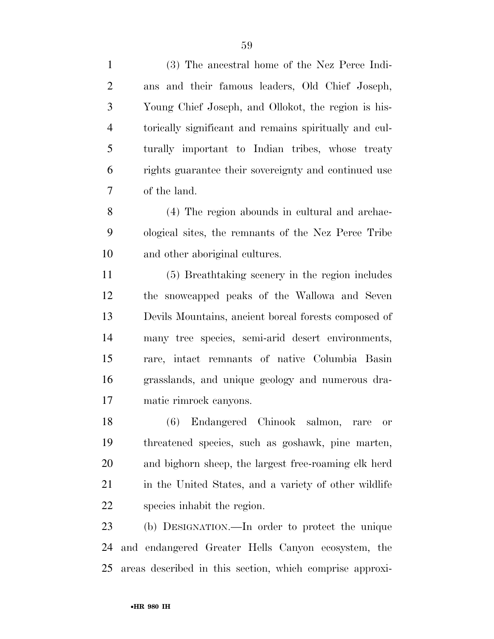(3) The ancestral home of the Nez Perce Indi- ans and their famous leaders, Old Chief Joseph, Young Chief Joseph, and Ollokot, the region is his- torically significant and remains spiritually and cul- turally important to Indian tribes, whose treaty rights guarantee their sovereignty and continued use of the land.

 (4) The region abounds in cultural and archae- ological sites, the remnants of the Nez Perce Tribe and other aboriginal cultures.

 (5) Breathtaking scenery in the region includes the snowcapped peaks of the Wallowa and Seven Devils Mountains, ancient boreal forests composed of many tree species, semi-arid desert environments, rare, intact remnants of native Columbia Basin grasslands, and unique geology and numerous dra-matic rimrock canyons.

 (6) Endangered Chinook salmon, rare or threatened species, such as goshawk, pine marten, and bighorn sheep, the largest free-roaming elk herd 21 in the United States, and a variety of other wildlife species inhabit the region.

 (b) DESIGNATION.—In order to protect the unique and endangered Greater Hells Canyon ecosystem, the areas described in this section, which comprise approxi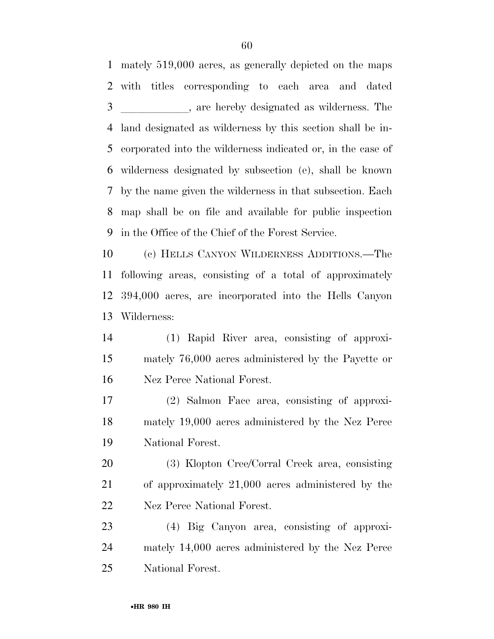mately 519,000 acres, as generally depicted on the maps with titles corresponding to each area and dated 3 are hereby designated as wilderness. The land designated as wilderness by this section shall be in- corporated into the wilderness indicated or, in the case of wilderness designated by subsection (e), shall be known by the name given the wilderness in that subsection. Each map shall be on file and available for public inspection in the Office of the Chief of the Forest Service.

 (c) HELLS CANYON WILDERNESS ADDITIONS.—The following areas, consisting of a total of approximately 394,000 acres, are incorporated into the Hells Canyon Wilderness:

 (1) Rapid River area, consisting of approxi- mately 76,000 acres administered by the Payette or Nez Perce National Forest.

 (2) Salmon Face area, consisting of approxi- mately 19,000 acres administered by the Nez Perce National Forest.

 (3) Klopton Cree/Corral Creek area, consisting of approximately 21,000 acres administered by the Nez Perce National Forest.

 (4) Big Canyon area, consisting of approxi- mately 14,000 acres administered by the Nez Perce National Forest.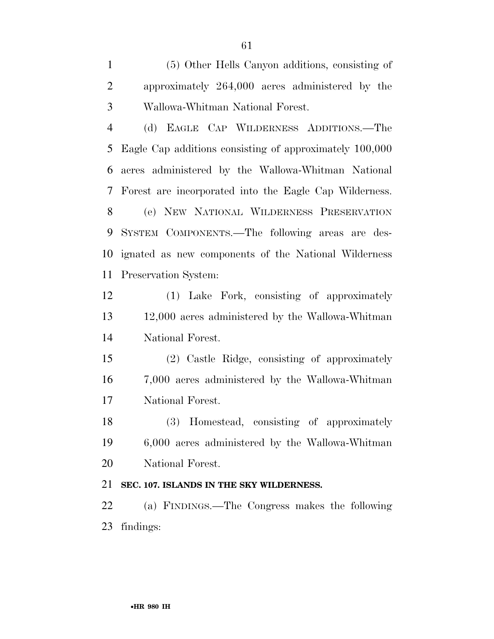(5) Other Hells Canyon additions, consisting of approximately 264,000 acres administered by the Wallowa-Whitman National Forest.

 (d) EAGLE CAP WILDERNESS ADDITIONS.—The Eagle Cap additions consisting of approximately 100,000 acres administered by the Wallowa-Whitman National Forest are incorporated into the Eagle Cap Wilderness. (e) NEW NATIONAL WILDERNESS PRESERVATION SYSTEM COMPONENTS.—The following areas are des- ignated as new components of the National Wilderness Preservation System:

 (1) Lake Fork, consisting of approximately 12,000 acres administered by the Wallowa-Whitman National Forest.

 (2) Castle Ridge, consisting of approximately 7,000 acres administered by the Wallowa-Whitman National Forest.

 (3) Homestead, consisting of approximately 6,000 acres administered by the Wallowa-Whitman National Forest.

## **SEC. 107. ISLANDS IN THE SKY WILDERNESS.**

 (a) FINDINGS.—The Congress makes the following findings: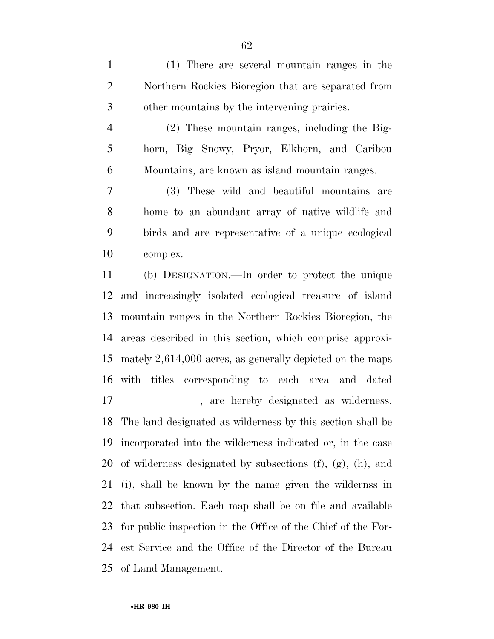(1) There are several mountain ranges in the Northern Rockies Bioregion that are separated from other mountains by the intervening prairies.

 (2) These mountain ranges, including the Big- horn, Big Snowy, Pryor, Elkhorn, and Caribou Mountains, are known as island mountain ranges.

 (3) These wild and beautiful mountains are home to an abundant array of native wildlife and birds and are representative of a unique ecological complex.

 (b) DESIGNATION.—In order to protect the unique and increasingly isolated ecological treasure of island mountain ranges in the Northern Rockies Bioregion, the areas described in this section, which comprise approxi- mately 2,614,000 acres, as generally depicted on the maps with titles corresponding to each area and dated 17 are hereby designated as wilderness. The land designated as wilderness by this section shall be incorporated into the wilderness indicated or, in the case of wilderness designated by subsections (f), (g), (h), and (i), shall be known by the name given the wildernss in that subsection. Each map shall be on file and available for public inspection in the Office of the Chief of the For- est Service and the Office of the Director of the Bureau of Land Management.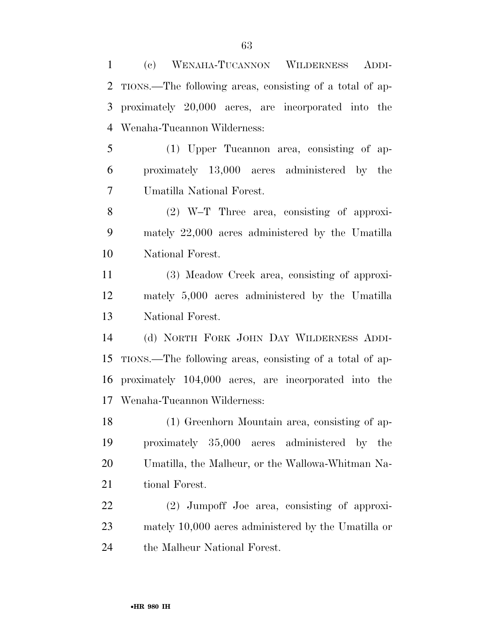(c) WENAHA-TUCANNON WILDERNESS ADDI- TIONS.—The following areas, consisting of a total of ap- proximately 20,000 acres, are incorporated into the Wenaha-Tucannon Wilderness: (1) Upper Tucannon area, consisting of ap-

 proximately 13,000 acres administered by the Umatilla National Forest.

 (2) W–T Three area, consisting of approxi- mately 22,000 acres administered by the Umatilla National Forest.

 (3) Meadow Creek area, consisting of approxi- mately 5,000 acres administered by the Umatilla National Forest.

 (d) NORTH FORK JOHN DAY WILDERNESS ADDI- TIONS.—The following areas, consisting of a total of ap- proximately 104,000 acres, are incorporated into the Wenaha-Tucannon Wilderness:

 (1) Greenhorn Mountain area, consisting of ap- proximately 35,000 acres administered by the Umatilla, the Malheur, or the Wallowa-Whitman Na-tional Forest.

 (2) Jumpoff Joe area, consisting of approxi- mately 10,000 acres administered by the Umatilla or the Malheur National Forest.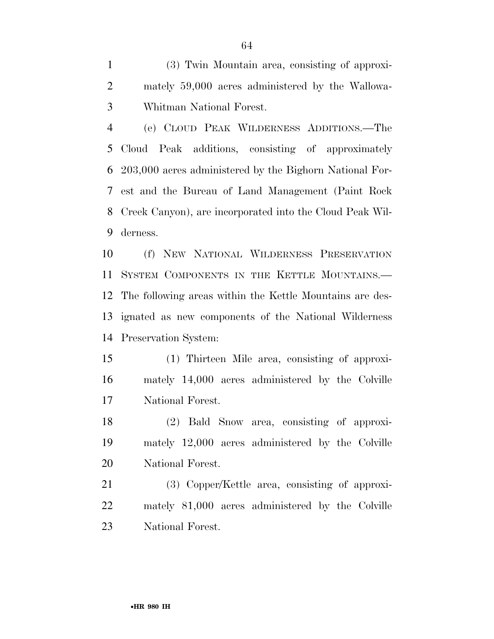(3) Twin Mountain area, consisting of approxi- mately 59,000 acres administered by the Wallowa-Whitman National Forest.

 (e) CLOUD PEAK WILDERNESS ADDITIONS.—The Cloud Peak additions, consisting of approximately 203,000 acres administered by the Bighorn National For- est and the Bureau of Land Management (Paint Rock Creek Canyon), are incorporated into the Cloud Peak Wil-derness.

 (f) NEW NATIONAL WILDERNESS PRESERVATION SYSTEM COMPONENTS IN THE KETTLE MOUNTAINS.— The following areas within the Kettle Mountains are des- ignated as new components of the National Wilderness Preservation System:

 (1) Thirteen Mile area, consisting of approxi- mately 14,000 acres administered by the Colville National Forest.

 (2) Bald Snow area, consisting of approxi- mately 12,000 acres administered by the Colville National Forest.

 (3) Copper/Kettle area, consisting of approxi- mately 81,000 acres administered by the Colville National Forest.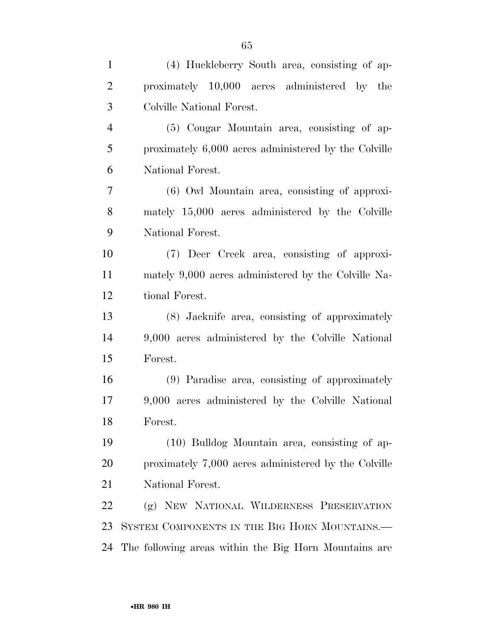| $\mathbf{1}$   | (4) Huckleberry South area, consisting of ap-         |
|----------------|-------------------------------------------------------|
| $\overline{2}$ | proximately 10,000 acres administered by the          |
| 3              | Colville National Forest.                             |
| $\overline{4}$ | (5) Cougar Mountain area, consisting of ap-           |
| 5              | proximately 6,000 acres administered by the Colville  |
| 6              | National Forest.                                      |
| $\overline{7}$ | (6) Owl Mountain area, consisting of approxi-         |
| 8              | mately 15,000 acres administered by the Colville      |
| 9              | National Forest.                                      |
| 10             | (7) Deer Creek area, consisting of approxi-           |
| 11             | mately 9,000 acres administered by the Colville Na-   |
| 12             | tional Forest.                                        |
| 13             | (8) Jacknife area, consisting of approximately        |
| 14             | 9,000 acres administered by the Colville National     |
| 15             | Forest.                                               |
| 16             | (9) Paradise area, consisting of approximately        |
| 17             | 9,000 acres administered by the Colville National     |
| 18             | Forest.                                               |
| 19             | (10) Bulldog Mountain area, consisting of ap-         |
| 20             | proximately 7,000 acres administered by the Colville  |
| 21             | National Forest.                                      |
| 22             | (g) NEW NATIONAL WILDERNESS PRESERVATION              |
| 23             | SYSTEM COMPONENTS IN THE BIG HORN MOUNTAINS.          |
| 24             | The following areas within the Big Horn Mountains are |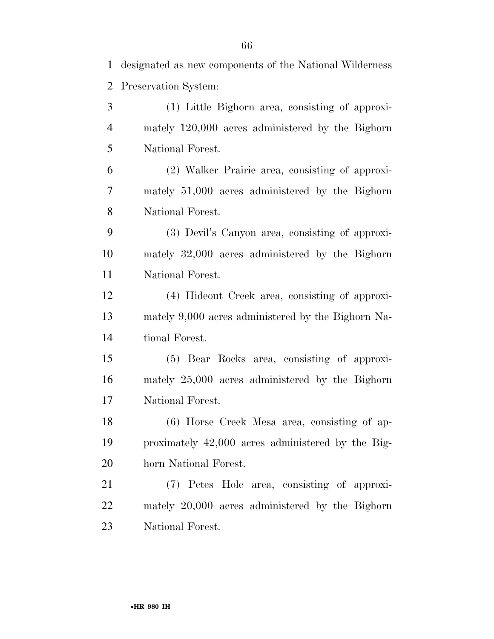designated as new components of the National Wilderness Preservation System: (1) Little Bighorn area, consisting of approxi-

 mately 120,000 acres administered by the Bighorn National Forest.

 (2) Walker Prairie area, consisting of approxi- mately 51,000 acres administered by the Bighorn National Forest.

 (3) Devil's Canyon area, consisting of approxi- mately 32,000 acres administered by the Bighorn National Forest.

 (4) Hideout Creek area, consisting of approxi- mately 9,000 acres administered by the Bighorn Na-tional Forest.

 (5) Bear Rocks area, consisting of approxi- mately 25,000 acres administered by the Bighorn National Forest.

 (6) Horse Creek Mesa area, consisting of ap- proximately 42,000 acres administered by the Big-horn National Forest.

 (7) Petes Hole area, consisting of approxi- mately 20,000 acres administered by the Bighorn National Forest.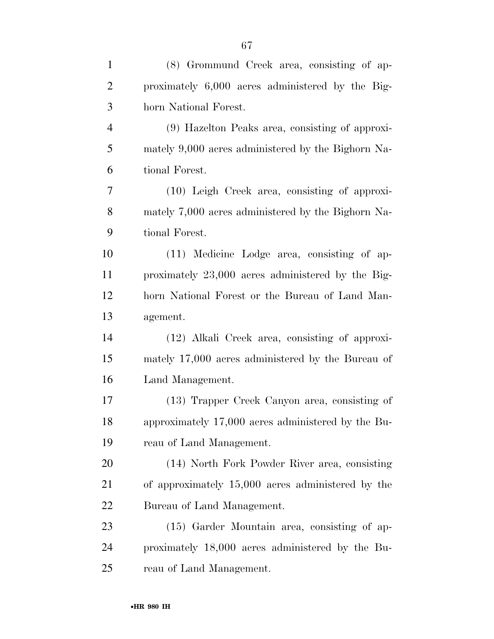| $\mathbf{1}$   | (8) Grommund Creek area, consisting of ap-         |
|----------------|----------------------------------------------------|
| $\overline{2}$ | proximately 6,000 acres administered by the Big-   |
| 3              | horn National Forest.                              |
| $\overline{4}$ | (9) Hazelton Peaks area, consisting of approxi-    |
| 5              | mately 9,000 acres administered by the Bighorn Na- |
| 6              | tional Forest.                                     |
| $\tau$         | $(10)$ Leigh Creek area, consisting of approxi-    |
| 8              | mately 7,000 acres administered by the Bighorn Na- |
| 9              | tional Forest.                                     |
| 10             | (11) Medicine Lodge area, consisting of ap-        |
| 11             | proximately 23,000 acres administered by the Big-  |
| 12             | horn National Forest or the Bureau of Land Man-    |
| 13             | agement.                                           |
| 14             | (12) Alkali Creek area, consisting of approxi-     |
| 15             | mately 17,000 acres administered by the Bureau of  |
| 16             | Land Management.                                   |
| 17             | (13) Trapper Creek Canyon area, consisting of      |
| 18             | approximately 17,000 acres administered by the Bu- |
| 19             | reau of Land Management.                           |
| 20             | (14) North Fork Powder River area, consisting      |
| 21             | of approximately 15,000 acres administered by the  |
| 22             | Bureau of Land Management.                         |
| 23             | $(15)$ Garder Mountain area, consisting of ap-     |
| 24             | proximately 18,000 acres administered by the Bu-   |
| 25             | reau of Land Management.                           |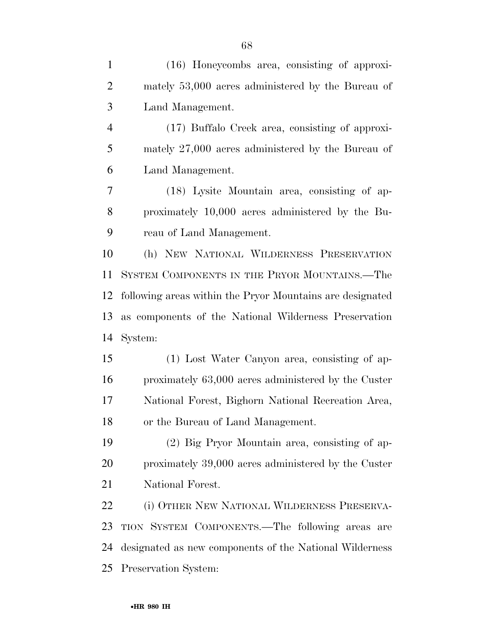| $\mathbf{1}$   | (16) Honeycombs area, consisting of approxi-              |
|----------------|-----------------------------------------------------------|
| 2              | mately 53,000 acres administered by the Bureau of         |
| 3              | Land Management.                                          |
| $\overline{4}$ | (17) Buffalo Creek area, consisting of approxi-           |
| 5              | mately 27,000 acres administered by the Bureau of         |
| 6              | Land Management.                                          |
| 7              | (18) Lysite Mountain area, consisting of ap-              |
| 8              | proximately 10,000 acres administered by the Bu-          |
| 9              | reau of Land Management.                                  |
| 10             | (h) NEW NATIONAL WILDERNESS PRESERVATION                  |
| 11             | SYSTEM COMPONENTS IN THE PRYOR MOUNTAINS.—The             |
| 12             | following areas within the Pryor Mountains are designated |
| 13             | as components of the National Wilderness Preservation     |
| 14             | System:                                                   |
| 15             | (1) Lost Water Canyon area, consisting of ap-             |
| 16             | proximately 63,000 acres administered by the Custer       |
| 17             | National Forest, Bighorn National Recreation Area,        |
| 18             | or the Bureau of Land Management.                         |
| 19             | (2) Big Pryor Mountain area, consisting of ap-            |
| 20             | proximately 39,000 acres administered by the Custer       |
| 21             | National Forest.                                          |
| 22             | (i) OTHER NEW NATIONAL WILDERNESS PRESERVA-               |
| 23             | TION SYSTEM COMPONENTS.—The following areas are           |
| 24             | designated as new components of the National Wilderness   |
|                | 25 Preservation System:                                   |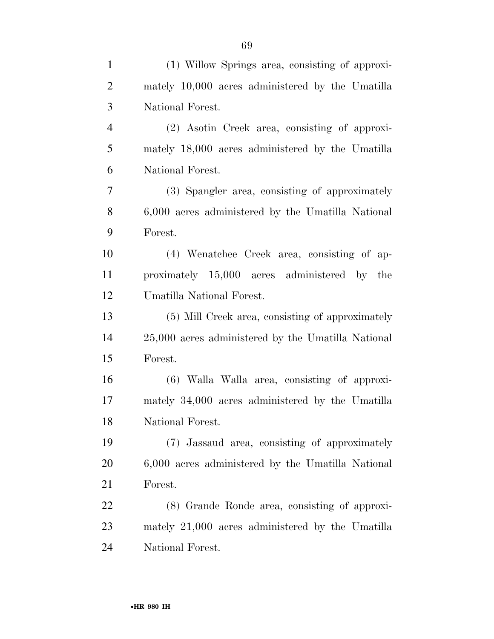| $\mathbf{1}$   | (1) Willow Springs area, consisting of approxi-    |
|----------------|----------------------------------------------------|
| $\overline{2}$ | mately 10,000 acres administered by the Umatilla   |
| 3              | National Forest.                                   |
| $\overline{4}$ | (2) Asotin Creek area, consisting of approxi-      |
| 5              | mately 18,000 acres administered by the Umatilla   |
| 6              | National Forest.                                   |
| 7              | (3) Spangler area, consisting of approximately     |
| 8              | 6,000 acres administered by the Umatilla National  |
| 9              | Forest.                                            |
| 10             | (4) Wenatchee Creek area, consisting of ap-        |
| 11             | proximately 15,000 acres administered by the       |
| 12             | Umatilla National Forest.                          |
| 13             | (5) Mill Creek area, consisting of approximately   |
| 14             | 25,000 acres administered by the Umatilla National |
| 15             | Forest.                                            |
| 16             | (6) Walla Walla area, consisting of approxi-       |
| 17             | mately 34,000 acres administered by the Umatilla   |
| 18             | National Forest.                                   |
| 19             | (7) Jassaud area, consisting of approximately      |
| 20             | 6,000 acres administered by the Umatilla National  |
| 21             | Forest.                                            |
| 22             | (8) Grande Ronde area, consisting of approxi-      |
| 23             | mately 21,000 acres administered by the Umatilla   |
| 24             | National Forest.                                   |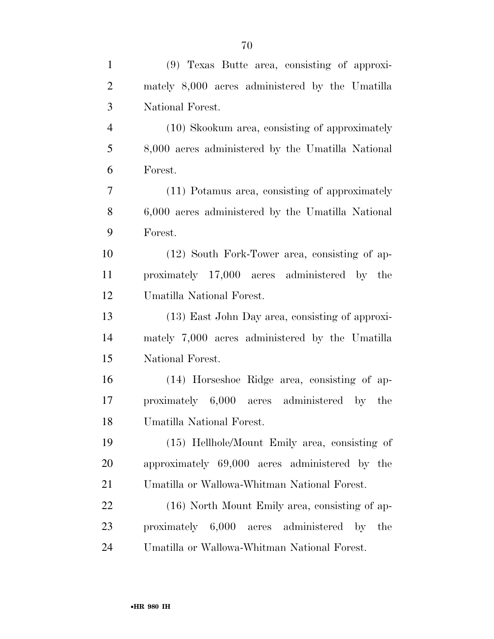| $\mathbf{1}$   | (9) Texas Butte area, consisting of approxi-          |
|----------------|-------------------------------------------------------|
| $\overline{2}$ | mately 8,000 acres administered by the Umatilla       |
| 3              | National Forest.                                      |
| $\overline{4}$ | (10) Skookum area, consisting of approximately        |
| 5              | 8,000 acres administered by the Umatilla National     |
| 6              | Forest.                                               |
| $\tau$         | (11) Potamus area, consisting of approximately        |
| 8              | 6,000 acres administered by the Umatilla National     |
| 9              | Forest.                                               |
| 10             | (12) South Fork-Tower area, consisting of ap-         |
| 11             | proximately 17,000 acres administered by the          |
| 12             | Umatilla National Forest.                             |
| 13             | (13) East John Day area, consisting of approxi-       |
| 14             | mately 7,000 acres administered by the Umatilla       |
| 15             | National Forest.                                      |
| 16             | (14) Horseshoe Ridge area, consisting of ap-          |
| 17             | proximately 6,000 acres administered by the           |
| 18             | Umatilla National Forest.                             |
| 19             | (15) Hellhole/Mount Emily area, consisting of         |
| 20             | approximately 69,000 acres administered by the        |
| 21             | Umatilla or Wallowa-Whitman National Forest.          |
| 22             | (16) North Mount Emily area, consisting of ap-        |
| 23             | proximately 6,000 acres administered<br>$-$ by<br>the |
| 24             | Umatilla or Wallowa-Whitman National Forest.          |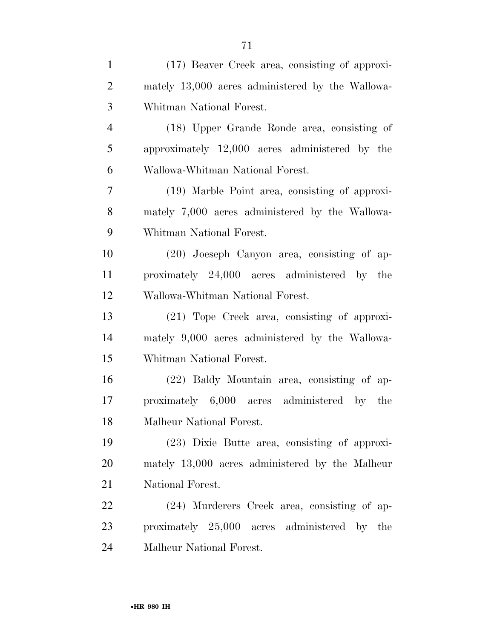| $\mathbf{1}$   | (17) Beaver Creek area, consisting of approxi-   |
|----------------|--------------------------------------------------|
| $\overline{2}$ | mately 13,000 acres administered by the Wallowa- |
| 3              | Whitman National Forest.                         |
| $\overline{4}$ | (18) Upper Grande Ronde area, consisting of      |
| 5              | approximately 12,000 acres administered by the   |
| 6              | Wallowa-Whitman National Forest.                 |
| 7              | (19) Marble Point area, consisting of approxi-   |
| 8              | mately 7,000 acres administered by the Wallowa-  |
| 9              | Whitman National Forest.                         |
| 10             | (20) Joeseph Canyon area, consisting of ap-      |
| 11             | proximately 24,000 acres administered by the     |
| 12             | Wallowa-Whitman National Forest.                 |
| 13             | (21) Tope Creek area, consisting of approxi-     |
| 14             | mately 9,000 acres administered by the Wallowa-  |
| 15             | Whitman National Forest.                         |
| 16             | (22) Baldy Mountain area, consisting of ap-      |
| 17             | proximately 6,000 acres administered by the      |
| 18             | Malheur National Forest.                         |
| 19             | (23) Dixie Butte area, consisting of approxi-    |
| 20             | mately 13,000 acres administered by the Malheur  |
| 21             | National Forest.                                 |
| 22             | (24) Murderers Creek area, consisting of ap-     |
| 23             | proximately 25,000 acres administered by the     |
| 24             | Malheur National Forest.                         |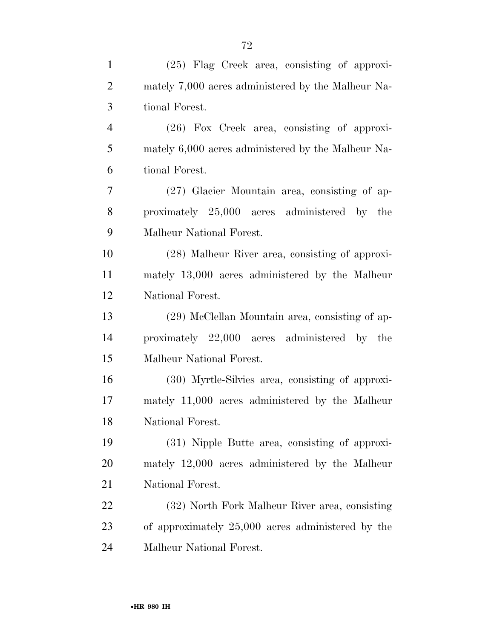| $\mathbf{1}$   | $(25)$ Flag Creek area, consisting of approxi-     |
|----------------|----------------------------------------------------|
| $\overline{2}$ | mately 7,000 acres administered by the Malheur Na- |
| 3              | tional Forest.                                     |
| $\overline{4}$ | $(26)$ Fox Creek area, consisting of approxi-      |
| 5              | mately 6,000 acres administered by the Malheur Na- |
| 6              | tional Forest.                                     |
| 7              | $(27)$ Glacier Mountain area, consisting of ap-    |
| 8              | proximately 25,000 acres administered by the       |
| 9              | Malheur National Forest.                           |
| 10             | (28) Malheur River area, consisting of approxi-    |
| 11             | mately 13,000 acres administered by the Malheur    |
| 12             | National Forest.                                   |
| 13             | (29) McClellan Mountain area, consisting of ap-    |
| 14             | proximately 22,000 acres administered by the       |
| 15             | Malheur National Forest.                           |
| 16             | (30) Myrtle-Silvies area, consisting of approxi-   |
| 17             | mately 11,000 acres administered by the Malheur    |
| 18             | National Forest.                                   |
| 19             | (31) Nipple Butte area, consisting of approxi-     |
| 20             | mately 12,000 acres administered by the Malheur    |
| 21             | National Forest.                                   |
| 22             | (32) North Fork Malheur River area, consisting     |
| 23             | of approximately 25,000 acres administered by the  |
| 24             | Malheur National Forest.                           |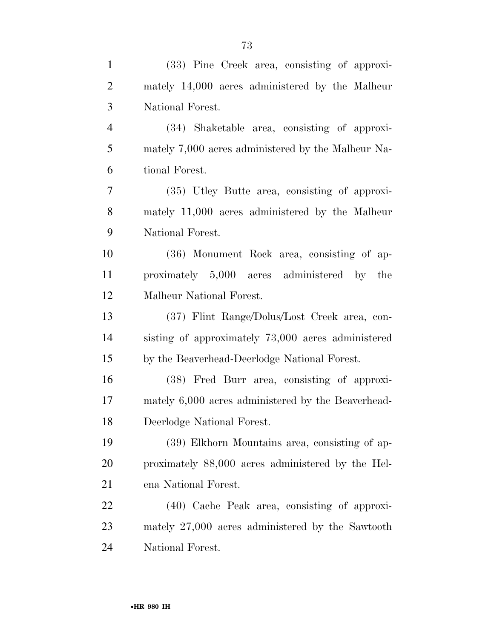| $\mathbf{1}$   | (33) Pine Creek area, consisting of approxi-       |
|----------------|----------------------------------------------------|
| $\overline{2}$ | mately 14,000 acres administered by the Malheur    |
| 3              | National Forest.                                   |
| $\overline{4}$ | (34) Shaketable area, consisting of approxi-       |
| 5              | mately 7,000 acres administered by the Malheur Na- |
| 6              | tional Forest.                                     |
| $\tau$         | (35) Utley Butte area, consisting of approxi-      |
| 8              | mately 11,000 acres administered by the Malheur    |
| 9              | National Forest.                                   |
| 10             | (36) Monument Rock area, consisting of ap-         |
| 11             | proximately 5,000 acres administered by the        |
| 12             | Malheur National Forest.                           |
| 13             | (37) Flint Range/Dolus/Lost Creek area, con-       |
| 14             | sisting of approximately 73,000 acres administered |
| 15             | by the Beaverhead-Deerlodge National Forest.       |
| 16             | (38) Fred Burr area, consisting of approxi-        |
| 17             | mately 6,000 acres administered by the Beaverhead- |
| 18             | Deerlodge National Forest.                         |
| 19             | (39) Elkhorn Mountains area, consisting of ap-     |
| 20             | proximately 88,000 acres administered by the Hel-  |
| 21             | ena National Forest.                               |
| 22             | $(40)$ Cache Peak area, consisting of approxi-     |
| 23             | mately 27,000 acres administered by the Sawtooth   |
| 24             | National Forest.                                   |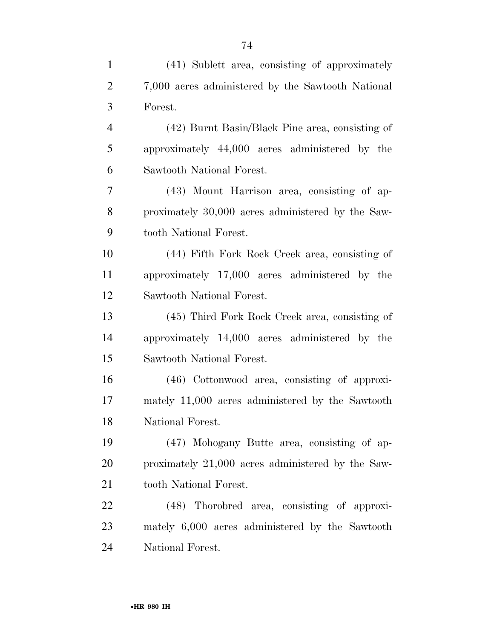| $\mathbf{1}$   | (41) Sublett area, consisting of approximately    |
|----------------|---------------------------------------------------|
| $\overline{2}$ | 7,000 acres administered by the Sawtooth National |
| 3              | Forest.                                           |
| $\overline{4}$ | (42) Burnt Basin/Black Pine area, consisting of   |
| 5              | approximately 44,000 acres administered by the    |
| 6              | Sawtooth National Forest.                         |
| 7              | (43) Mount Harrison area, consisting of ap-       |
| 8              | proximately 30,000 acres administered by the Saw- |
| 9              | tooth National Forest.                            |
| 10             | (44) Fifth Fork Rock Creek area, consisting of    |
| 11             | approximately 17,000 acres administered by the    |
| 12             | Sawtooth National Forest.                         |
| 13             | (45) Third Fork Rock Creek area, consisting of    |
| 14             | approximately 14,000 acres administered by the    |
| 15             | Sawtooth National Forest.                         |
| 16             | (46) Cottonwood area, consisting of approxi-      |
| 17             | mately 11,000 acres administered by the Sawtooth  |
| 18             | National Forest.                                  |
| 19             | (47) Mohogany Butte area, consisting of ap-       |
| 20             | proximately 21,000 acres administered by the Saw- |
| 21             | tooth National Forest.                            |
| 22             | (48) Thorobred area, consisting of approxi-       |
| 23             | mately 6,000 acres administered by the Sawtooth   |
| 24             | National Forest.                                  |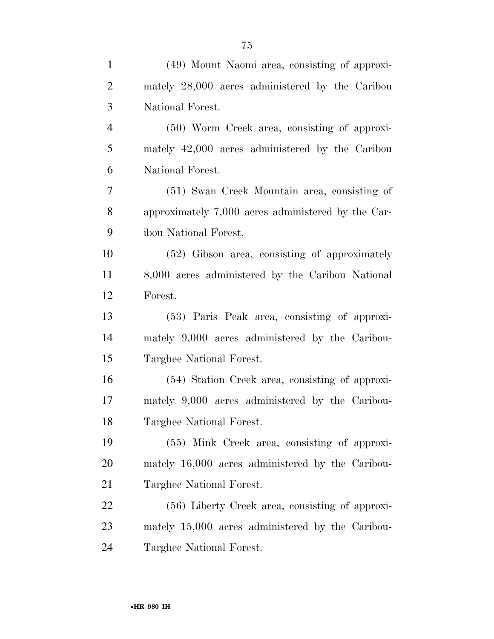| $\mathbf{1}$   | (49) Mount Naomi area, consisting of approxi-      |
|----------------|----------------------------------------------------|
| $\overline{2}$ | mately 28,000 acres administered by the Caribou    |
| 3              | National Forest.                                   |
| $\overline{4}$ | (50) Worm Creek area, consisting of approxi-       |
| 5              | mately 42,000 acres administered by the Caribou    |
| 6              | National Forest.                                   |
| $\tau$         | (51) Swan Creek Mountain area, consisting of       |
| 8              | approximately 7,000 acres administered by the Car- |
| 9              | ibou National Forest.                              |
| 10             | (52) Gibson area, consisting of approximately      |
| 11             | 8,000 acres administered by the Caribou National   |
| 12             | Forest.                                            |
| 13             | (53) Paris Peak area, consisting of approxi-       |
| 14             | mately 9,000 acres administered by the Caribou-    |
| 15             | Targhee National Forest.                           |
| 16             | (54) Station Creek area, consisting of approxi-    |
| 17             | mately 9,000 acres administered by the Caribou-    |
| 18             | Targhee National Forest.                           |
| 19             | (55) Mink Creek area, consisting of approxi-       |
| 20             | mately 16,000 acres administered by the Caribou-   |
| 21             | Targhee National Forest.                           |
| 22             | (56) Liberty Creek area, consisting of approxi-    |
| 23             | mately 15,000 acres administered by the Caribou-   |
| 24             | Targhee National Forest.                           |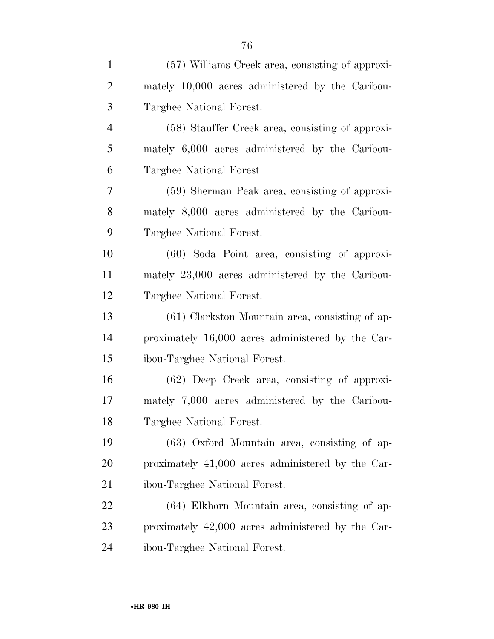| $\mathbf{1}$   | (57) Williams Creek area, consisting of approxi-  |
|----------------|---------------------------------------------------|
| $\overline{2}$ | mately 10,000 acres administered by the Caribou-  |
| 3              | Targhee National Forest.                          |
| $\overline{4}$ | (58) Stauffer Creek area, consisting of approxi-  |
| 5              | mately 6,000 acres administered by the Caribou-   |
| 6              | Targhee National Forest.                          |
| 7              | (59) Sherman Peak area, consisting of approxi-    |
| 8              | mately 8,000 acres administered by the Caribou-   |
| 9              | Targhee National Forest.                          |
| 10             | $(60)$ Soda Point area, consisting of approxi-    |
| 11             | mately 23,000 acres administered by the Caribou-  |
| 12             | Targhee National Forest.                          |
| 13             | $(61)$ Clarkston Mountain area, consisting of ap- |
| 14             | proximately 16,000 acres administered by the Car- |
| 15             | ibou-Targhee National Forest.                     |
| 16             | $(62)$ Deep Creek area, consisting of approxi-    |
| 17             | mately 7,000 acres administered by the Caribou-   |
| 18             | Targhee National Forest.                          |
| 19             | $(63)$ Oxford Mountain area, consisting of ap-    |
| 20             | proximately 41,000 acres administered by the Car- |
| 21             | ibou-Targhee National Forest.                     |
| 22             | (64) Elkhorn Mountain area, consisting of ap-     |
| 23             | proximately 42,000 acres administered by the Car- |
| 24             | ibou-Targhee National Forest.                     |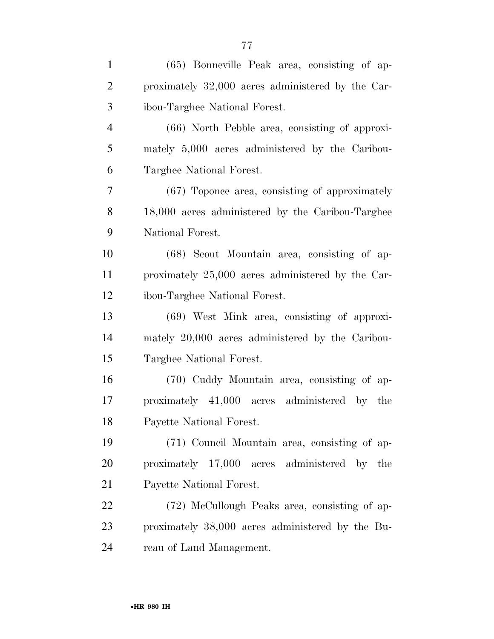| $\mathbf{1}$   | (65) Bonneville Peak area, consisting of ap-      |
|----------------|---------------------------------------------------|
| $\overline{2}$ | proximately 32,000 acres administered by the Car- |
| 3              | ibou-Targhee National Forest.                     |
| $\overline{4}$ | (66) North Pebble area, consisting of approxi-    |
| 5              | mately 5,000 acres administered by the Caribou-   |
| 6              | Targhee National Forest.                          |
| 7              | (67) Toponce area, consisting of approximately    |
| 8              | 18,000 acres administered by the Caribou-Targhee  |
| 9              | National Forest.                                  |
| 10             | (68) Scout Mountain area, consisting of ap-       |
| 11             | proximately 25,000 acres administered by the Car- |
| 12             | ibou-Targhee National Forest.                     |
| 13             | (69) West Mink area, consisting of approxi-       |
| 14             | mately 20,000 acres administered by the Caribou-  |
| 15             | Targhee National Forest.                          |
| 16             | (70) Cuddy Mountain area, consisting of ap-       |
| 17             | proximately 41,000 acres administered by the      |
| 18             | Payette National Forest.                          |
| 19             | (71) Council Mountain area, consisting of ap-     |
| 20             | proximately 17,000 acres administered by the      |
| 21             | Payette National Forest.                          |
| 22             | (72) McCullough Peaks area, consisting of ap-     |
| 23             | proximately 38,000 acres administered by the Bu-  |
| 24             | reau of Land Management.                          |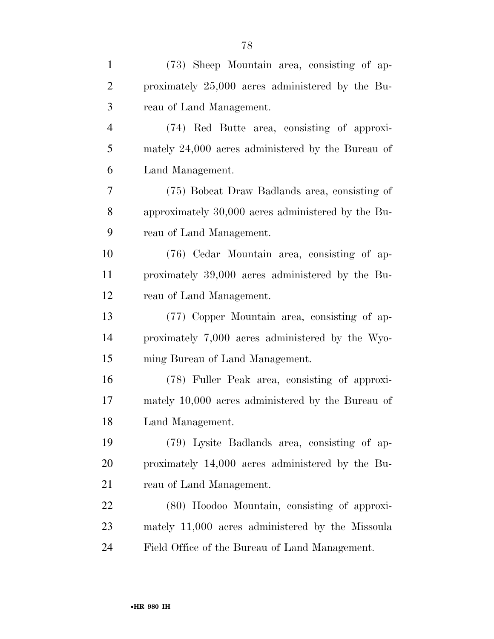| $\mathbf{1}$   | (73) Sheep Mountain area, consisting of ap-        |
|----------------|----------------------------------------------------|
| $\overline{2}$ | proximately 25,000 acres administered by the Bu-   |
| 3              | reau of Land Management.                           |
| $\overline{4}$ | (74) Red Butte area, consisting of approxi-        |
| 5              | mately 24,000 acres administered by the Bureau of  |
| 6              | Land Management.                                   |
| 7              | (75) Bobcat Draw Badlands area, consisting of      |
| 8              | approximately 30,000 acres administered by the Bu- |
| 9              | reau of Land Management.                           |
| 10             | (76) Cedar Mountain area, consisting of ap-        |
| 11             | proximately 39,000 acres administered by the Bu-   |
| 12             | reau of Land Management.                           |
| 13             | (77) Copper Mountain area, consisting of ap-       |
| 14             | proximately 7,000 acres administered by the Wyo-   |
| 15             | ming Bureau of Land Management.                    |
| 16             | (78) Fuller Peak area, consisting of approxi-      |
| 17             | mately 10,000 acres administered by the Bureau of  |
| 18             | Land Management.                                   |
| 19             | (79) Lysite Badlands area, consisting of ap-       |
| 20             | proximately 14,000 acres administered by the Bu-   |
| 21             | reau of Land Management.                           |
| 22             | (80) Hoodoo Mountain, consisting of approxi-       |
| 23             | mately 11,000 acres administered by the Missoula   |
| 24             | Field Office of the Bureau of Land Management.     |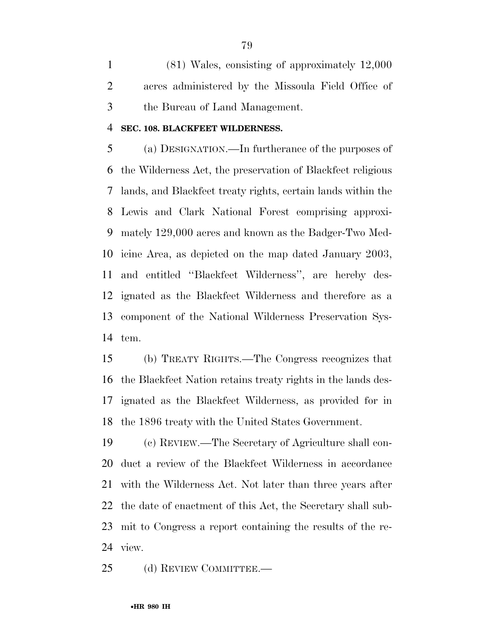(81) Wales, consisting of approximately 12,000 acres administered by the Missoula Field Office of the Bureau of Land Management.

### **SEC. 108. BLACKFEET WILDERNESS.**

 (a) DESIGNATION.—In furtherance of the purposes of the Wilderness Act, the preservation of Blackfeet religious lands, and Blackfeet treaty rights, certain lands within the Lewis and Clark National Forest comprising approxi- mately 129,000 acres and known as the Badger-Two Med- icine Area, as depicted on the map dated January 2003, and entitled ''Blackfeet Wilderness'', are hereby des- ignated as the Blackfeet Wilderness and therefore as a component of the National Wilderness Preservation Sys-tem.

 (b) TREATY RIGHTS.—The Congress recognizes that the Blackfeet Nation retains treaty rights in the lands des- ignated as the Blackfeet Wilderness, as provided for in the 1896 treaty with the United States Government.

 (c) REVIEW.—The Secretary of Agriculture shall con- duct a review of the Blackfeet Wilderness in accordance with the Wilderness Act. Not later than three years after the date of enactment of this Act, the Secretary shall sub- mit to Congress a report containing the results of the re-view.

25 (d) REVIEW COMMITTEE.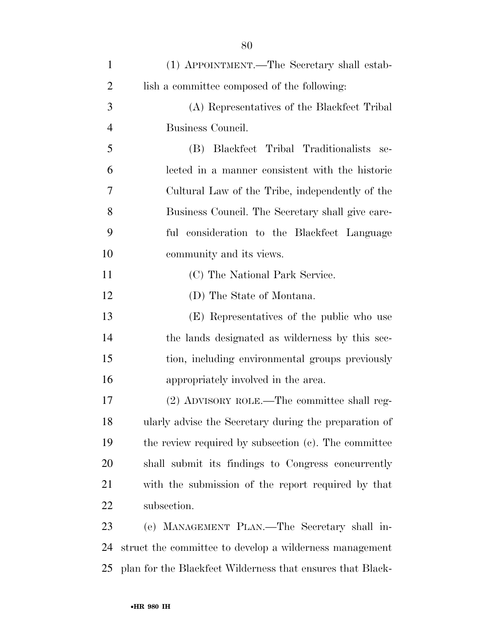| $\mathbf{1}$   | (1) APPOINTMENT.—The Secretary shall estab-                |
|----------------|------------------------------------------------------------|
| $\overline{2}$ | lish a committee composed of the following:                |
| 3              | (A) Representatives of the Blackfeet Tribal                |
| $\overline{4}$ | Business Council.                                          |
| 5              | Blackfeet Tribal Traditionalists<br>(B)<br>se-             |
| 6              | lected in a manner consistent with the historic            |
| 7              | Cultural Law of the Tribe, independently of the            |
| 8              | Business Council. The Secretary shall give care-           |
| 9              | ful consideration to the Blackfeet Language                |
| 10             | community and its views.                                   |
| 11             | (C) The National Park Service.                             |
| 12             | (D) The State of Montana.                                  |
| 13             | (E) Representatives of the public who use                  |
| 14             | the lands designated as wilderness by this sec-            |
| 15             | tion, including environmental groups previously            |
| 16             | appropriately involved in the area.                        |
| 17             | (2) ADVISORY ROLE.—The committee shall reg-                |
| 18             | ularly advise the Secretary during the preparation of      |
| 19             | the review required by subsection (c). The committee       |
| 20             | shall submit its findings to Congress concurrently         |
| 21             | with the submission of the report required by that         |
| 22             | subsection.                                                |
| 23             | (e) MANAGEMENT PLAN.—The Secretary shall in-               |
| 24             | struct the committee to develop a wilderness management    |
| 25             | plan for the Blackfeet Wilderness that ensures that Black- |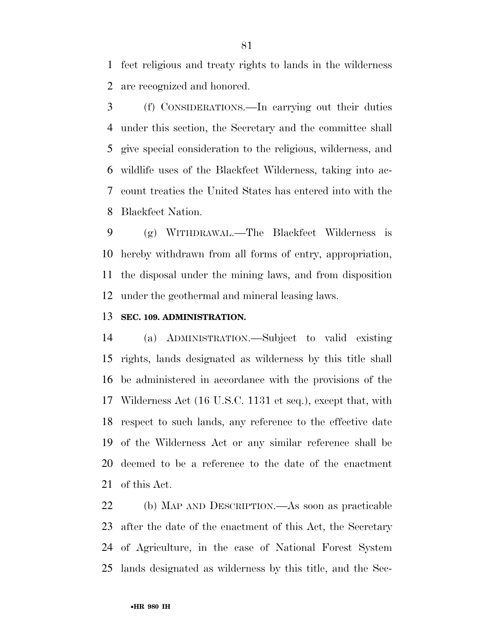feet religious and treaty rights to lands in the wilderness are recognized and honored.

 (f) CONSIDERATIONS.—In carrying out their duties under this section, the Secretary and the committee shall give special consideration to the religious, wilderness, and wildlife uses of the Blackfeet Wilderness, taking into ac- count treaties the United States has entered into with the Blackfeet Nation.

 (g) WITHDRAWAL.—The Blackfeet Wilderness is hereby withdrawn from all forms of entry, appropriation, the disposal under the mining laws, and from disposition under the geothermal and mineral leasing laws.

## **SEC. 109. ADMINISTRATION.**

 (a) ADMINISTRATION.—Subject to valid existing rights, lands designated as wilderness by this title shall be administered in accordance with the provisions of the Wilderness Act (16 U.S.C. 1131 et seq.), except that, with respect to such lands, any reference to the effective date of the Wilderness Act or any similar reference shall be deemed to be a reference to the date of the enactment of this Act.

 (b) MAP AND DESCRIPTION.—As soon as practicable after the date of the enactment of this Act, the Secretary of Agriculture, in the case of National Forest System lands designated as wilderness by this title, and the Sec-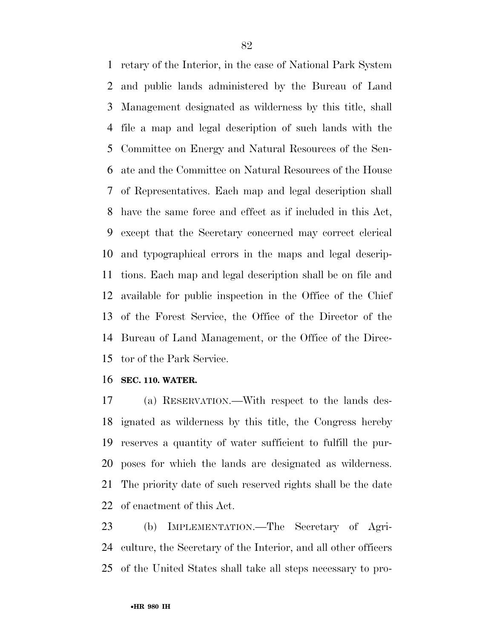retary of the Interior, in the case of National Park System and public lands administered by the Bureau of Land Management designated as wilderness by this title, shall file a map and legal description of such lands with the Committee on Energy and Natural Resources of the Sen- ate and the Committee on Natural Resources of the House of Representatives. Each map and legal description shall have the same force and effect as if included in this Act, except that the Secretary concerned may correct clerical and typographical errors in the maps and legal descrip- tions. Each map and legal description shall be on file and available for public inspection in the Office of the Chief of the Forest Service, the Office of the Director of the Bureau of Land Management, or the Office of the Direc-tor of the Park Service.

### **SEC. 110. WATER.**

 (a) RESERVATION.—With respect to the lands des- ignated as wilderness by this title, the Congress hereby reserves a quantity of water sufficient to fulfill the pur- poses for which the lands are designated as wilderness. The priority date of such reserved rights shall be the date of enactment of this Act.

 (b) IMPLEMENTATION.—The Secretary of Agri- culture, the Secretary of the Interior, and all other officers of the United States shall take all steps necessary to pro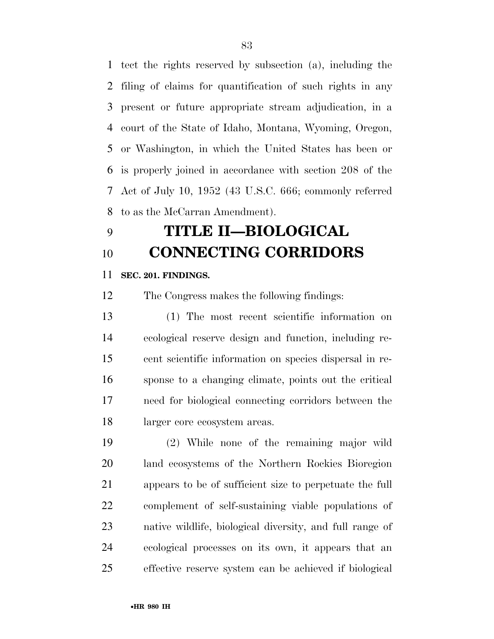tect the rights reserved by subsection (a), including the filing of claims for quantification of such rights in any present or future appropriate stream adjudication, in a court of the State of Idaho, Montana, Wyoming, Oregon, or Washington, in which the United States has been or is properly joined in accordance with section 208 of the Act of July 10, 1952 (43 U.S.C. 666; commonly referred to as the McCarran Amendment).

# **TITLE II—BIOLOGICAL CONNECTING CORRIDORS**

# **SEC. 201. FINDINGS.**

The Congress makes the following findings:

 (1) The most recent scientific information on ecological reserve design and function, including re- cent scientific information on species dispersal in re- sponse to a changing climate, points out the critical need for biological connecting corridors between the larger core ecosystem areas.

 (2) While none of the remaining major wild land ecosystems of the Northern Rockies Bioregion appears to be of sufficient size to perpetuate the full complement of self-sustaining viable populations of native wildlife, biological diversity, and full range of ecological processes on its own, it appears that an effective reserve system can be achieved if biological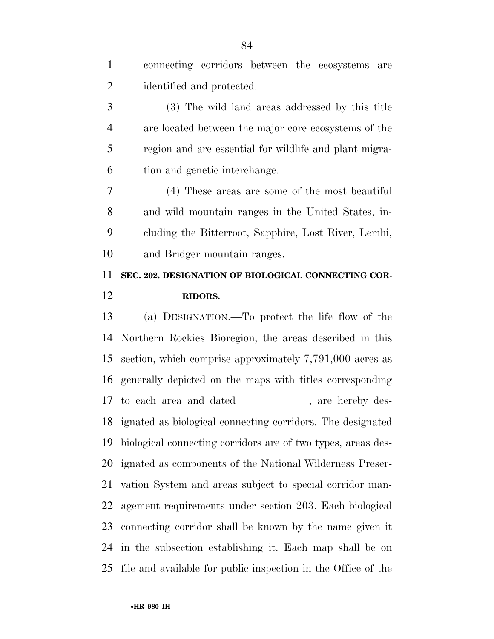connecting corridors between the ecosystems are identified and protected. (3) The wild land areas addressed by this title are located between the major core ecosystems of the region and are essential for wildlife and plant migra- tion and genetic interchange. (4) These areas are some of the most beautiful and wild mountain ranges in the United States, in- cluding the Bitterroot, Sapphire, Lost River, Lemhi, and Bridger mountain ranges. **SEC. 202. DESIGNATION OF BIOLOGICAL CONNECTING COR-RIDORS.** 

 (a) DESIGNATION.—To protect the life flow of the Northern Rockies Bioregion, the areas described in this section, which comprise approximately 7,791,000 acres as generally depicted on the maps with titles corresponding 17 to each area and dated , are hereby des- ignated as biological connecting corridors. The designated biological connecting corridors are of two types, areas des- ignated as components of the National Wilderness Preser- vation System and areas subject to special corridor man- agement requirements under section 203. Each biological connecting corridor shall be known by the name given it in the subsection establishing it. Each map shall be on file and available for public inspection in the Office of the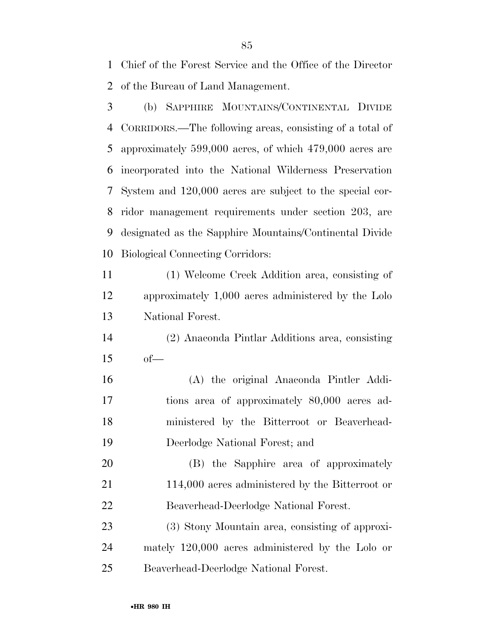Chief of the Forest Service and the Office of the Director of the Bureau of Land Management.

 (b) SAPPHIRE MOUNTAINS/CONTINENTAL DIVIDE CORRIDORS.—The following areas, consisting of a total of approximately 599,000 acres, of which 479,000 acres are incorporated into the National Wilderness Preservation System and 120,000 acres are subject to the special cor- ridor management requirements under section 203, are designated as the Sapphire Mountains/Continental Divide Biological Connecting Corridors:

 (1) Welcome Creek Addition area, consisting of approximately 1,000 acres administered by the Lolo National Forest.

- (2) Anaconda Pintlar Additions area, consisting of—
- (A) the original Anaconda Pintler Addi- tions area of approximately 80,000 acres ad- ministered by the Bitterroot or Beaverhead-Deerlodge National Forest; and

 (B) the Sapphire area of approximately 21 114,000 acres administered by the Bitterroot or Beaverhead-Deerlodge National Forest.

 (3) Stony Mountain area, consisting of approxi- mately 120,000 acres administered by the Lolo or Beaverhead-Deerlodge National Forest.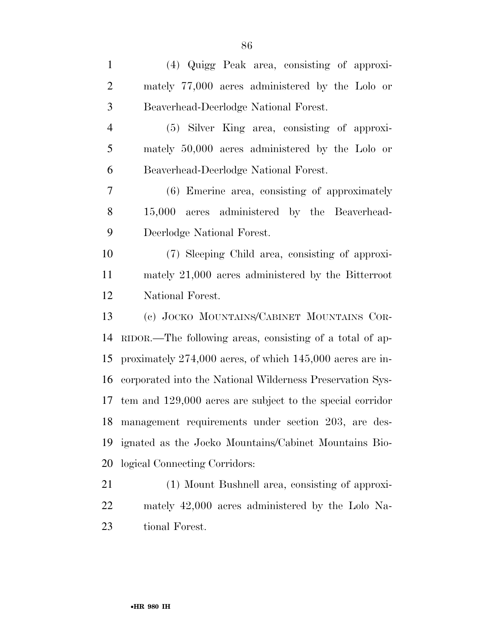| $\mathbf{1}$   | (4) Quigg Peak area, consisting of approxi-                   |
|----------------|---------------------------------------------------------------|
| $\overline{2}$ | mately 77,000 acres administered by the Lolo or               |
| 3              | Beaverhead-Deerlodge National Forest.                         |
| $\overline{4}$ | (5) Silver King area, consisting of approxi-                  |
| 5              | mately 50,000 acres administered by the Lolo or               |
| 6              | Beaverhead-Deerlodge National Forest.                         |
| 7              | (6) Emerine area, consisting of approximately                 |
| 8              | 15,000 acres administered by the Beaverhead-                  |
| 9              | Deerlodge National Forest.                                    |
| 10             | (7) Sleeping Child area, consisting of approxi-               |
| 11             | mately 21,000 acres administered by the Bitterroot            |
| 12             | National Forest.                                              |
| 13             | (c) JOCKO MOUNTAINS/CABINET MOUNTAINS COR-                    |
| 14             | RIDOR.—The following areas, consisting of a total of ap-      |
| 15             | proximately $274,000$ acres, of which $145,000$ acres are in- |
| 16             | corporated into the National Wilderness Preservation Sys-     |
| 17             | tem and 129,000 acres are subject to the special corridor     |
| 18             | management requirements under section 203, are des-           |
| 19             | ignated as the Jocko Mountains/Cabinet Mountains Bio-         |
| 20             | logical Connecting Corridors:                                 |
| 21             | (1) Mount Bushnell area, consisting of approxi-               |
| 22             | mately 42,000 acres administered by the Lolo Na-              |
| 23             | tional Forest.                                                |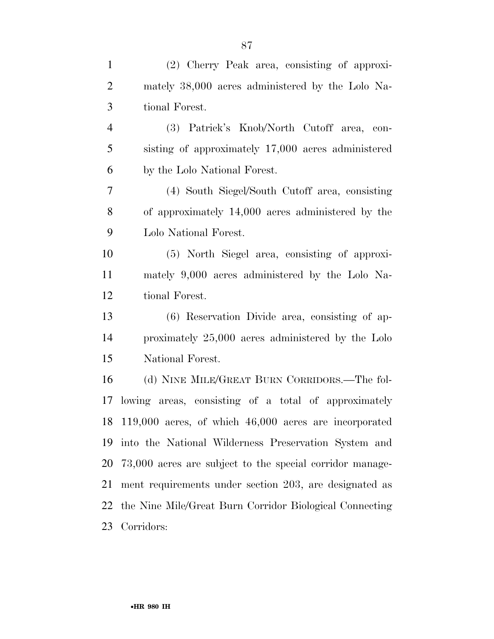| $\mathbf{1}$   | (2) Cherry Peak area, consisting of approxi-             |
|----------------|----------------------------------------------------------|
| $\overline{2}$ | mately 38,000 acres administered by the Lolo Na-         |
| 3              | tional Forest.                                           |
| $\overline{4}$ | (3) Patrick's Knob/North Cutoff area, con-               |
| 5              | sisting of approximately 17,000 acres administered       |
| 6              | by the Lolo National Forest.                             |
| 7              | (4) South Siegel/South Cutoff area, consisting           |
| $8\,$          | of approximately 14,000 acres administered by the        |
| 9              | Lolo National Forest.                                    |
| 10             | (5) North Siegel area, consisting of approxi-            |
| 11             | mately 9,000 acres administered by the Lolo Na-          |
| 12             | tional Forest.                                           |
| 13             | (6) Reservation Divide area, consisting of ap-           |
| 14             | proximately 25,000 acres administered by the Lolo        |
| 15             | National Forest.                                         |
| 16             | (d) NINE MILE/GREAT BURN CORRIDORS.—The fol-             |
| 17             | lowing areas, consisting of a total of approximately     |
|                | 18 119,000 acres, of which 46,000 acres are incorporated |
| 19             | into the National Wilderness Preservation System and     |
| 20             | 73,000 acres are subject to the special corridor manage- |
| 21             | ment requirements under section 203, are designated as   |
| 22             | the Nine Mile/Great Burn Corridor Biological Connecting  |
| 23             | Corridors:                                               |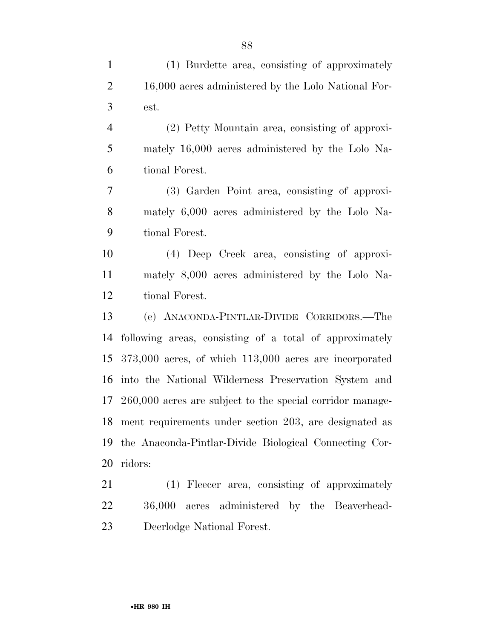| $\mathbf{1}$   | (1) Burdette area, consisting of approximately               |
|----------------|--------------------------------------------------------------|
| $\mathbf{2}$   | 16,000 acres administered by the Lolo National For-          |
| 3              | est.                                                         |
| $\overline{4}$ | (2) Petty Mountain area, consisting of approxi-              |
| 5              | mately 16,000 acres administered by the Lolo Na-             |
| 6              | tional Forest.                                               |
| $\tau$         | (3) Garden Point area, consisting of approxi-                |
| 8              | mately 6,000 acres administered by the Lolo Na-              |
| 9              | tional Forest.                                               |
| 10             | (4) Deep Creek area, consisting of approxi-                  |
| 11             | mately 8,000 acres administered by the Lolo Na-              |
| 12             | tional Forest.                                               |
| 13             | (e) ANACONDA-PINTLAR-DIVIDE CORRIDORS.—The                   |
| 14             | following areas, consisting of a total of approximately      |
| 15             | $373,000$ acres, of which $113,000$ acres are incorporated   |
| 16             | into the National Wilderness Preservation System and         |
|                | 17 260,000 acres are subject to the special corridor manage- |
|                | 18 ment requirements under section 203, are designated as    |
| 19             | the Anaconda-Pintlar-Divide Biological Connecting Cor-       |
| 20             | ridors:                                                      |
| 21             | (1) Fleecer area, consisting of approximately                |
|                |                                                              |

 36,000 acres administered by the Beaverhead-Deerlodge National Forest.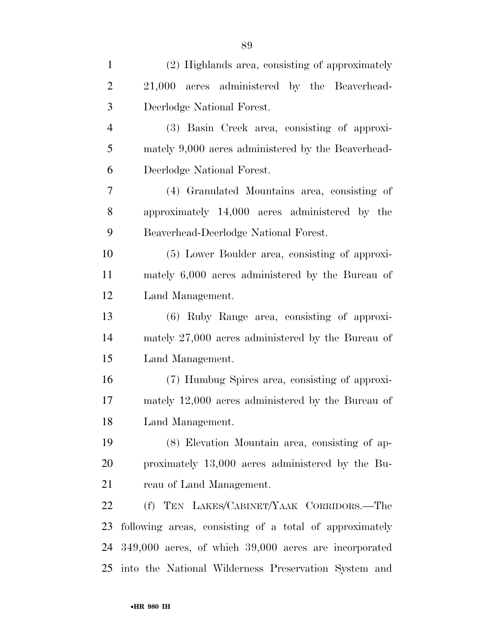| $\mathbf{1}$   | (2) Highlands area, consisting of approximately           |
|----------------|-----------------------------------------------------------|
| $\overline{2}$ | 21,000 acres administered by the Beaverhead-              |
| 3              | Deerlodge National Forest.                                |
| $\overline{4}$ | (3) Basin Creek area, consisting of approxi-              |
| 5              | mately 9,000 acres administered by the Beaverhead-        |
| 6              | Deerlodge National Forest.                                |
| $\overline{7}$ | (4) Granulated Mountains area, consisting of              |
| 8              | approximately 14,000 acres administered by the            |
| 9              | Beaverhead-Deerlodge National Forest.                     |
| 10             | (5) Lower Boulder area, consisting of approxi-            |
| 11             | mately 6,000 acres administered by the Bureau of          |
| 12             | Land Management.                                          |
| 13             | (6) Ruby Range area, consisting of approxi-               |
| 14             | mately 27,000 acres administered by the Bureau of         |
| 15             | Land Management.                                          |
| 16             | (7) Humbug Spires area, consisting of approxi-            |
| 17             | mately $12,000$ acres administered by the Bureau of       |
| 18             | Land Management.                                          |
| 19             | (8) Elevation Mountain area, consisting of ap-            |
| 20             | proximately 13,000 acres administered by the Bu-          |
| 21             | reau of Land Management.                                  |
| 22             | (f) TEN LAKES/CABINET/YAAK CORRIDORS.—The                 |
| 23             | following areas, consisting of a total of approximately   |
| 24             | $349,000$ acres, of which $39,000$ acres are incorporated |
| 25             | into the National Wilderness Preservation System and      |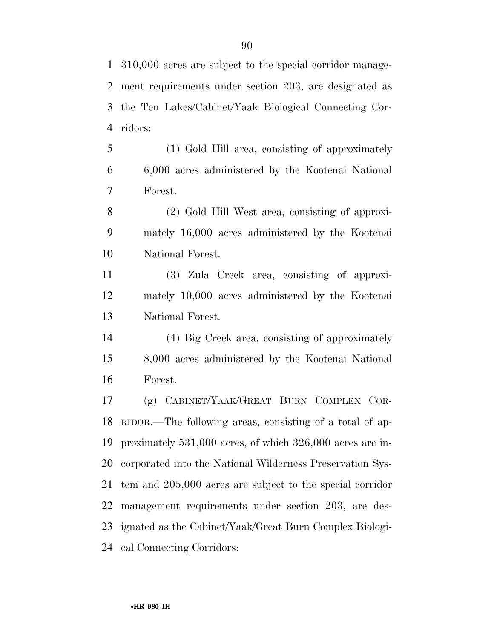310,000 acres are subject to the special corridor manage- ment requirements under section 203, are designated as the Ten Lakes/Cabinet/Yaak Biological Connecting Cor-ridors:

 (1) Gold Hill area, consisting of approximately 6,000 acres administered by the Kootenai National Forest.

 (2) Gold Hill West area, consisting of approxi- mately 16,000 acres administered by the Kootenai National Forest.

 (3) Zula Creek area, consisting of approxi- mately 10,000 acres administered by the Kootenai National Forest.

 (4) Big Creek area, consisting of approximately 8,000 acres administered by the Kootenai National Forest.

 (g) CABINET/YAAK/GREAT BURN COMPLEX COR- RIDOR.—The following areas, consisting of a total of ap- proximately 531,000 acres, of which 326,000 acres are in- corporated into the National Wilderness Preservation Sys- tem and 205,000 acres are subject to the special corridor management requirements under section 203, are des- ignated as the Cabinet/Yaak/Great Burn Complex Biologi-cal Connecting Corridors: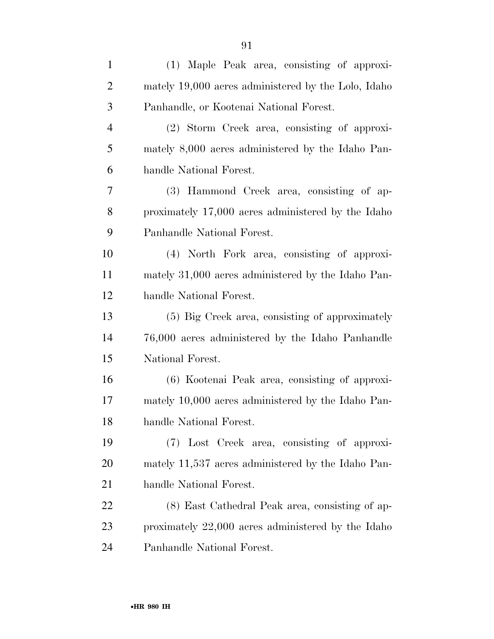| $\mathbf{1}$   | (1) Maple Peak area, consisting of approxi-         |
|----------------|-----------------------------------------------------|
| $\overline{2}$ | mately 19,000 acres administered by the Lolo, Idaho |
| 3              | Panhandle, or Kootenai National Forest.             |
| $\overline{4}$ | (2) Storm Creek area, consisting of approxi-        |
| 5              | mately 8,000 acres administered by the Idaho Pan-   |
| 6              | handle National Forest.                             |
| 7              | (3) Hammond Creek area, consisting of ap-           |
| 8              | proximately 17,000 acres administered by the Idaho  |
| 9              | Panhandle National Forest.                          |
| 10             | (4) North Fork area, consisting of approxi-         |
| 11             | mately 31,000 acres administered by the Idaho Pan-  |
| 12             | handle National Forest.                             |
| 13             | (5) Big Creek area, consisting of approximately     |
| 14             | 76,000 acres administered by the Idaho Panhandle    |
| 15             | National Forest.                                    |
| 16             | (6) Kootenai Peak area, consisting of approxi-      |
| 17             | mately 10,000 acres administered by the Idaho Pan-  |
| 18             | handle National Forest.                             |
| 19             | (7) Lost Creek area, consisting of approxi-         |
| 20             | mately 11,537 acres administered by the Idaho Pan-  |
| 21             | handle National Forest.                             |
| 22             | (8) East Cathedral Peak area, consisting of ap-     |
| 23             | proximately 22,000 acres administered by the Idaho  |
| 24             | Panhandle National Forest.                          |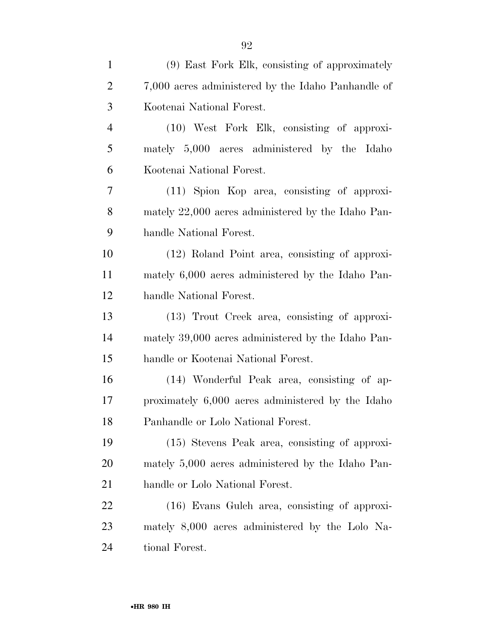| $\mathbf{1}$   | (9) East Fork Elk, consisting of approximately     |
|----------------|----------------------------------------------------|
| $\overline{2}$ | 7,000 acres administered by the Idaho Panhandle of |
| 3              | Kootenai National Forest.                          |
| $\overline{4}$ | (10) West Fork Elk, consisting of approxi-         |
| 5              | mately 5,000 acres administered by the Idaho       |
| 6              | Kootenai National Forest.                          |
| 7              | (11) Spion Kop area, consisting of approxi-        |
| 8              | mately 22,000 acres administered by the Idaho Pan- |
| 9              | handle National Forest.                            |
| 10             | (12) Roland Point area, consisting of approxi-     |
| 11             | mately 6,000 acres administered by the Idaho Pan-  |
| 12             | handle National Forest.                            |
| 13             | (13) Trout Creek area, consisting of approxi-      |
| 14             | mately 39,000 acres administered by the Idaho Pan- |
| 15             | handle or Kootenai National Forest.                |
| 16             | (14) Wonderful Peak area, consisting of ap-        |
| 17             | proximately 6,000 acres administered by the Idaho  |
| 18             | Panhandle or Lolo National Forest.                 |
| 19             | (15) Stevens Peak area, consisting of approxi-     |
| 20             | mately 5,000 acres administered by the Idaho Pan-  |
| 21             | handle or Lolo National Forest.                    |
| 22             | $(16)$ Evans Gulch area, consisting of approxi-    |
| 23             | mately 8,000 acres administered by the Lolo Na-    |
| 24             | tional Forest.                                     |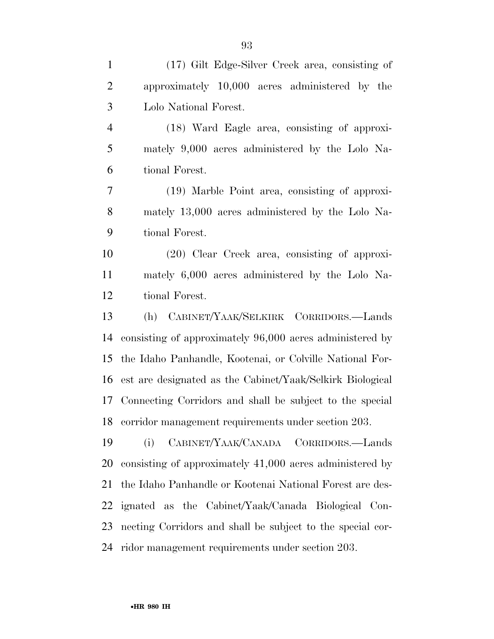| $\mathbf{1}$   | (17) Gilt Edge-Silver Creek area, consisting of              |
|----------------|--------------------------------------------------------------|
| $\overline{2}$ | approximately 10,000 acres administered by the               |
| 3              | Lolo National Forest.                                        |
| $\overline{4}$ | (18) Ward Eagle area, consisting of approxi-                 |
| 5              | mately 9,000 acres administered by the Lolo Na-              |
| 6              | tional Forest.                                               |
| $\tau$         | (19) Marble Point area, consisting of approxi-               |
| 8              | mately 13,000 acres administered by the Lolo Na-             |
| 9              | tional Forest.                                               |
| 10             | $(20)$ Clear Creek area, consisting of approxi-              |
| 11             | mately 6,000 acres administered by the Lolo Na-              |
| 12             | tional Forest.                                               |
| 13             | (h) CABINET/YAAK/SELKIRK CORRIDORS.—Lands                    |
| 14             | consisting of approximately 96,000 acres administered by     |
|                | 15 the Idaho Panhandle, Kootenai, or Colville National For-  |
|                | 16 est are designated as the Cabinet/Yaak/Selkirk Biological |
| 17             | Connecting Corridors and shall be subject to the special     |
|                | 18 corridor management requirements under section 203.       |
| 19             | CABINET/YAAK/CANADA CORRIDORS.-Lands<br>(i)                  |
| 20             | consisting of approximately 41,000 acres administered by     |
| 21             | the Idaho Panhandle or Kootenai National Forest are des-     |
| 22             | ignated as the Cabinet/Yaak/Canada Biological Con-           |
| 23             | necting Corridors and shall be subject to the special cor-   |
|                | 24 ridor management requirements under section 203.          |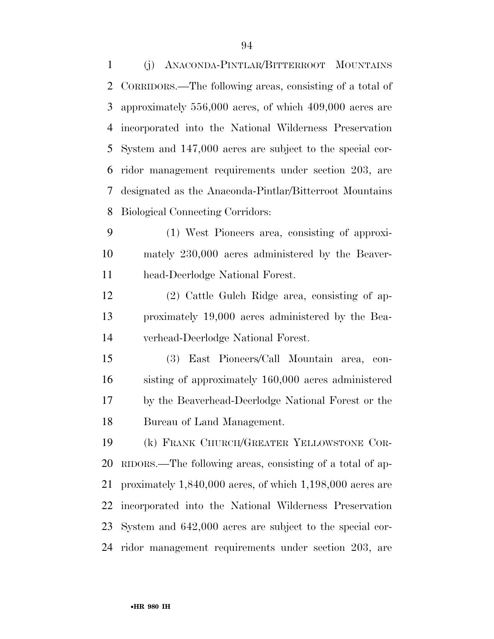(j) ANACONDA-PINTLAR/BITTERROOT MOUNTAINS CORRIDORS.—The following areas, consisting of a total of approximately 556,000 acres, of which 409,000 acres are incorporated into the National Wilderness Preservation System and 147,000 acres are subject to the special cor- ridor management requirements under section 203, are designated as the Anaconda-Pintlar/Bitterroot Mountains Biological Connecting Corridors:

 (1) West Pioneers area, consisting of approxi- mately 230,000 acres administered by the Beaver-head-Deerlodge National Forest.

 (2) Cattle Gulch Ridge area, consisting of ap- proximately 19,000 acres administered by the Bea-verhead-Deerlodge National Forest.

 (3) East Pioneers/Call Mountain area, con- sisting of approximately 160,000 acres administered by the Beaverhead-Deerlodge National Forest or the Bureau of Land Management.

 (k) FRANK CHURCH/GREATER YELLOWSTONE COR- RIDORS.—The following areas, consisting of a total of ap- proximately 1,840,000 acres, of which 1,198,000 acres are incorporated into the National Wilderness Preservation System and 642,000 acres are subject to the special cor-ridor management requirements under section 203, are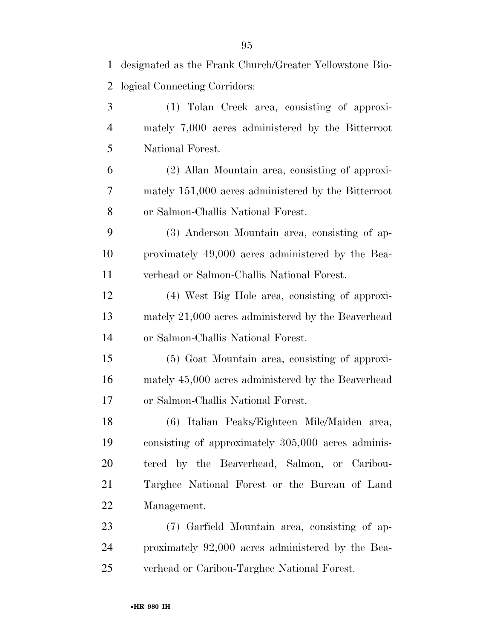| 1              | designated as the Frank Church/Greater Yellowstone Bio- |
|----------------|---------------------------------------------------------|
| $\overline{2}$ | logical Connecting Corridors:                           |
| 3              | (1) Tolan Creek area, consisting of approxi-            |
| $\overline{4}$ | mately 7,000 acres administered by the Bitterroot       |
| 5              | National Forest.                                        |
| 6              | (2) Allan Mountain area, consisting of approxi-         |
| 7              | mately 151,000 acres administered by the Bitterroot     |
| 8              | or Salmon-Challis National Forest.                      |
| 9              | (3) Anderson Mountain area, consisting of ap-           |
| 10             | proximately 49,000 acres administered by the Bea-       |
| 11             | verhead or Salmon-Challis National Forest.              |
| 12             | (4) West Big Hole area, consisting of approxi-          |
| 13             | mately 21,000 acres administered by the Beaverhead      |
| 14             | or Salmon-Challis National Forest.                      |
| 15             | (5) Goat Mountain area, consisting of approxi-          |
| 16             | mately 45,000 acres administered by the Beaverhead      |
| 17             | or Salmon-Challis National Forest.                      |
| 18             | (6) Italian Peaks/Eighteen Mile/Maiden area,            |
| 19             | consisting of approximately 305,000 acres adminis-      |
| 20             | tered by the Beaverhead, Salmon, or Caribou-            |
| 21             | Targhee National Forest or the Bureau of Land           |
| 22             | Management.                                             |
| 23             | (7) Garfield Mountain area, consisting of ap-           |
| 24             | proximately 92,000 acres administered by the Bea-       |
| 25             | verhead or Caribou-Targhee National Forest.             |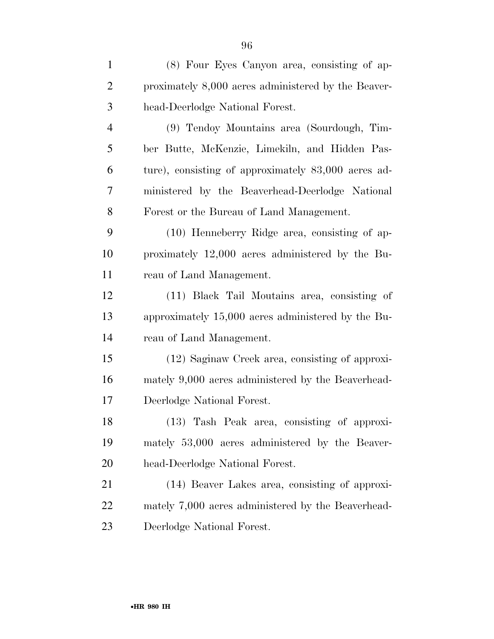| $\mathbf{1}$   | (8) Four Eyes Canyon area, consisting of ap-        |
|----------------|-----------------------------------------------------|
| $\overline{2}$ | proximately 8,000 acres administered by the Beaver- |
| 3              | head-Deerlodge National Forest.                     |
| $\overline{4}$ | (9) Tendoy Mountains area (Sourdough, Tim-          |
| 5              | ber Butte, McKenzie, Limekiln, and Hidden Pas-      |
| 6              | ture), consisting of approximately 83,000 acres ad- |
| 7              | ministered by the Beaverhead-Deerlodge National     |
| 8              | Forest or the Bureau of Land Management.            |
| 9              | (10) Henneberry Ridge area, consisting of ap-       |
| 10             | proximately 12,000 acres administered by the Bu-    |
| 11             | reau of Land Management.                            |
| 12             | (11) Black Tail Moutains area, consisting of        |
| 13             | approximately 15,000 acres administered by the Bu-  |
|                |                                                     |

 approximately 15,000 acres administered by the Bu-reau of Land Management.

 (12) Saginaw Creek area, consisting of approxi- mately 9,000 acres administered by the Beaverhead-Deerlodge National Forest.

 (13) Tash Peak area, consisting of approxi- mately 53,000 acres administered by the Beaver-head-Deerlodge National Forest.

 (14) Beaver Lakes area, consisting of approxi- mately 7,000 acres administered by the Beaverhead-Deerlodge National Forest.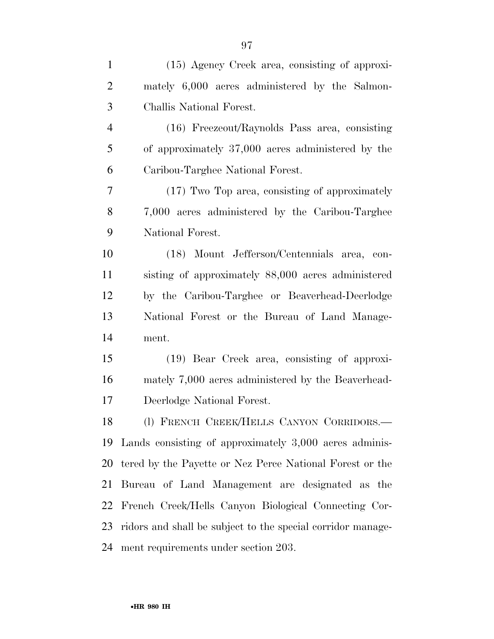| $\mathbf{1}$   | $(15)$ Agency Creek area, consisting of approxi-            |
|----------------|-------------------------------------------------------------|
| $\overline{2}$ | mately 6,000 acres administered by the Salmon-              |
| 3              | Challis National Forest.                                    |
| $\overline{4}$ | (16) Freezeout/Raynolds Pass area, consisting               |
| 5              | of approximately 37,000 acres administered by the           |
| 6              | Caribou-Targhee National Forest.                            |
| 7              | (17) Two Top area, consisting of approximately              |
| $8\,$          | 7,000 acres administered by the Caribou-Targhee             |
| 9              | National Forest.                                            |
| 10             | (18) Mount Jefferson/Centennials area, con-                 |
| 11             | sisting of approximately 88,000 acres administered          |
| 12             | by the Caribou-Targhee or Beaverhead-Deerlodge              |
| 13             | National Forest or the Bureau of Land Manage-               |
| 14             | ment.                                                       |
| 15             | (19) Bear Creek area, consisting of approxi-                |
| 16             | mately 7,000 acres administered by the Beaverhead-          |
| 17             | Deerlodge National Forest.                                  |
| 18             | (l) FRENCH CREEK/HELLS CANYON CORRIDORS.-                   |
| 19             | Lands consisting of approximately 3,000 acres adminis-      |
| 20             | tered by the Payette or Nez Perce National Forest or the    |
| 21             | Bureau of Land Management are designated as the             |
| 22             | French Creek/Hells Canyon Biological Connecting Cor-        |
| 23             | ridors and shall be subject to the special corridor manage- |
| 24             | ment requirements under section 203.                        |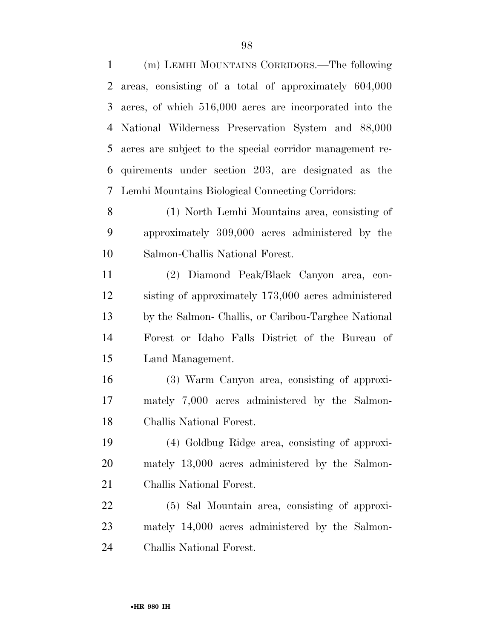(m) LEMHI MOUNTAINS CORRIDORS.—The following areas, consisting of a total of approximately 604,000 acres, of which 516,000 acres are incorporated into the National Wilderness Preservation System and 88,000 acres are subject to the special corridor management re- quirements under section 203, are designated as the Lemhi Mountains Biological Connecting Corridors:

 (1) North Lemhi Mountains area, consisting of approximately 309,000 acres administered by the Salmon-Challis National Forest.

 (2) Diamond Peak/Black Canyon area, con- sisting of approximately 173,000 acres administered by the Salmon- Challis, or Caribou-Targhee National Forest or Idaho Falls District of the Bureau of Land Management.

 (3) Warm Canyon area, consisting of approxi- mately 7,000 acres administered by the Salmon-Challis National Forest.

 (4) Goldbug Ridge area, consisting of approxi- mately 13,000 acres administered by the Salmon-Challis National Forest.

 (5) Sal Mountain area, consisting of approxi- mately 14,000 acres administered by the Salmon-Challis National Forest.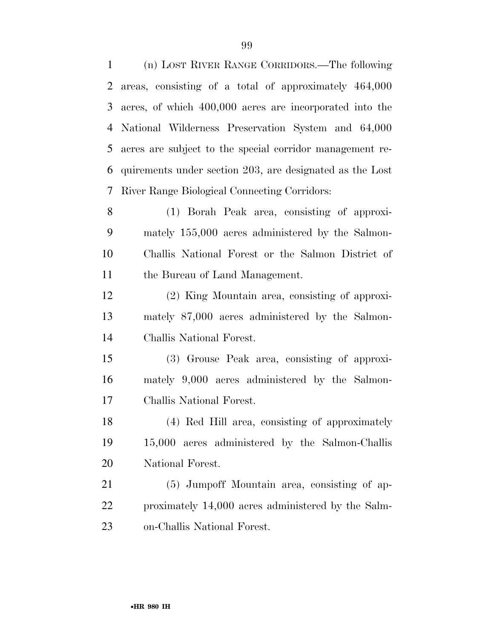(n) LOST RIVER RANGE CORRIDORS.—The following areas, consisting of a total of approximately 464,000 acres, of which 400,000 acres are incorporated into the National Wilderness Preservation System and 64,000 acres are subject to the special corridor management re- quirements under section 203, are designated as the Lost River Range Biological Connecting Corridors:

 (1) Borah Peak area, consisting of approxi- mately 155,000 acres administered by the Salmon- Challis National Forest or the Salmon District of the Bureau of Land Management.

 (2) King Mountain area, consisting of approxi- mately 87,000 acres administered by the Salmon-Challis National Forest.

 (3) Grouse Peak area, consisting of approxi- mately 9,000 acres administered by the Salmon-Challis National Forest.

 (4) Red Hill area, consisting of approximately 15,000 acres administered by the Salmon-Challis National Forest.

 (5) Jumpoff Mountain area, consisting of ap- proximately 14,000 acres administered by the Salm-on-Challis National Forest.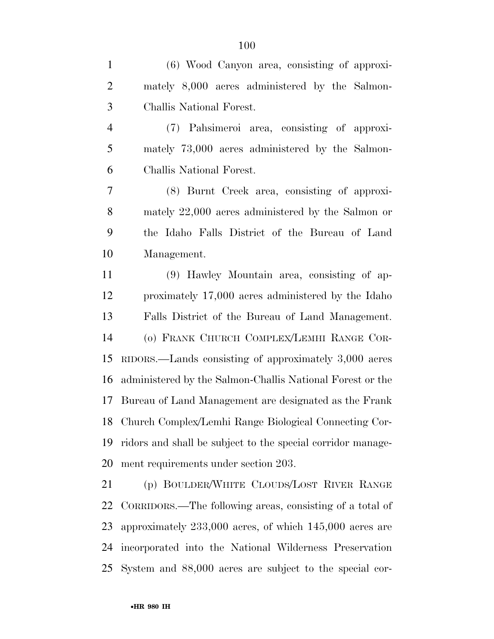(6) Wood Canyon area, consisting of approxi-

| $\overline{2}$ | mately 8,000 acres administered by the Salmon-                 |
|----------------|----------------------------------------------------------------|
| 3              | Challis National Forest.                                       |
| $\overline{4}$ | (7) Pahsimeroi area, consisting of approxi-                    |
| 5              | mately 73,000 acres administered by the Salmon-                |
| 6              | Challis National Forest.                                       |
| 7              | (8) Burnt Creek area, consisting of approxi-                   |
| $8\,$          | mately 22,000 acres administered by the Salmon or              |
| 9              | the Idaho Falls District of the Bureau of Land                 |
| 10             | Management.                                                    |
| 11             | (9) Hawley Mountain area, consisting of ap-                    |
| 12             | proximately 17,000 acres administered by the Idaho             |
| 13             | Falls District of the Bureau of Land Management.               |
| 14             | (o) FRANK CHURCH COMPLEX/LEMHI RANGE COR-                      |
| 15             | RIDORS.—Lands consisting of approximately 3,000 acres          |
| 16             | administered by the Salmon-Challis National Forest or the      |
| 17             | Bureau of Land Management are designated as the Frank          |
| 18             | Church Complex/Lemhi Range Biological Connecting Cor-          |
|                | 19 ridors and shall be subject to the special corridor manage- |
| 20             | ment requirements under section 203.                           |
| 21             | (p) BOULDER/WHITE CLOUDS/LOST RIVER RANGE                      |
| 22             | CORRIDORS.—The following areas, consisting of a total of       |
| 23             | approximately 233,000 acres, of which 145,000 acres are        |
| 24             | incorporated into the National Wilderness Preservation         |
| 25             | System and 88,000 acres are subject to the special cor-        |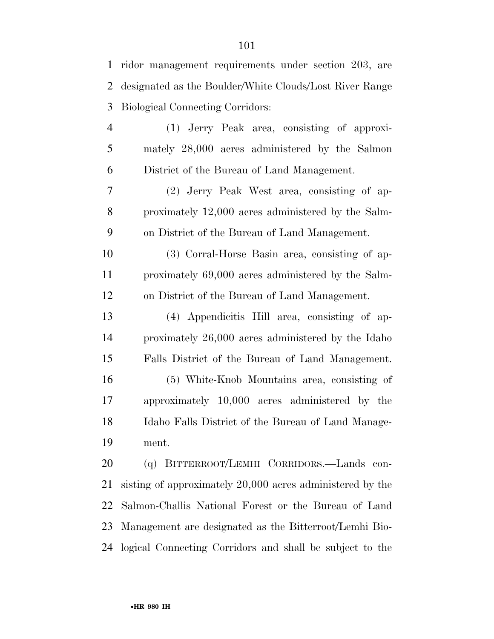| $\mathbf{1}$   | ridor management requirements under section 203, are      |
|----------------|-----------------------------------------------------------|
| $\overline{2}$ | designated as the Boulder/White Clouds/Lost River Range   |
| 3              | <b>Biological Connecting Corridors:</b>                   |
| $\overline{4}$ | (1) Jerry Peak area, consisting of approxi-               |
| 5              | mately 28,000 acres administered by the Salmon            |
| 6              | District of the Bureau of Land Management.                |
| 7              | (2) Jerry Peak West area, consisting of ap-               |
| 8              | proximately 12,000 acres administered by the Salm-        |
| 9              | on District of the Bureau of Land Management.             |
| 10             | (3) Corral-Horse Basin area, consisting of ap-            |
| 11             | proximately 69,000 acres administered by the Salm-        |
| 12             | on District of the Bureau of Land Management.             |
| 13             | (4) Appendicitis Hill area, consisting of ap-             |
| 14             | proximately 26,000 acres administered by the Idaho        |
| 15             | Falls District of the Bureau of Land Management.          |
| 16             | (5) White-Knob Mountains area, consisting of              |
| 17             | approximately 10,000 acres administered by the            |
| 18             | Idaho Falls District of the Bureau of Land Manage-        |
| 19             | ment.                                                     |
| 20             | (q) BITTERROOT/LEMHI CORRIDORS.—Lands con-                |
| 21             | sisting of approximately 20,000 acres administered by the |
| 22             | Salmon-Challis National Forest or the Bureau of Land      |
| 23             | Management are designated as the Bitterroot/Lemhi Bio-    |
| 24             | logical Connecting Corridors and shall be subject to the  |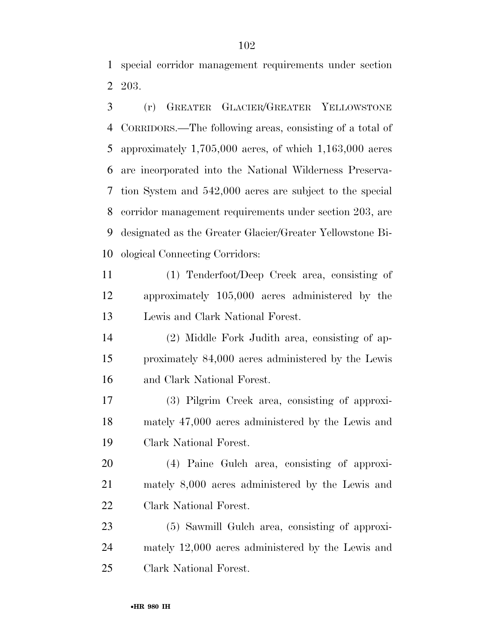special corridor management requirements under section 203.

 (r) GREATER GLACIER/GREATER YELLOWSTONE CORRIDORS.—The following areas, consisting of a total of approximately 1,705,000 acres, of which 1,163,000 acres are incorporated into the National Wilderness Preserva- tion System and 542,000 acres are subject to the special corridor management requirements under section 203, are designated as the Greater Glacier/Greater Yellowstone Bi-ological Connecting Corridors:

 (1) Tenderfoot/Deep Creek area, consisting of approximately 105,000 acres administered by the Lewis and Clark National Forest.

 (2) Middle Fork Judith area, consisting of ap- proximately 84,000 acres administered by the Lewis and Clark National Forest.

 (3) Pilgrim Creek area, consisting of approxi- mately 47,000 acres administered by the Lewis and Clark National Forest.

 (4) Paine Gulch area, consisting of approxi- mately 8,000 acres administered by the Lewis and Clark National Forest.

 (5) Sawmill Gulch area, consisting of approxi- mately 12,000 acres administered by the Lewis and Clark National Forest.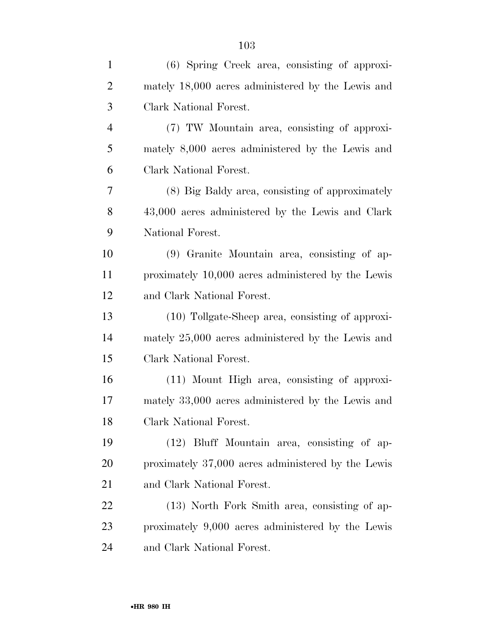| $\mathbf{1}$   | (6) Spring Creek area, consisting of approxi-      |
|----------------|----------------------------------------------------|
| $\overline{2}$ | mately 18,000 acres administered by the Lewis and  |
| 3              | Clark National Forest.                             |
| 4              | (7) TW Mountain area, consisting of approxi-       |
| 5              | mately 8,000 acres administered by the Lewis and   |
| 6              | Clark National Forest.                             |
| 7              | (8) Big Baldy area, consisting of approximately    |
| 8              | 43,000 acres administered by the Lewis and Clark   |
| 9              | National Forest.                                   |
| 10             | (9) Granite Mountain area, consisting of ap-       |
| 11             | proximately 10,000 acres administered by the Lewis |
| 12             | and Clark National Forest.                         |
| 13             | (10) Tollgate-Sheep area, consisting of approxi-   |
| 14             | mately 25,000 acres administered by the Lewis and  |
| 15             | Clark National Forest.                             |
| 16             | (11) Mount High area, consisting of approxi-       |
| 17             | mately 33,000 acres administered by the Lewis and  |
| 18             | Clark National Forest.                             |
| 19             | (12) Bluff Mountain area, consisting of ap-        |
| 20             | proximately 37,000 acres administered by the Lewis |
| 21             | and Clark National Forest.                         |
| 22             | (13) North Fork Smith area, consisting of ap-      |
| 23             | proximately 9,000 acres administered by the Lewis  |
| 24             | and Clark National Forest.                         |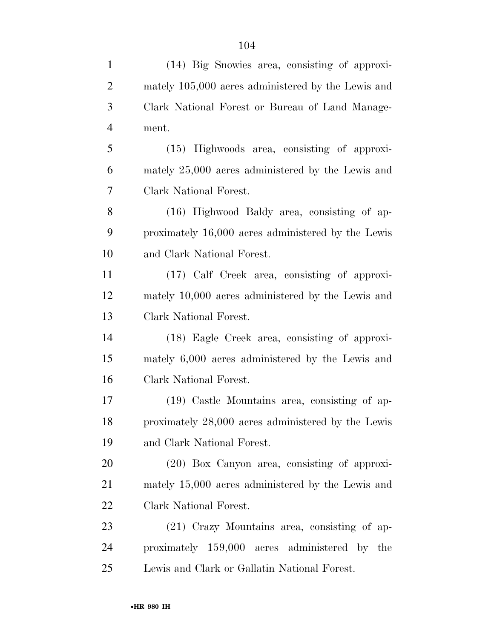| $\mathbf{1}$   | (14) Big Snowies area, consisting of approxi-      |
|----------------|----------------------------------------------------|
| $\overline{2}$ | mately 105,000 acres administered by the Lewis and |
| 3              | Clark National Forest or Bureau of Land Manage-    |
| $\overline{4}$ | ment.                                              |
| 5              | (15) Highwoods area, consisting of approxi-        |
| 6              | mately 25,000 acres administered by the Lewis and  |
| 7              | Clark National Forest.                             |
| 8              | (16) Highwood Baldy area, consisting of ap-        |
| 9              | proximately 16,000 acres administered by the Lewis |
| 10             | and Clark National Forest.                         |
| 11             | (17) Calf Creek area, consisting of approxi-       |
| 12             | mately 10,000 acres administered by the Lewis and  |
| 13             | Clark National Forest.                             |
| 14             | (18) Eagle Creek area, consisting of approxi-      |
| 15             | mately 6,000 acres administered by the Lewis and   |
| 16             | Clark National Forest.                             |
| 17             | (19) Castle Mountains area, consisting of ap-      |
| 18             | proximately 28,000 acres administered by the Lewis |
| 19             | and Clark National Forest.                         |
| 20             | $(20)$ Box Canyon area, consisting of approxi-     |
| 21             | mately 15,000 acres administered by the Lewis and  |
| 22             | Clark National Forest.                             |
| 23             | $(21)$ Crazy Mountains area, consisting of ap-     |
| 24             | proximately 159,000 acres administered by the      |
| 25             | Lewis and Clark or Gallatin National Forest.       |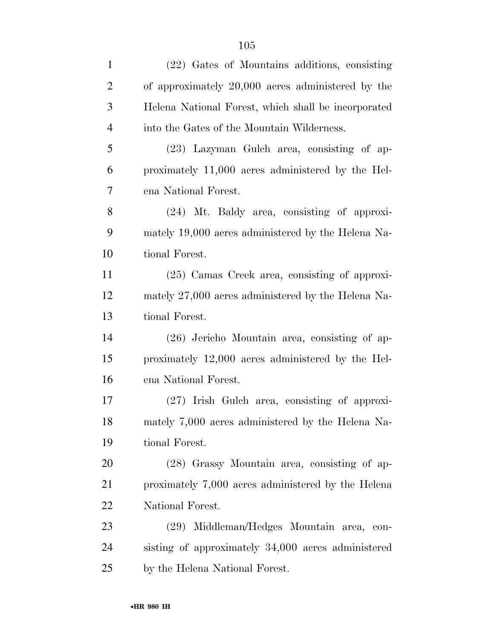| $\mathbf{1}$   | (22) Gates of Mountains additions, consisting       |
|----------------|-----------------------------------------------------|
| $\overline{2}$ | of approximately 20,000 acres administered by the   |
| 3              | Helena National Forest, which shall be incorporated |
| $\overline{4}$ | into the Gates of the Mountain Wilderness.          |
| 5              | (23) Lazyman Gulch area, consisting of ap-          |
| 6              | proximately 11,000 acres administered by the Hel-   |
| $\tau$         | ena National Forest.                                |
| 8              | (24) Mt. Baldy area, consisting of approxi-         |
| 9              | mately 19,000 acres administered by the Helena Na-  |
| 10             | tional Forest.                                      |
| 11             | $(25)$ Camas Creek area, consisting of approxi-     |
| 12             | mately 27,000 acres administered by the Helena Na-  |
| 13             | tional Forest.                                      |
| 14             | $(26)$ Jericho Mountain area, consisting of ap-     |
| 15             | proximately 12,000 acres administered by the Hel-   |
| 16             | ena National Forest.                                |
| 17             | $(27)$ Irish Gulch area, consisting of approxi-     |
| 18             | mately 7,000 acres administered by the Helena Na-   |
| 19             | tional Forest.                                      |
| 20             | (28) Grassy Mountain area, consisting of ap-        |
| 21             | proximately 7,000 acres administered by the Helena  |
| 22             | National Forest.                                    |
| 23             | (29) Middleman/Hedges Mountain area, con-           |
| 24             | sisting of approximately 34,000 acres administered  |
| 25             | by the Helena National Forest.                      |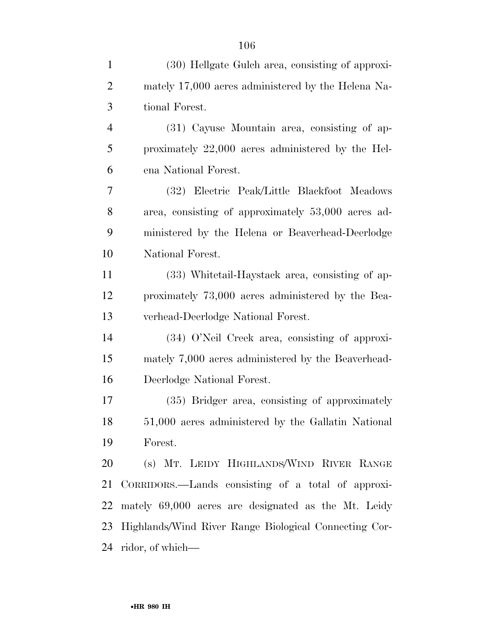| $\mathbf{1}$   | (30) Hellgate Gulch area, consisting of approxi-      |
|----------------|-------------------------------------------------------|
| $\overline{2}$ | mately 17,000 acres administered by the Helena Na-    |
| 3              | tional Forest.                                        |
| $\overline{4}$ | (31) Cayuse Mountain area, consisting of ap-          |
| 5              | proximately 22,000 acres administered by the Hel-     |
| 6              | ena National Forest.                                  |
| 7              | (32) Electric Peak/Little Blackfoot Meadows           |
| 8              | area, consisting of approximately 53,000 acres ad-    |
| 9              | ministered by the Helena or Beaverhead-Deerlodge      |
| 10             | National Forest.                                      |
| 11             | (33) White tail-Haystack area, consisting of ap-      |
| 12             | proximately 73,000 acres administered by the Bea-     |
| 13             | verhead-Deerlodge National Forest.                    |
| 14             | (34) O'Neil Creek area, consisting of approxi-        |
| 15             | mately 7,000 acres administered by the Beaverhead-    |
| 16             | Deerlodge National Forest.                            |
| 17             | (35) Bridger area, consisting of approximately        |
| 18             | 51,000 acres administered by the Gallatin National    |
| 19             | Forest.                                               |
| 20             | (s) MT. LEIDY HIGHLANDS/WIND RIVER RANGE              |
| 21             | CORRIDORS.—Lands consisting of a total of approxi-    |
| 22             | mately 69,000 acres are designated as the Mt. Leidy   |
| 23             | Highlands/Wind River Range Biological Connecting Cor- |
|                | 24 ridor, of which—                                   |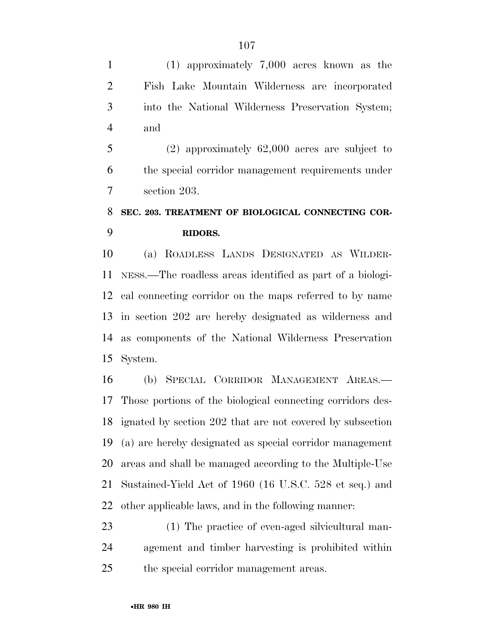(1) approximately 7,000 acres known as the Fish Lake Mountain Wilderness are incorporated into the National Wilderness Preservation System; and

 (2) approximately 62,000 acres are subject to the special corridor management requirements under section 203.

# **SEC. 203. TREATMENT OF BIOLOGICAL CONNECTING COR-RIDORS.**

 (a) ROADLESS LANDS DESIGNATED AS WILDER- NESS.—The roadless areas identified as part of a biologi- cal connecting corridor on the maps referred to by name in section 202 are hereby designated as wilderness and as components of the National Wilderness Preservation System.

 (b) SPECIAL CORRIDOR MANAGEMENT AREAS.— Those portions of the biological connecting corridors des- ignated by section 202 that are not covered by subsection (a) are hereby designated as special corridor management areas and shall be managed according to the Multiple-Use Sustained-Yield Act of 1960 (16 U.S.C. 528 et seq.) and other applicable laws, and in the following manner:

 (1) The practice of even-aged silvicultural man- agement and timber harvesting is prohibited within the special corridor management areas.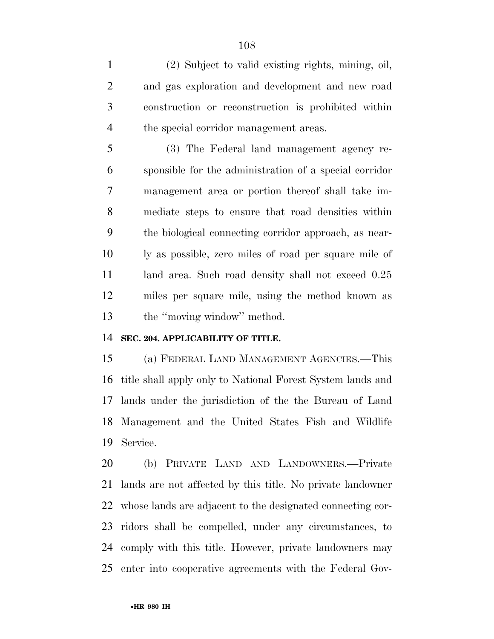(2) Subject to valid existing rights, mining, oil, and gas exploration and development and new road construction or reconstruction is prohibited within the special corridor management areas.

 (3) The Federal land management agency re- sponsible for the administration of a special corridor management area or portion thereof shall take im- mediate steps to ensure that road densities within the biological connecting corridor approach, as near- ly as possible, zero miles of road per square mile of 11 land area. Such road density shall not exceed  $0.25$  miles per square mile, using the method known as 13 the "moving window" method.

## **SEC. 204. APPLICABILITY OF TITLE.**

 (a) FEDERAL LAND MANAGEMENT AGENCIES.—This title shall apply only to National Forest System lands and lands under the jurisdiction of the the Bureau of Land Management and the United States Fish and Wildlife Service.

 (b) PRIVATE LAND AND LANDOWNERS.—Private lands are not affected by this title. No private landowner whose lands are adjacent to the designated connecting cor- ridors shall be compelled, under any circumstances, to comply with this title. However, private landowners may enter into cooperative agreements with the Federal Gov-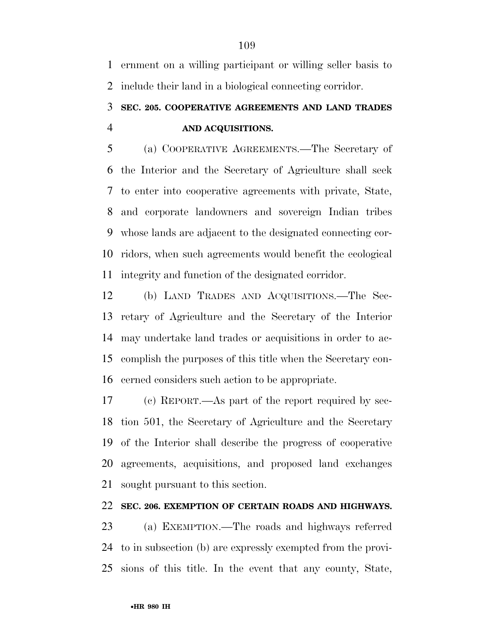ernment on a willing participant or willing seller basis to include their land in a biological connecting corridor.

## **SEC. 205. COOPERATIVE AGREEMENTS AND LAND TRADES AND ACQUISITIONS.**

 (a) COOPERATIVE AGREEMENTS.—The Secretary of the Interior and the Secretary of Agriculture shall seek to enter into cooperative agreements with private, State, and corporate landowners and sovereign Indian tribes whose lands are adjacent to the designated connecting cor- ridors, when such agreements would benefit the ecological integrity and function of the designated corridor.

 (b) LAND TRADES AND ACQUISITIONS.—The Sec- retary of Agriculture and the Secretary of the Interior may undertake land trades or acquisitions in order to ac- complish the purposes of this title when the Secretary con-cerned considers such action to be appropriate.

 (c) REPORT.—As part of the report required by sec- tion 501, the Secretary of Agriculture and the Secretary of the Interior shall describe the progress of cooperative agreements, acquisitions, and proposed land exchanges sought pursuant to this section.

### **SEC. 206. EXEMPTION OF CERTAIN ROADS AND HIGHWAYS.**

 (a) EXEMPTION.—The roads and highways referred to in subsection (b) are expressly exempted from the provi-sions of this title. In the event that any county, State,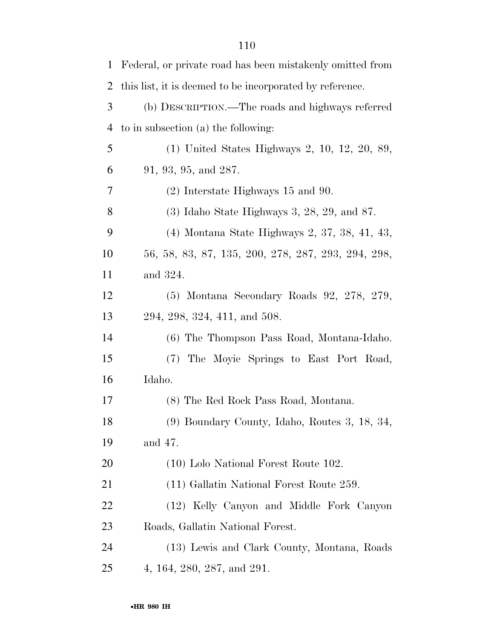| $\mathbf 1$ | Federal, or private road has been mistakenly omitted from |
|-------------|-----------------------------------------------------------|
| 2           | this list, it is deemed to be incorporated by reference.  |
| 3           | (b) DESCRIPTION.—The roads and highways referred          |
| 4           | to in subsection (a) the following:                       |
| 5           | (1) United States Highways 2, 10, 12, 20, 89,             |
| 6           | 91, 93, 95, and 287.                                      |
| 7           | $(2)$ Interstate Highways 15 and 90.                      |
| 8           | $(3)$ Idaho State Highways 3, 28, 29, and 87.             |
| 9           | (4) Montana State Highways 2, 37, 38, 41, 43,             |
| 10          | 56, 58, 83, 87, 135, 200, 278, 287, 293, 294, 298,        |
| 11          | and 324.                                                  |
| 12          | $(5)$ Montana Secondary Roads 92, 278, 279,               |
| 13          | 294, 298, 324, 411, and 508.                              |
| 14          | (6) The Thompson Pass Road, Montana-Idaho.                |
| 15          | (7) The Moyie Springs to East Port Road,                  |
| 16          | Idaho.                                                    |
| 17          | (8) The Red Rock Pass Road, Montana.                      |
| 18          | (9) Boundary County, Idaho, Routes 3, 18, 34,             |
| 19          | and 47.                                                   |
| 20          | (10) Lolo National Forest Route 102.                      |
| 21          | (11) Gallatin National Forest Route 259.                  |
| <u>22</u>   | (12) Kelly Canyon and Middle Fork Canyon                  |
| 23          | Roads, Gallatin National Forest.                          |
| 24          | (13) Lewis and Clark County, Montana, Roads               |
| 25          | 4, 164, 280, 287, and 291.                                |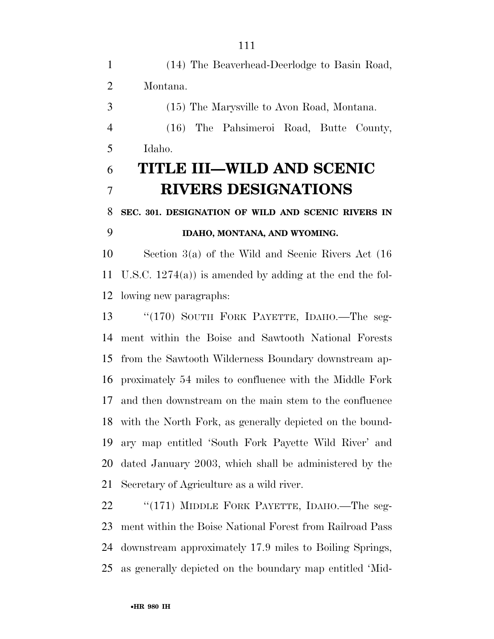(14) The Beaverhead-Deerlodge to Basin Road, Montana. (15) The Marysville to Avon Road, Montana. (16) The Pahsimeroi Road, Butte County, Idaho. **TITLE III—WILD AND SCENIC RIVERS DESIGNATIONS SEC. 301. DESIGNATION OF WILD AND SCENIC RIVERS IN IDAHO, MONTANA, AND WYOMING.**  Section 3(a) of the Wild and Scenic Rivers Act (16 U.S.C. 1274(a)) is amended by adding at the end the fol- lowing new paragraphs: ''(170) SOUTH FORK PAYETTE, IDAHO.—The seg- ment within the Boise and Sawtooth National Forests from the Sawtooth Wilderness Boundary downstream ap- proximately 54 miles to confluence with the Middle Fork and then downstream on the main stem to the confluence with the North Fork, as generally depicted on the bound- ary map entitled 'South Fork Payette Wild River' and dated January 2003, which shall be administered by the Secretary of Agriculture as a wild river.

22 "(171) MIDDLE FORK PAYETTE, IDAHO.—The seg- ment within the Boise National Forest from Railroad Pass downstream approximately 17.9 miles to Boiling Springs, as generally depicted on the boundary map entitled 'Mid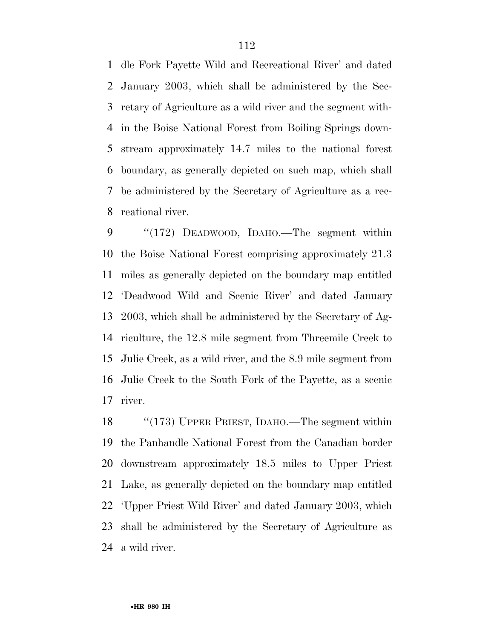dle Fork Payette Wild and Recreational River' and dated January 2003, which shall be administered by the Sec- retary of Agriculture as a wild river and the segment with- in the Boise National Forest from Boiling Springs down- stream approximately 14.7 miles to the national forest boundary, as generally depicted on such map, which shall be administered by the Secretary of Agriculture as a rec-reational river.

 ''(172) DEADWOOD, IDAHO.—The segment within the Boise National Forest comprising approximately 21.3 miles as generally depicted on the boundary map entitled 'Deadwood Wild and Scenic River' and dated January 2003, which shall be administered by the Secretary of Ag- riculture, the 12.8 mile segment from Threemile Creek to Julie Creek, as a wild river, and the 8.9 mile segment from Julie Creek to the South Fork of the Payette, as a scenic river.

 ''(173) UPPER PRIEST, IDAHO.—The segment within the Panhandle National Forest from the Canadian border downstream approximately 18.5 miles to Upper Priest Lake, as generally depicted on the boundary map entitled 'Upper Priest Wild River' and dated January 2003, which shall be administered by the Secretary of Agriculture as a wild river.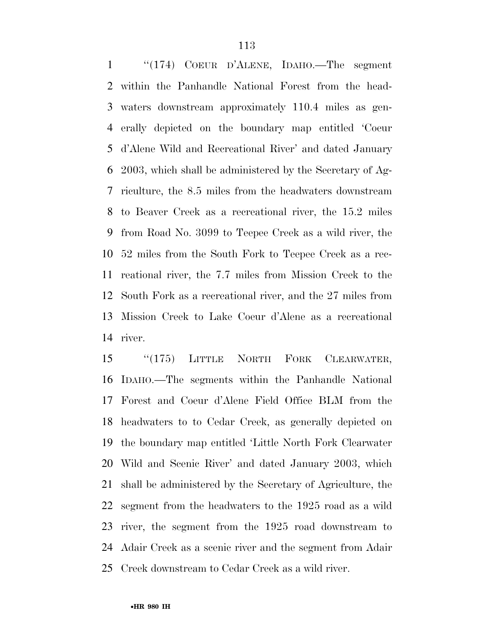''(174) COEUR D'ALENE, IDAHO.—The segment within the Panhandle National Forest from the head- waters downstream approximately 110.4 miles as gen- erally depicted on the boundary map entitled 'Coeur d'Alene Wild and Recreational River' and dated January 2003, which shall be administered by the Secretary of Ag- riculture, the 8.5 miles from the headwaters downstream to Beaver Creek as a recreational river, the 15.2 miles from Road No. 3099 to Teepee Creek as a wild river, the 52 miles from the South Fork to Teepee Creek as a rec- reational river, the 7.7 miles from Mission Creek to the South Fork as a recreational river, and the 27 miles from Mission Creek to Lake Coeur d'Alene as a recreational river.

15 "(175) LITTLE NORTH FORK CLEARWATER, IDAHO.—The segments within the Panhandle National Forest and Coeur d'Alene Field Office BLM from the headwaters to to Cedar Creek, as generally depicted on the boundary map entitled 'Little North Fork Clearwater Wild and Scenic River' and dated January 2003, which shall be administered by the Secretary of Agriculture, the segment from the headwaters to the 1925 road as a wild river, the segment from the 1925 road downstream to Adair Creek as a scenic river and the segment from Adair Creek downstream to Cedar Creek as a wild river.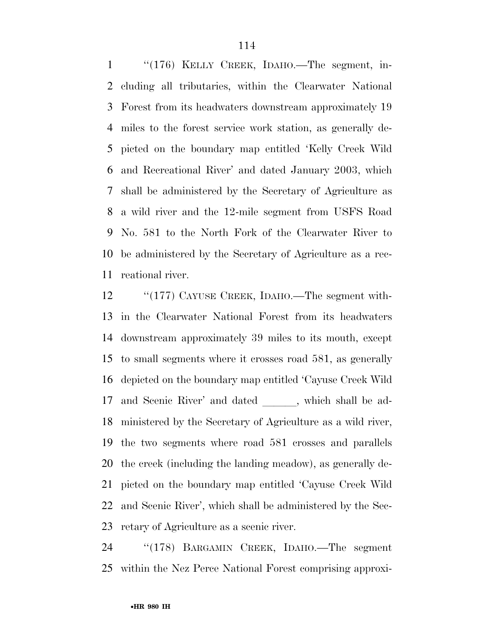''(176) KELLY CREEK, IDAHO.—The segment, in- cluding all tributaries, within the Clearwater National Forest from its headwaters downstream approximately 19 miles to the forest service work station, as generally de- picted on the boundary map entitled 'Kelly Creek Wild and Recreational River' and dated January 2003, which shall be administered by the Secretary of Agriculture as a wild river and the 12-mile segment from USFS Road No. 581 to the North Fork of the Clearwater River to be administered by the Secretary of Agriculture as a rec-reational river.

12 "(177) CAYUSE CREEK, IDAHO.—The segment with- in the Clearwater National Forest from its headwaters downstream approximately 39 miles to its mouth, except to small segments where it crosses road 581, as generally depicted on the boundary map entitled 'Cayuse Creek Wild 17 and Scenic River' and dated , which shall be ad- ministered by the Secretary of Agriculture as a wild river, the two segments where road 581 crosses and parallels the creek (including the landing meadow), as generally de- picted on the boundary map entitled 'Cayuse Creek Wild and Scenic River', which shall be administered by the Sec-retary of Agriculture as a scenic river.

 ''(178) BARGAMIN CREEK, IDAHO.—The segment within the Nez Perce National Forest comprising approxi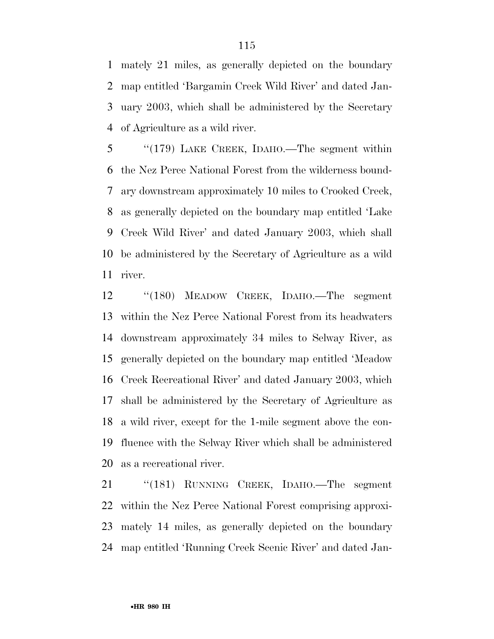mately 21 miles, as generally depicted on the boundary map entitled 'Bargamin Creek Wild River' and dated Jan- uary 2003, which shall be administered by the Secretary of Agriculture as a wild river.

 ''(179) LAKE CREEK, IDAHO.—The segment within the Nez Perce National Forest from the wilderness bound- ary downstream approximately 10 miles to Crooked Creek, as generally depicted on the boundary map entitled 'Lake Creek Wild River' and dated January 2003, which shall be administered by the Secretary of Agriculture as a wild river.

 ''(180) MEADOW CREEK, IDAHO.—The segment within the Nez Perce National Forest from its headwaters downstream approximately 34 miles to Selway River, as generally depicted on the boundary map entitled 'Meadow Creek Recreational River' and dated January 2003, which shall be administered by the Secretary of Agriculture as a wild river, except for the 1-mile segment above the con- fluence with the Selway River which shall be administered as a recreational river.

 ''(181) RUNNING CREEK, IDAHO.—The segment within the Nez Perce National Forest comprising approxi- mately 14 miles, as generally depicted on the boundary map entitled 'Running Creek Scenic River' and dated Jan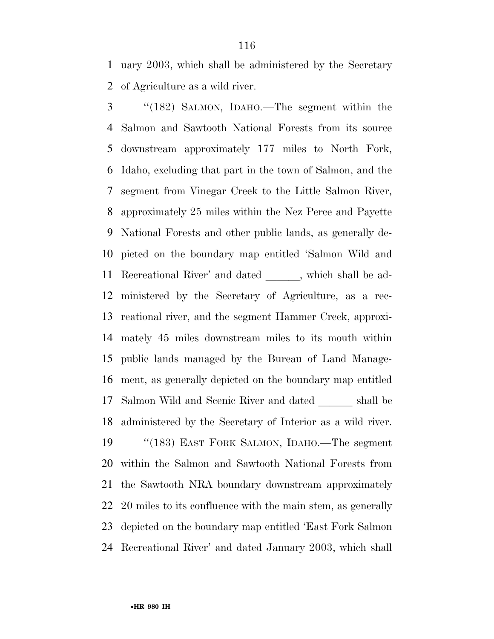uary 2003, which shall be administered by the Secretary of Agriculture as a wild river.

 ''(182) SALMON, IDAHO.—The segment within the Salmon and Sawtooth National Forests from its source downstream approximately 177 miles to North Fork, Idaho, excluding that part in the town of Salmon, and the segment from Vinegar Creek to the Little Salmon River, approximately 25 miles within the Nez Perce and Payette National Forests and other public lands, as generally de- picted on the boundary map entitled 'Salmon Wild and 11 Recreational River' and dated , which shall be ad- ministered by the Secretary of Agriculture, as a rec- reational river, and the segment Hammer Creek, approxi- mately 45 miles downstream miles to its mouth within public lands managed by the Bureau of Land Manage- ment, as generally depicted on the boundary map entitled 17 Salmon Wild and Scenic River and dated <u>shall</u> be administered by the Secretary of Interior as a wild river. ''(183) EAST FORK SALMON, IDAHO.—The segment within the Salmon and Sawtooth National Forests from the Sawtooth NRA boundary downstream approximately 20 miles to its confluence with the main stem, as generally depicted on the boundary map entitled 'East Fork Salmon Recreational River' and dated January 2003, which shall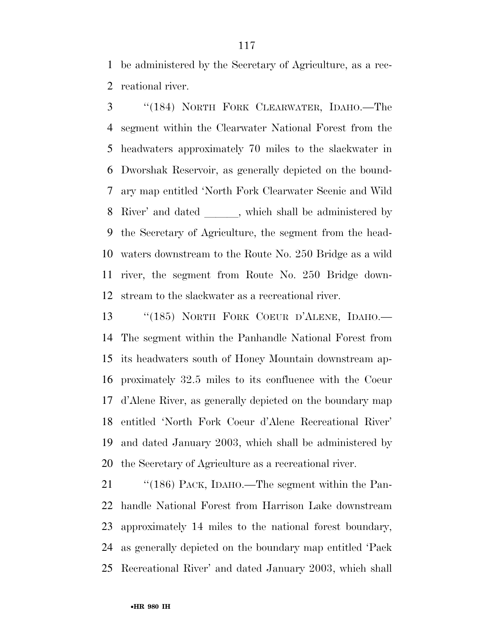be administered by the Secretary of Agriculture, as a rec-reational river.

 ''(184) NORTH FORK CLEARWATER, IDAHO.—The segment within the Clearwater National Forest from the headwaters approximately 70 miles to the slackwater in Dworshak Reservoir, as generally depicted on the bound- ary map entitled 'North Fork Clearwater Scenic and Wild 8 River' and dated with shall be administered by the Secretary of Agriculture, the segment from the head- waters downstream to the Route No. 250 Bridge as a wild river, the segment from Route No. 250 Bridge down-stream to the slackwater as a recreational river.

 ''(185) NORTH FORK COEUR D'ALENE, IDAHO.— The segment within the Panhandle National Forest from its headwaters south of Honey Mountain downstream ap- proximately 32.5 miles to its confluence with the Coeur d'Alene River, as generally depicted on the boundary map entitled 'North Fork Coeur d'Alene Recreational River' and dated January 2003, which shall be administered by the Secretary of Agriculture as a recreational river.

 ''(186) PACK, IDAHO.—The segment within the Pan- handle National Forest from Harrison Lake downstream approximately 14 miles to the national forest boundary, as generally depicted on the boundary map entitled 'Pack Recreational River' and dated January 2003, which shall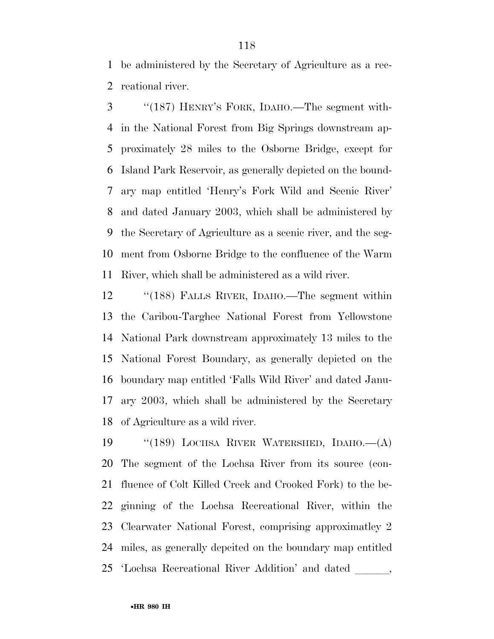be administered by the Secretary of Agriculture as a rec-reational river.

 ''(187) HENRY'S FORK, IDAHO.—The segment with- in the National Forest from Big Springs downstream ap- proximately 28 miles to the Osborne Bridge, except for Island Park Reservoir, as generally depicted on the bound- ary map entitled 'Henry's Fork Wild and Scenic River' and dated January 2003, which shall be administered by the Secretary of Agriculture as a scenic river, and the seg- ment from Osborne Bridge to the confluence of the Warm River, which shall be administered as a wild river.

 ''(188) FALLS RIVER, IDAHO.—The segment within the Caribou-Targhee National Forest from Yellowstone National Park downstream approximately 13 miles to the National Forest Boundary, as generally depicted on the boundary map entitled 'Falls Wild River' and dated Janu- ary 2003, which shall be administered by the Secretary of Agriculture as a wild river.

 ''(189) LOCHSA RIVER WATERSHED, IDAHO.—(A) The segment of the Lochsa River from its source (con- fluence of Colt Killed Creek and Crooked Fork) to the be- ginning of the Lochsa Recreational River, within the Clearwater National Forest, comprising approximatley 2 miles, as generally depcited on the boundary map entitled 'Lochsa Recreational River Addition' and dated lll,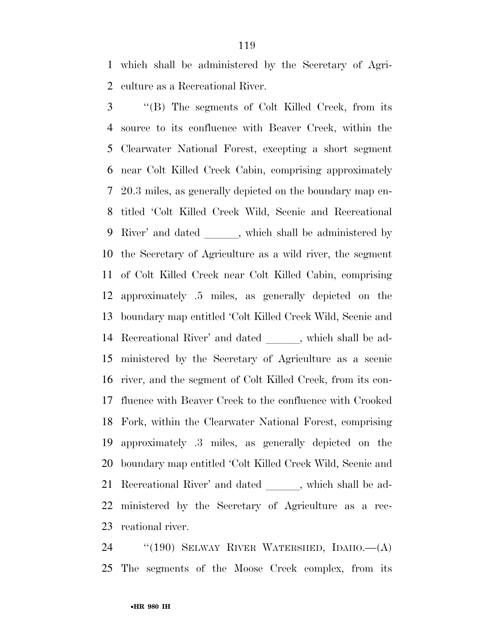which shall be administered by the Secretary of Agri-culture as a Recreational River.

 ''(B) The segments of Colt Killed Creek, from its source to its confluence with Beaver Creek, within the Clearwater National Forest, excepting a short segment near Colt Killed Creek Cabin, comprising approximately 20.3 miles, as generally depicted on the boundary map en- titled 'Colt Killed Creek Wild, Scenic and Recreational 9 River' and dated \_\_\_\_\_\_, which shall be administered by the Secretary of Agriculture as a wild river, the segment of Colt Killed Creek near Colt Killed Cabin, comprising approximately .5 miles, as generally depicted on the boundary map entitled 'Colt Killed Creek Wild, Scenic and 14 Recreational River' and dated \_\_\_\_\_, which shall be ad- ministered by the Secretary of Agriculture as a scenic river, and the segment of Colt Killed Creek, from its con- fluence with Beaver Creek to the confluence with Crooked Fork, within the Clearwater National Forest, comprising approximately .3 miles, as generally depicted on the boundary map entitled 'Colt Killed Creek Wild, Scenic and 21 Recreational River' and dated \_\_\_\_\_, which shall be ad- ministered by the Secretary of Agriculture as a rec-reational river.

 ''(190) SELWAY RIVER WATERSHED, IDAHO.—(A) The segments of the Moose Creek complex, from its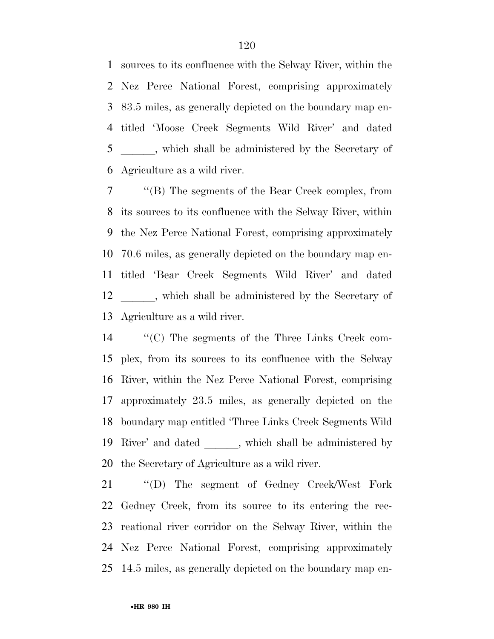sources to its confluence with the Selway River, within the Nez Perce National Forest, comprising approximately 83.5 miles, as generally depicted on the boundary map en- titled 'Moose Creek Segments Wild River' and dated 5 \_\_\_\_\_, which shall be administered by the Secretary of Agriculture as a wild river.

 ''(B) The segments of the Bear Creek complex, from its sources to its confluence with the Selway River, within the Nez Perce National Forest, comprising approximately 70.6 miles, as generally depicted on the boundary map en- titled 'Bear Creek Segments Wild River' and dated 12 , which shall be administered by the Secretary of Agriculture as a wild river.

 ''(C) The segments of the Three Links Creek com- plex, from its sources to its confluence with the Selway River, within the Nez Perce National Forest, comprising approximately 23.5 miles, as generally depicted on the boundary map entitled 'Three Links Creek Segments Wild 19 River' and dated , which shall be administered by the Secretary of Agriculture as a wild river.

 ''(D) The segment of Gedney Creek/West Fork Gedney Creek, from its source to its entering the rec- reational river corridor on the Selway River, within the Nez Perce National Forest, comprising approximately 14.5 miles, as generally depicted on the boundary map en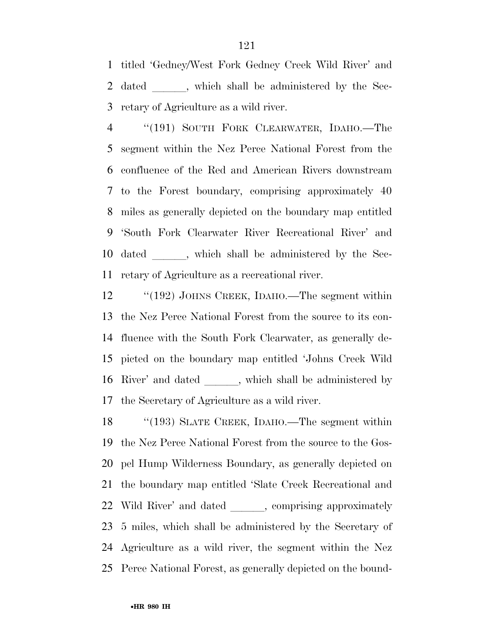titled 'Gedney/West Fork Gedney Creek Wild River' and 2 dated \_\_\_\_\_, which shall be administered by the Sec-retary of Agriculture as a wild river.

 ''(191) SOUTH FORK CLEARWATER, IDAHO.—The segment within the Nez Perce National Forest from the confluence of the Red and American Rivers downstream to the Forest boundary, comprising approximately 40 miles as generally depicted on the boundary map entitled 'South Fork Clearwater River Recreational River' and 10 dated \_\_\_\_\_\_, which shall be administered by the Sec-retary of Agriculture as a recreational river.

12 "(192) JOHNS CREEK, IDAHO.—The segment within the Nez Perce National Forest from the source to its con- fluence with the South Fork Clearwater, as generally de- picted on the boundary map entitled 'Johns Creek Wild 16 River' and dated \_\_\_\_\_, which shall be administered by the Secretary of Agriculture as a wild river.

18 "(193) SLATE CREEK, IDAHO.—The segment within the Nez Perce National Forest from the source to the Gos- pel Hump Wilderness Boundary, as generally depicted on the boundary map entitled 'Slate Creek Recreational and 22 Wild River' and dated \_\_\_\_\_\_, comprising approximately 5 miles, which shall be administered by the Secretary of Agriculture as a wild river, the segment within the Nez Perce National Forest, as generally depicted on the bound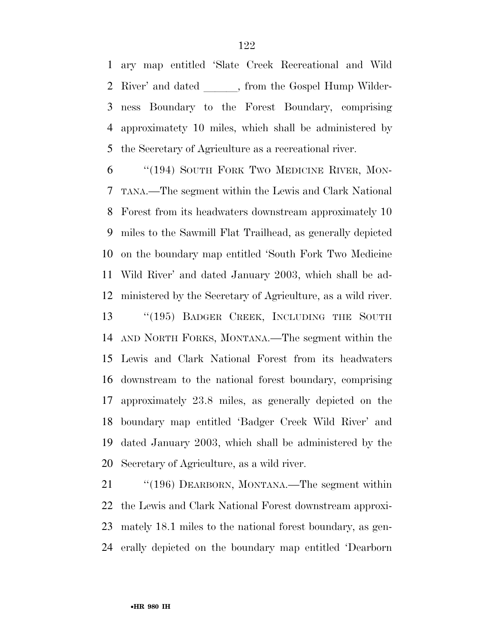ary map entitled 'Slate Creek Recreational and Wild 2 River' and dated , from the Gospel Hump Wilder- ness Boundary to the Forest Boundary, comprising approximatety 10 miles, which shall be administered by the Secretary of Agriculture as a recreational river.

 ''(194) SOUTH FORK TWO MEDICINE RIVER, MON- TANA.—The segment within the Lewis and Clark National Forest from its headwaters downstream approximately 10 miles to the Sawmill Flat Trailhead, as generally depicted on the boundary map entitled 'South Fork Two Medicine Wild River' and dated January 2003, which shall be ad- ministered by the Secretary of Agriculture, as a wild river. 13 "(195) BADGER CREEK, INCLUDING THE SOUTH AND NORTH FORKS, MONTANA.—The segment within the Lewis and Clark National Forest from its headwaters downstream to the national forest boundary, comprising approximately 23.8 miles, as generally depicted on the boundary map entitled 'Badger Creek Wild River' and dated January 2003, which shall be administered by the Secretary of Agriculture, as a wild river.

21 "'(196) DEARBORN, MONTANA.—The segment within the Lewis and Clark National Forest downstream approxi- mately 18.1 miles to the national forest boundary, as gen-erally depicted on the boundary map entitled 'Dearborn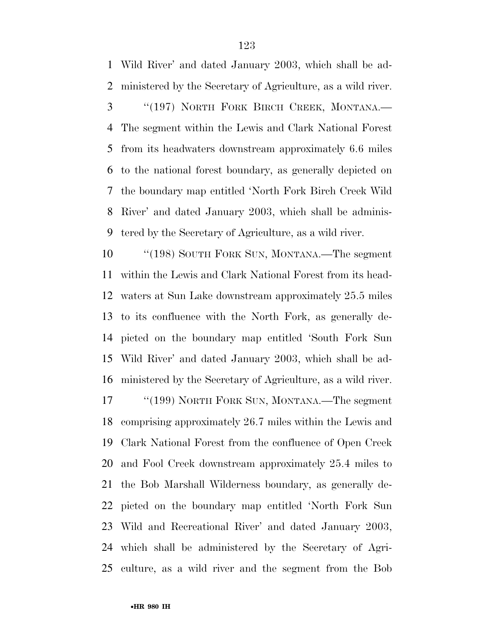Wild River' and dated January 2003, which shall be ad-ministered by the Secretary of Agriculture, as a wild river.

 ''(197) NORTH FORK BIRCH CREEK, MONTANA.— The segment within the Lewis and Clark National Forest from its headwaters downstream approximately 6.6 miles to the national forest boundary, as generally depicted on the boundary map entitled 'North Fork Birch Creek Wild River' and dated January 2003, which shall be adminis-tered by the Secretary of Agriculture, as a wild river.

10 "'(198) SOUTH FORK SUN, MONTANA.—The segment within the Lewis and Clark National Forest from its head- waters at Sun Lake downstream approximately 25.5 miles to its confluence with the North Fork, as generally de- picted on the boundary map entitled 'South Fork Sun Wild River' and dated January 2003, which shall be ad-ministered by the Secretary of Agriculture, as a wild river.

17 ''(199) NORTH FORK SUN, MONTANA.—The segment comprising approximately 26.7 miles within the Lewis and Clark National Forest from the confluence of Open Creek and Fool Creek downstream approximately 25.4 miles to the Bob Marshall Wilderness boundary, as generally de- picted on the boundary map entitled 'North Fork Sun Wild and Recreational River' and dated January 2003, which shall be administered by the Secretary of Agri-culture, as a wild river and the segment from the Bob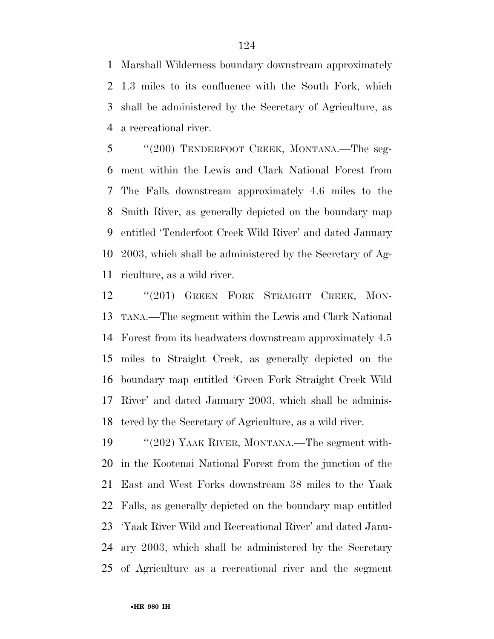Marshall Wilderness boundary downstream approximately 1.3 miles to its confluence with the South Fork, which shall be administered by the Secretary of Agriculture, as a recreational river.

 ''(200) TENDERFOOT CREEK, MONTANA.—The seg- ment within the Lewis and Clark National Forest from The Falls downstream approximately 4.6 miles to the Smith River, as generally depicted on the boundary map entitled 'Tenderfoot Creek Wild River' and dated January 2003, which shall be administered by the Secretary of Ag-riculture, as a wild river.

12 "(201) GREEN FORK STRAIGHT CREEK, MON- TANA.—The segment within the Lewis and Clark National Forest from its headwaters downstream approximately 4.5 miles to Straight Creek, as generally depicted on the boundary map entitled 'Green Fork Straight Creek Wild River' and dated January 2003, which shall be adminis-tered by the Secretary of Agriculture, as a wild river.

19 "'(202) YAAK RIVER, MONTANA.—The segment with- in the Kootenai National Forest from the junction of the East and West Forks downstream 38 miles to the Yaak Falls, as generally depicted on the boundary map entitled 'Yaak River Wild and Recreational River' and dated Janu- ary 2003, which shall be administered by the Secretary of Agriculture as a recreational river and the segment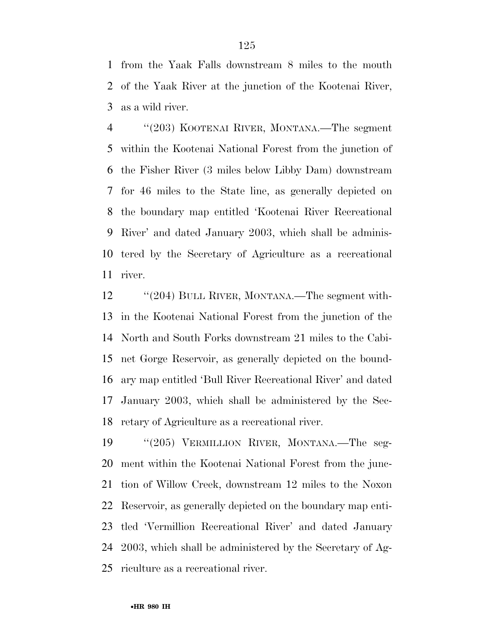from the Yaak Falls downstream 8 miles to the mouth of the Yaak River at the junction of the Kootenai River, as a wild river.

 ''(203) KOOTENAI RIVER, MONTANA.—The segment within the Kootenai National Forest from the junction of the Fisher River (3 miles below Libby Dam) downstream for 46 miles to the State line, as generally depicted on the boundary map entitled 'Kootenai River Recreational River' and dated January 2003, which shall be adminis- tered by the Secretary of Agriculture as a recreational river.

12 "(204) BULL RIVER, MONTANA.—The segment with- in the Kootenai National Forest from the junction of the North and South Forks downstream 21 miles to the Cabi- net Gorge Reservoir, as generally depicted on the bound- ary map entitled 'Bull River Recreational River' and dated January 2003, which shall be administered by the Sec-retary of Agriculture as a recreational river.

 ''(205) VERMILLION RIVER, MONTANA.—The seg- ment within the Kootenai National Forest from the junc- tion of Willow Creek, downstream 12 miles to the Noxon Reservoir, as generally depicted on the boundary map enti- tled 'Vermillion Recreational River' and dated January 2003, which shall be administered by the Secretary of Ag-riculture as a recreational river.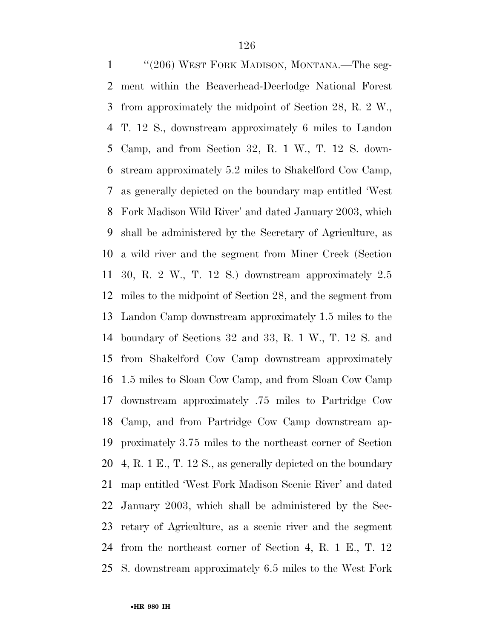''(206) WEST FORK MADISON, MONTANA.—The seg- ment within the Beaverhead-Deerlodge National Forest from approximately the midpoint of Section 28, R. 2 W., T. 12 S., downstream approximately 6 miles to Landon Camp, and from Section 32, R. 1 W., T. 12 S. down- stream approximately 5.2 miles to Shakelford Cow Camp, as generally depicted on the boundary map entitled 'West Fork Madison Wild River' and dated January 2003, which shall be administered by the Secretary of Agriculture, as a wild river and the segment from Miner Creek (Section 30, R. 2 W., T. 12 S.) downstream approximately 2.5 miles to the midpoint of Section 28, and the segment from Landon Camp downstream approximately 1.5 miles to the boundary of Sections 32 and 33, R. 1 W., T. 12 S. and from Shakelford Cow Camp downstream approximately 1.5 miles to Sloan Cow Camp, and from Sloan Cow Camp downstream approximately .75 miles to Partridge Cow Camp, and from Partridge Cow Camp downstream ap- proximately 3.75 miles to the northeast corner of Section 4, R. 1 E., T. 12 S., as generally depicted on the boundary map entitled 'West Fork Madison Scenic River' and dated January 2003, which shall be administered by the Sec- retary of Agriculture, as a scenic river and the segment from the northeast corner of Section 4, R. 1 E., T. 12 S. downstream approximately 6.5 miles to the West Fork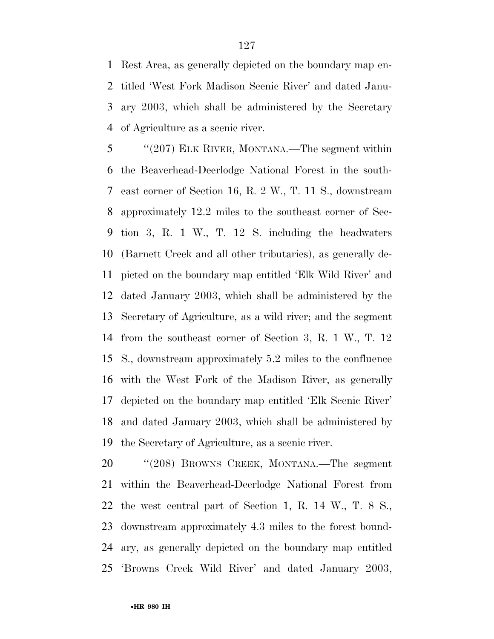Rest Area, as generally depicted on the boundary map en- titled 'West Fork Madison Scenic River' and dated Janu- ary 2003, which shall be administered by the Secretary of Agriculture as a scenic river.

 ''(207) ELK RIVER, MONTANA.—The segment within the Beaverhead-Deerlodge National Forest in the south- east corner of Section 16, R. 2 W., T. 11 S., downstream approximately 12.2 miles to the southeast corner of Sec- tion 3, R. 1 W., T. 12 S. including the headwaters (Barnett Creek and all other tributaries), as generally de- picted on the boundary map entitled 'Elk Wild River' and dated January 2003, which shall be administered by the Secretary of Agriculture, as a wild river; and the segment from the southeast corner of Section 3, R. 1 W., T. 12 S., downstream approximately 5.2 miles to the confluence with the West Fork of the Madison River, as generally depicted on the boundary map entitled 'Elk Scenic River' and dated January 2003, which shall be administered by the Secretary of Agriculture, as a scenic river.

 ''(208) BROWNS CREEK, MONTANA.—The segment within the Beaverhead-Deerlodge National Forest from the west central part of Section 1, R. 14 W., T. 8 S., downstream approximately 4.3 miles to the forest bound- ary, as generally depicted on the boundary map entitled 'Browns Creek Wild River' and dated January 2003,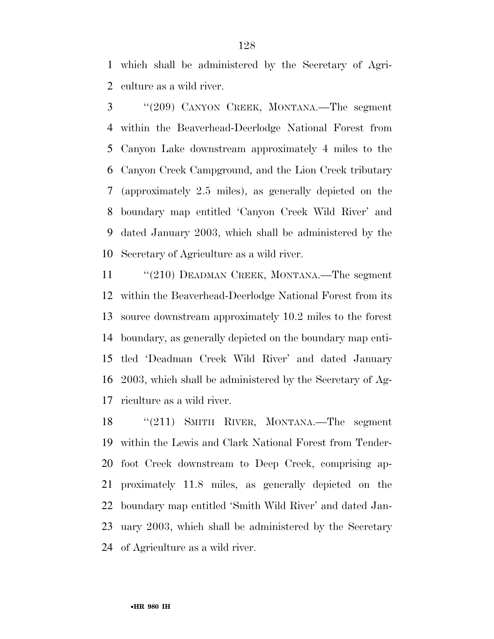which shall be administered by the Secretary of Agri-culture as a wild river.

 ''(209) CANYON CREEK, MONTANA.—The segment within the Beaverhead-Deerlodge National Forest from Canyon Lake downstream approximately 4 miles to the Canyon Creek Campground, and the Lion Creek tributary (approximately 2.5 miles), as generally depicted on the boundary map entitled 'Canyon Creek Wild River' and dated January 2003, which shall be administered by the Secretary of Agriculture as a wild river.

11 "(210) DEADMAN CREEK, MONTANA.—The segment within the Beaverhead-Deerlodge National Forest from its source downstream approximately 10.2 miles to the forest boundary, as generally depicted on the boundary map enti- tled 'Deadman Creek Wild River' and dated January 2003, which shall be administered by the Secretary of Ag-riculture as a wild river.

 ''(211) SMITH RIVER, MONTANA.—The segment within the Lewis and Clark National Forest from Tender- foot Creek downstream to Deep Creek, comprising ap- proximately 11.8 miles, as generally depicted on the boundary map entitled 'Smith Wild River' and dated Jan- uary 2003, which shall be administered by the Secretary of Agriculture as a wild river.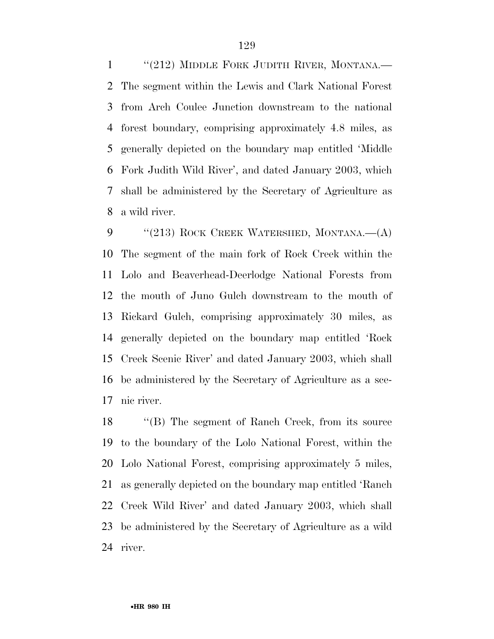1 "(212) MIDDLE FORK JUDITH RIVER, MONTANA.— The segment within the Lewis and Clark National Forest from Arch Coulee Junction downstream to the national forest boundary, comprising approximately 4.8 miles, as generally depicted on the boundary map entitled 'Middle Fork Judith Wild River', and dated January 2003, which shall be administered by the Secretary of Agriculture as a wild river.

9 "(213) ROCK CREEK WATERSHED, MONTANA.—(A) The segment of the main fork of Rock Creek within the Lolo and Beaverhead-Deerlodge National Forests from the mouth of Juno Gulch downstream to the mouth of Rickard Gulch, comprising approximately 30 miles, as generally depicted on the boundary map entitled 'Rock Creek Scenic River' and dated January 2003, which shall be administered by the Secretary of Agriculture as a sce-nic river.

 ''(B) The segment of Ranch Creek, from its source to the boundary of the Lolo National Forest, within the Lolo National Forest, comprising approximately 5 miles, as generally depicted on the boundary map entitled 'Ranch Creek Wild River' and dated January 2003, which shall be administered by the Secretary of Agriculture as a wild river.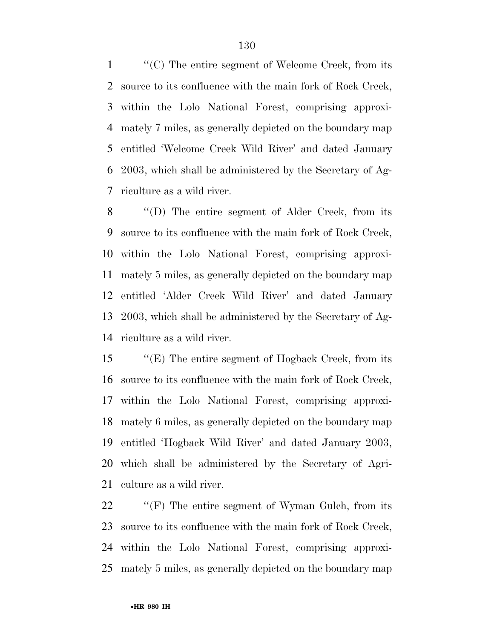''(C) The entire segment of Welcome Creek, from its source to its confluence with the main fork of Rock Creek, within the Lolo National Forest, comprising approxi- mately 7 miles, as generally depicted on the boundary map entitled 'Welcome Creek Wild River' and dated January 2003, which shall be administered by the Secretary of Ag-riculture as a wild river.

 ''(D) The entire segment of Alder Creek, from its source to its confluence with the main fork of Rock Creek, within the Lolo National Forest, comprising approxi- mately 5 miles, as generally depicted on the boundary map entitled 'Alder Creek Wild River' and dated January 2003, which shall be administered by the Secretary of Ag-riculture as a wild river.

 ''(E) The entire segment of Hogback Creek, from its source to its confluence with the main fork of Rock Creek, within the Lolo National Forest, comprising approxi- mately 6 miles, as generally depicted on the boundary map entitled 'Hogback Wild River' and dated January 2003, which shall be administered by the Secretary of Agri-culture as a wild river.

22 "'(F) The entire segment of Wyman Gulch, from its source to its confluence with the main fork of Rock Creek, within the Lolo National Forest, comprising approxi-mately 5 miles, as generally depicted on the boundary map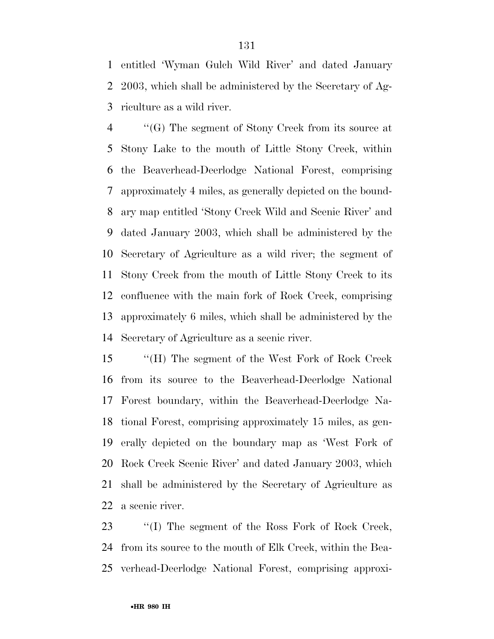entitled 'Wyman Gulch Wild River' and dated January 2003, which shall be administered by the Secretary of Ag-riculture as a wild river.

 ''(G) The segment of Stony Creek from its source at Stony Lake to the mouth of Little Stony Creek, within the Beaverhead-Deerlodge National Forest, comprising approximately 4 miles, as generally depicted on the bound- ary map entitled 'Stony Creek Wild and Scenic River' and dated January 2003, which shall be administered by the Secretary of Agriculture as a wild river; the segment of Stony Creek from the mouth of Little Stony Creek to its confluence with the main fork of Rock Creek, comprising approximately 6 miles, which shall be administered by the Secretary of Agriculture as a scenic river.

 ''(H) The segment of the West Fork of Rock Creek from its source to the Beaverhead-Deerlodge National Forest boundary, within the Beaverhead-Deerlodge Na- tional Forest, comprising approximately 15 miles, as gen- erally depicted on the boundary map as 'West Fork of Rock Creek Scenic River' and dated January 2003, which shall be administered by the Secretary of Agriculture as a scenic river.

 ''(I) The segment of the Ross Fork of Rock Creek, from its source to the mouth of Elk Creek, within the Bea-verhead-Deerlodge National Forest, comprising approxi-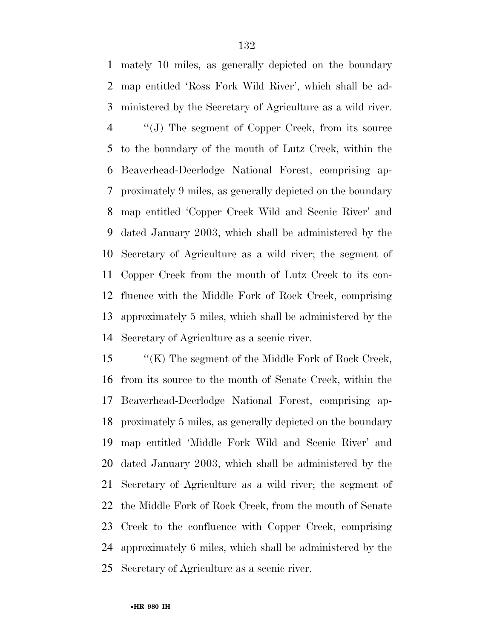mately 10 miles, as generally depicted on the boundary map entitled 'Ross Fork Wild River', which shall be ad- ministered by the Secretary of Agriculture as a wild river. ''(J) The segment of Copper Creek, from its source to the boundary of the mouth of Lutz Creek, within the Beaverhead-Deerlodge National Forest, comprising ap- proximately 9 miles, as generally depicted on the boundary map entitled 'Copper Creek Wild and Scenic River' and dated January 2003, which shall be administered by the Secretary of Agriculture as a wild river; the segment of Copper Creek from the mouth of Lutz Creek to its con- fluence with the Middle Fork of Rock Creek, comprising approximately 5 miles, which shall be administered by the Secretary of Agriculture as a scenic river.

 ''(K) The segment of the Middle Fork of Rock Creek, from its source to the mouth of Senate Creek, within the Beaverhead-Deerlodge National Forest, comprising ap- proximately 5 miles, as generally depicted on the boundary map entitled 'Middle Fork Wild and Scenic River' and dated January 2003, which shall be administered by the Secretary of Agriculture as a wild river; the segment of the Middle Fork of Rock Creek, from the mouth of Senate Creek to the confluence with Copper Creek, comprising approximately 6 miles, which shall be administered by the Secretary of Agriculture as a scenic river.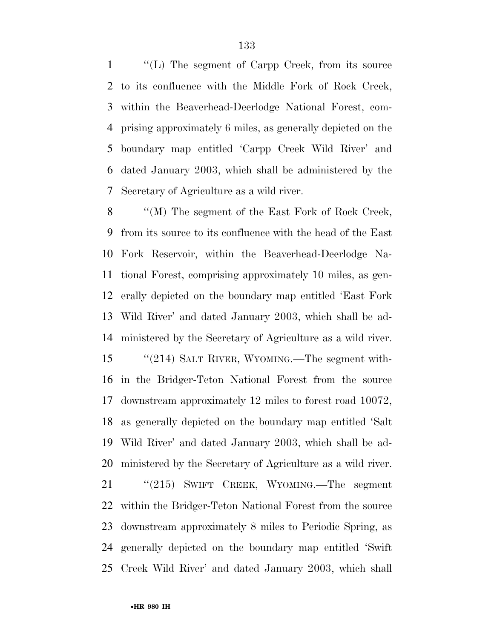''(L) The segment of Carpp Creek, from its source to its confluence with the Middle Fork of Rock Creek, within the Beaverhead-Deerlodge National Forest, com- prising approximately 6 miles, as generally depicted on the boundary map entitled 'Carpp Creek Wild River' and dated January 2003, which shall be administered by the Secretary of Agriculture as a wild river.

 ''(M) The segment of the East Fork of Rock Creek, from its source to its confluence with the head of the East Fork Reservoir, within the Beaverhead-Deerlodge Na- tional Forest, comprising approximately 10 miles, as gen- erally depicted on the boundary map entitled 'East Fork Wild River' and dated January 2003, which shall be ad- ministered by the Secretary of Agriculture as a wild river. ''(214) SALT RIVER, WYOMING.—The segment with- in the Bridger-Teton National Forest from the source downstream approximately 12 miles to forest road 10072, as generally depicted on the boundary map entitled 'Salt Wild River' and dated January 2003, which shall be ad- ministered by the Secretary of Agriculture as a wild river. ''(215) SWIFT CREEK, WYOMING.—The segment within the Bridger-Teton National Forest from the source downstream approximately 8 miles to Periodic Spring, as

 generally depicted on the boundary map entitled 'Swift Creek Wild River' and dated January 2003, which shall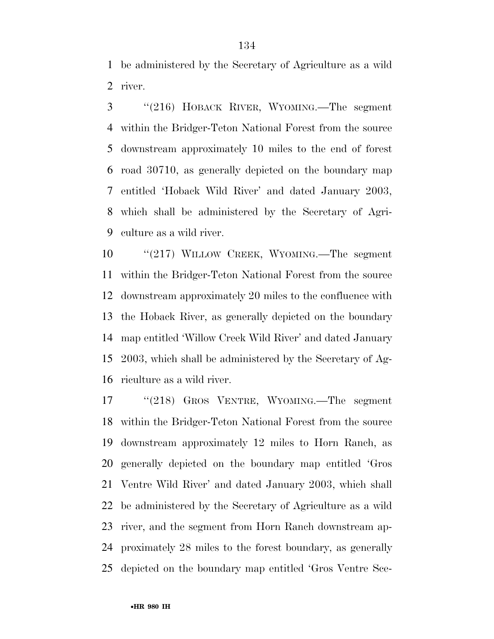be administered by the Secretary of Agriculture as a wild river.

 ''(216) HOBACK RIVER, WYOMING.—The segment within the Bridger-Teton National Forest from the source downstream approximately 10 miles to the end of forest road 30710, as generally depicted on the boundary map entitled 'Hoback Wild River' and dated January 2003, which shall be administered by the Secretary of Agri-culture as a wild river.

 ''(217) WILLOW CREEK, WYOMING.—The segment within the Bridger-Teton National Forest from the source downstream approximately 20 miles to the confluence with the Hoback River, as generally depicted on the boundary map entitled 'Willow Creek Wild River' and dated January 2003, which shall be administered by the Secretary of Ag-riculture as a wild river.

 ''(218) GROS VENTRE, WYOMING.—The segment within the Bridger-Teton National Forest from the source downstream approximately 12 miles to Horn Ranch, as generally depicted on the boundary map entitled 'Gros Ventre Wild River' and dated January 2003, which shall be administered by the Secretary of Agriculture as a wild river, and the segment from Horn Ranch downstream ap- proximately 28 miles to the forest boundary, as generally depicted on the boundary map entitled 'Gros Ventre Sce-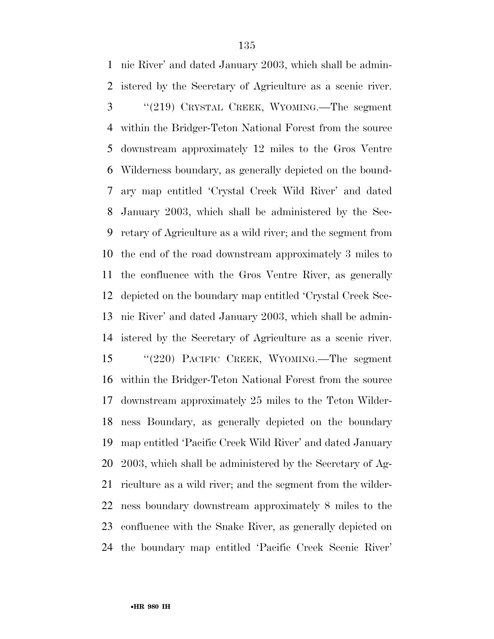nic River' and dated January 2003, which shall be admin- istered by the Secretary of Agriculture as a scenic river. ''(219) CRYSTAL CREEK, WYOMING.—The segment within the Bridger-Teton National Forest from the source downstream approximately 12 miles to the Gros Ventre Wilderness boundary, as generally depicted on the bound- ary map entitled 'Crystal Creek Wild River' and dated January 2003, which shall be administered by the Sec- retary of Agriculture as a wild river; and the segment from the end of the road downstream approximately 3 miles to the confluence with the Gros Ventre River, as generally depicted on the boundary map entitled 'Crystal Creek Sce- nic River' and dated January 2003, which shall be admin- istered by the Secretary of Agriculture as a scenic river. ''(220) PACIFIC CREEK, WYOMING.—The segment within the Bridger-Teton National Forest from the source downstream approximately 25 miles to the Teton Wilder- ness Boundary, as generally depicted on the boundary map entitled 'Pacific Creek Wild River' and dated January 2003, which shall be administered by the Secretary of Ag- riculture as a wild river; and the segment from the wilder- ness boundary downstream approximately 8 miles to the confluence with the Snake River, as generally depicted on the boundary map entitled 'Pacific Creek Scenic River'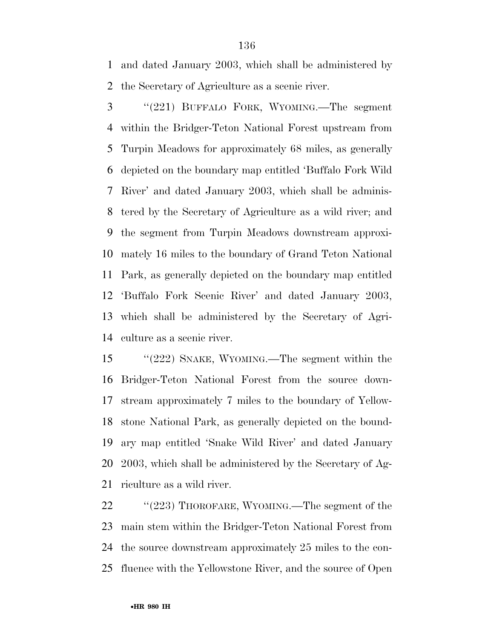and dated January 2003, which shall be administered by the Secretary of Agriculture as a scenic river.

 ''(221) BUFFALO FORK, WYOMING.—The segment within the Bridger-Teton National Forest upstream from Turpin Meadows for approximately 68 miles, as generally depicted on the boundary map entitled 'Buffalo Fork Wild River' and dated January 2003, which shall be adminis- tered by the Secretary of Agriculture as a wild river; and the segment from Turpin Meadows downstream approxi- mately 16 miles to the boundary of Grand Teton National Park, as generally depicted on the boundary map entitled 'Buffalo Fork Scenic River' and dated January 2003, which shall be administered by the Secretary of Agri-culture as a scenic river.

 ''(222) SNAKE, WYOMING.—The segment within the Bridger-Teton National Forest from the source down- stream approximately 7 miles to the boundary of Yellow- stone National Park, as generally depicted on the bound- ary map entitled 'Snake Wild River' and dated January 2003, which shall be administered by the Secretary of Ag-riculture as a wild river.

22 "'(223) THOROFARE, WYOMING.—The segment of the main stem within the Bridger-Teton National Forest from the source downstream approximately 25 miles to the con-fluence with the Yellowstone River, and the source of Open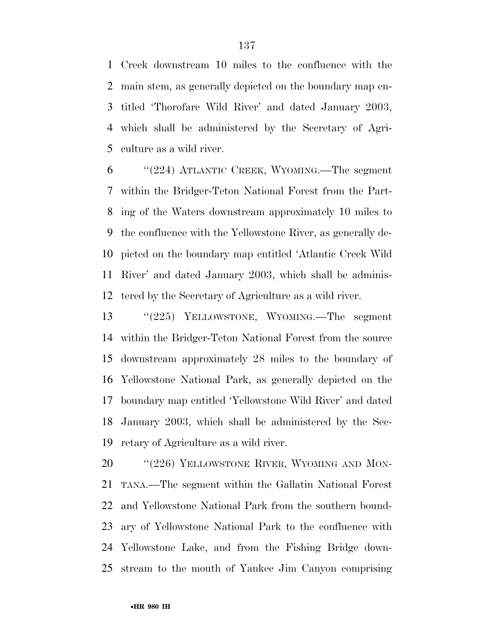Creek downstream 10 miles to the confluence with the main stem, as generally depicted on the boundary map en- titled 'Thorofare Wild River' and dated January 2003, which shall be administered by the Secretary of Agri-culture as a wild river.

 ''(224) ATLANTIC CREEK, WYOMING.—The segment within the Bridger-Teton National Forest from the Part- ing of the Waters downstream approximately 10 miles to the confluence with the Yellowstone River, as generally de- picted on the boundary map entitled 'Atlantic Creek Wild River' and dated January 2003, which shall be adminis-tered by the Secretary of Agriculture as a wild river.

 ''(225) YELLOWSTONE, WYOMING.—The segment within the Bridger-Teton National Forest from the source downstream approximately 28 miles to the boundary of Yellowstone National Park, as generally depicted on the boundary map entitled 'Yellowstone Wild River' and dated January 2003, which shall be administered by the Sec-retary of Agriculture as a wild river.

20 "(226) YELLOWSTONE RIVER, WYOMING AND MON- TANA.—The segment within the Gallatin National Forest and Yellowstone National Park from the southern bound- ary of Yellowstone National Park to the confluence with Yellowstone Lake, and from the Fishing Bridge down-stream to the mouth of Yankee Jim Canyon comprising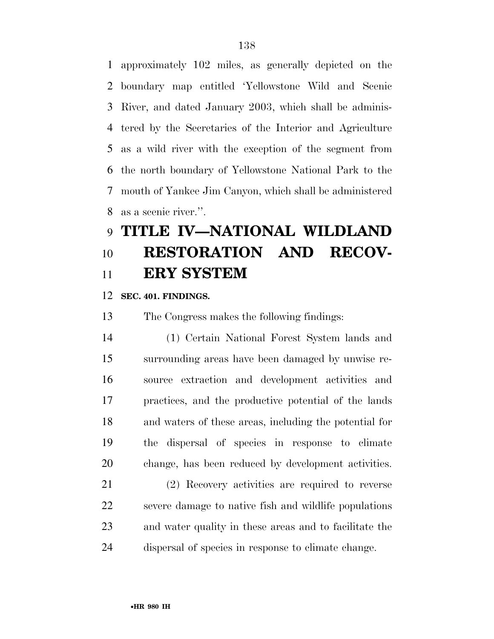approximately 102 miles, as generally depicted on the boundary map entitled 'Yellowstone Wild and Scenic River, and dated January 2003, which shall be adminis- tered by the Secretaries of the Interior and Agriculture as a wild river with the exception of the segment from the north boundary of Yellowstone National Park to the mouth of Yankee Jim Canyon, which shall be administered as a scenic river.''.

# **TITLE IV—NATIONAL WILDLAND RESTORATION AND RECOV-ERY SYSTEM**

**SEC. 401. FINDINGS.** 

The Congress makes the following findings:

 (1) Certain National Forest System lands and surrounding areas have been damaged by unwise re- source extraction and development activities and practices, and the productive potential of the lands and waters of these areas, including the potential for the dispersal of species in response to climate change, has been reduced by development activities.

 (2) Recovery activities are required to reverse severe damage to native fish and wildlife populations and water quality in these areas and to facilitate the dispersal of species in response to climate change.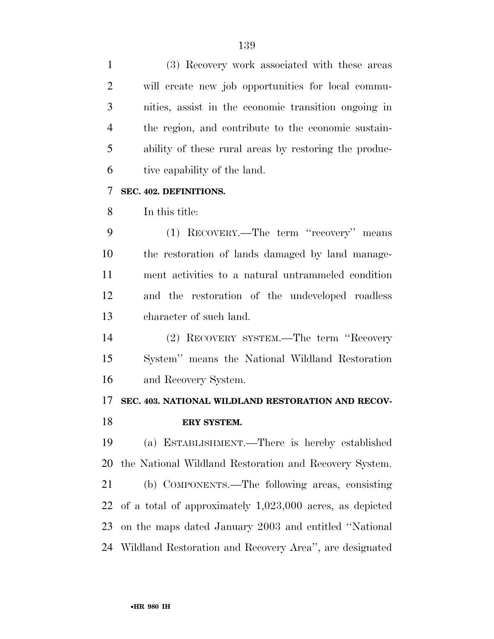(3) Recovery work associated with these areas will create new job opportunities for local commu- nities, assist in the economic transition ongoing in the region, and contribute to the economic sustain- ability of these rural areas by restoring the produc- tive capability of the land. **SEC. 402. DEFINITIONS.**  In this title: (1) RECOVERY.—The term ''recovery'' means the restoration of lands damaged by land manage- ment activities to a natural untrammeled condition and the restoration of the undeveloped roadless character of such land. (2) RECOVERY SYSTEM.—The term ''Recovery System'' means the National Wildland Restoration and Recovery System. **SEC. 403. NATIONAL WILDLAND RESTORATION AND RECOV- ERY SYSTEM.**  (a) ESTABLISHMENT.—There is hereby established the National Wildland Restoration and Recovery System. (b) COMPONENTS.—The following areas, consisting of a total of approximately 1,023,000 acres, as depicted on the maps dated January 2003 and entitled ''National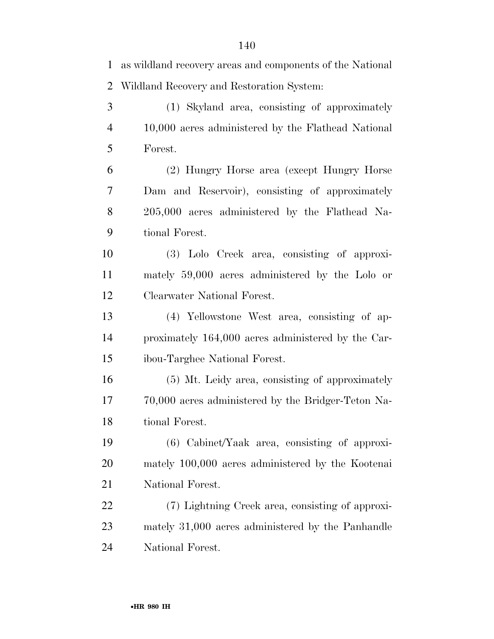as wildland recovery areas and components of the National Wildland Recovery and Restoration System: (1) Skyland area, consisting of approximately 10,000 acres administered by the Flathead National Forest. (2) Hungry Horse area (except Hungry Horse Dam and Reservoir), consisting of approximately 205,000 acres administered by the Flathead Na- tional Forest. (3) Lolo Creek area, consisting of approxi- mately 59,000 acres administered by the Lolo or Clearwater National Forest. (4) Yellowstone West area, consisting of ap- proximately 164,000 acres administered by the Car- ibou-Targhee National Forest. (5) Mt. Leidy area, consisting of approximately 70,000 acres administered by the Bridger-Teton Na- tional Forest. (6) Cabinet/Yaak area, consisting of approxi- mately 100,000 acres administered by the Kootenai National Forest. (7) Lightning Creek area, consisting of approxi- mately 31,000 acres administered by the Panhandle National Forest.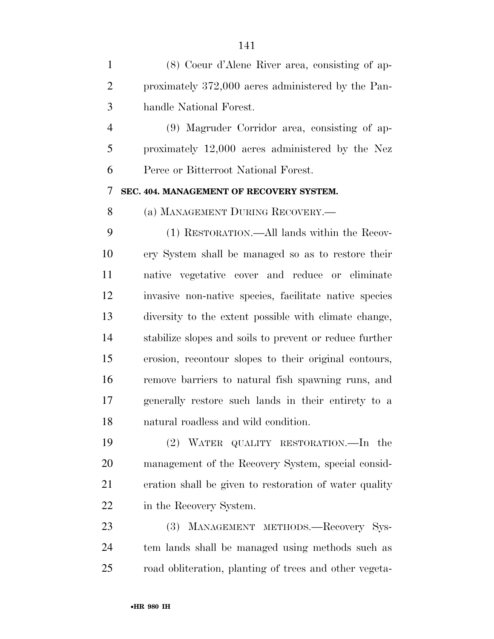(8) Coeur d'Alene River area, consisting of ap- proximately 372,000 acres administered by the Pan-handle National Forest.

 (9) Magruder Corridor area, consisting of ap- proximately 12,000 acres administered by the Nez Perce or Bitterroot National Forest.

#### **SEC. 404. MANAGEMENT OF RECOVERY SYSTEM.**

(a) MANAGEMENT DURING RECOVERY.—

 (1) RESTORATION.—All lands within the Recov- ery System shall be managed so as to restore their native vegetative cover and reduce or eliminate invasive non-native species, facilitate native species diversity to the extent possible with climate change, stabilize slopes and soils to prevent or reduce further erosion, recontour slopes to their original contours, remove barriers to natural fish spawning runs, and generally restore such lands in their entirety to a natural roadless and wild condition.

 (2) WATER QUALITY RESTORATION.—In the management of the Recovery System, special consid- eration shall be given to restoration of water quality in the Recovery System.

 (3) MANAGEMENT METHODS.—Recovery Sys- tem lands shall be managed using methods such as road obliteration, planting of trees and other vegeta-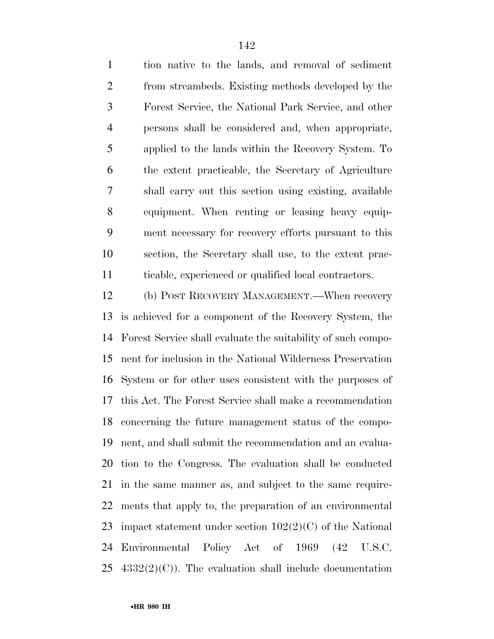tion native to the lands, and removal of sediment from streambeds. Existing methods developed by the Forest Service, the National Park Service, and other persons shall be considered and, when appropriate, applied to the lands within the Recovery System. To the extent practicable, the Secretary of Agriculture shall carry out this section using existing, available equipment. When renting or leasing heavy equip- ment necessary for recovery efforts pursuant to this section, the Secretary shall use, to the extent prac-ticable, experienced or qualified local contractors.

 (b) POST RECOVERY MANAGEMENT.—When recovery is achieved for a component of the Recovery System, the Forest Service shall evaluate the suitability of such compo- nent for inclusion in the National Wilderness Preservation System or for other uses consistent with the purposes of this Act. The Forest Service shall make a recommendation concerning the future management status of the compo- nent, and shall submit the recommendation and an evalua- tion to the Congress. The evaluation shall be conducted in the same manner as, and subject to the same require- ments that apply to, the preparation of an environmental impact statement under section 102(2)(C) of the National Environmental Policy Act of 1969 (42 U.S.C.  $4332(2)(C)$ . The evaluation shall include documentation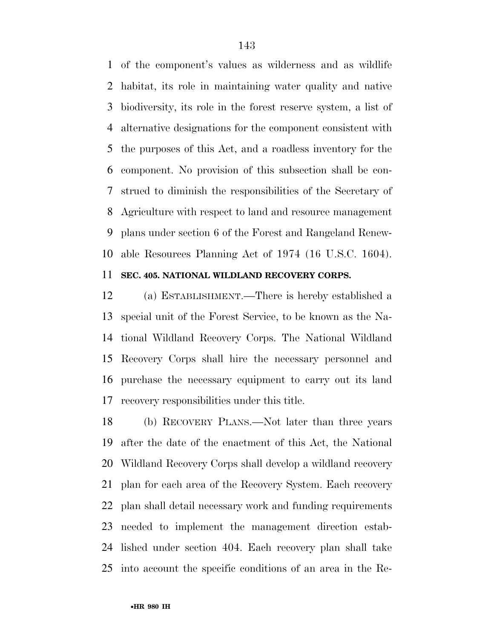of the component's values as wilderness and as wildlife habitat, its role in maintaining water quality and native biodiversity, its role in the forest reserve system, a list of alternative designations for the component consistent with the purposes of this Act, and a roadless inventory for the component. No provision of this subsection shall be con- strued to diminish the responsibilities of the Secretary of Agriculture with respect to land and resource management plans under section 6 of the Forest and Rangeland Renew-able Resources Planning Act of 1974 (16 U.S.C. 1604).

### **SEC. 405. NATIONAL WILDLAND RECOVERY CORPS.**

 (a) ESTABLISHMENT.—There is hereby established a special unit of the Forest Service, to be known as the Na- tional Wildland Recovery Corps. The National Wildland Recovery Corps shall hire the necessary personnel and purchase the necessary equipment to carry out its land recovery responsibilities under this title.

 (b) RECOVERY PLANS.—Not later than three years after the date of the enactment of this Act, the National Wildland Recovery Corps shall develop a wildland recovery plan for each area of the Recovery System. Each recovery plan shall detail necessary work and funding requirements needed to implement the management direction estab- lished under section 404. Each recovery plan shall take into account the specific conditions of an area in the Re-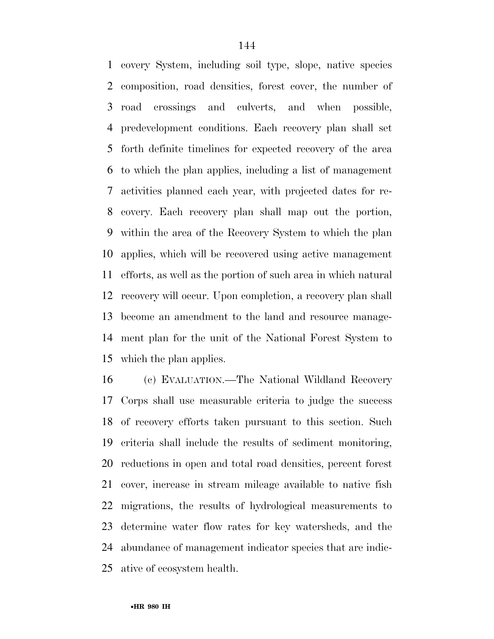covery System, including soil type, slope, native species composition, road densities, forest cover, the number of road crossings and culverts, and when possible, predevelopment conditions. Each recovery plan shall set forth definite timelines for expected recovery of the area to which the plan applies, including a list of management activities planned each year, with projected dates for re- covery. Each recovery plan shall map out the portion, within the area of the Recovery System to which the plan applies, which will be recovered using active management efforts, as well as the portion of such area in which natural recovery will occur. Upon completion, a recovery plan shall become an amendment to the land and resource manage- ment plan for the unit of the National Forest System to which the plan applies.

 (c) EVALUATION.—The National Wildland Recovery Corps shall use measurable criteria to judge the success of recovery efforts taken pursuant to this section. Such criteria shall include the results of sediment monitoring, reductions in open and total road densities, percent forest cover, increase in stream mileage available to native fish migrations, the results of hydrological measurements to determine water flow rates for key watersheds, and the abundance of management indicator species that are indic-ative of ecosystem health.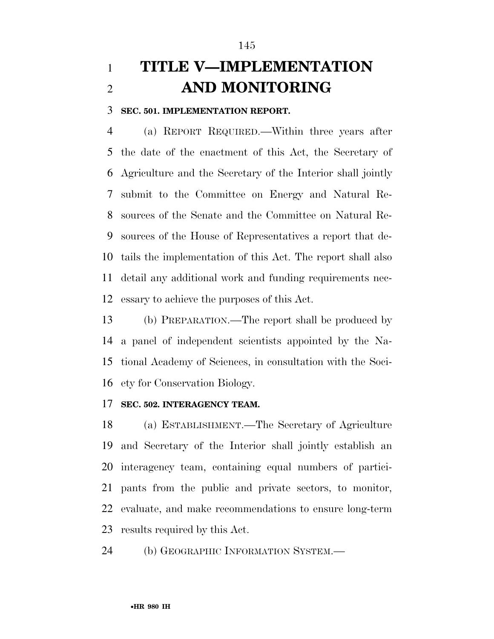## **TITLE V—IMPLEMENTATION AND MONITORING**

**SEC. 501. IMPLEMENTATION REPORT.** 

 (a) REPORT REQUIRED.—Within three years after the date of the enactment of this Act, the Secretary of Agriculture and the Secretary of the Interior shall jointly submit to the Committee on Energy and Natural Re- sources of the Senate and the Committee on Natural Re- sources of the House of Representatives a report that de- tails the implementation of this Act. The report shall also detail any additional work and funding requirements nec-essary to achieve the purposes of this Act.

 (b) PREPARATION.—The report shall be produced by a panel of independent scientists appointed by the Na- tional Academy of Sciences, in consultation with the Soci-ety for Conservation Biology.

#### **SEC. 502. INTERAGENCY TEAM.**

 (a) ESTABLISHMENT.—The Secretary of Agriculture and Secretary of the Interior shall jointly establish an interagency team, containing equal numbers of partici- pants from the public and private sectors, to monitor, evaluate, and make recommendations to ensure long-term results required by this Act.

24 (b) GEOGRAPHIC INFORMATION SYSTEM.—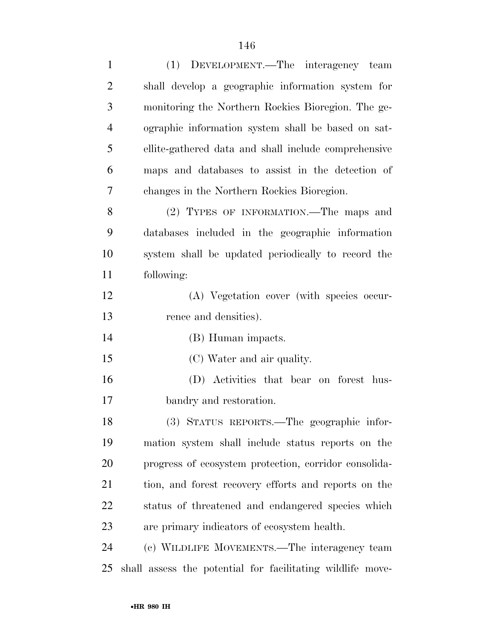| $\mathbf{1}$   | (1) DEVELOPMENT.—The interagency team                 |
|----------------|-------------------------------------------------------|
| $\overline{2}$ | shall develop a geographic information system for     |
| 3              | monitoring the Northern Rockies Bioregion. The ge-    |
| $\overline{4}$ | ographic information system shall be based on sat-    |
| 5              | ellite-gathered data and shall include comprehensive  |
| 6              | maps and databases to assist in the detection of      |
| 7              | changes in the Northern Rockies Bioregion.            |
| 8              | (2) TYPES OF INFORMATION.—The maps and                |
| 9              | databases included in the geographic information      |
| 10             | system shall be updated periodically to record the    |
| 11             | following:                                            |
| 12             | (A) Vegetation cover (with species occur-             |
| 13             | rence and densities).                                 |
| 14             | (B) Human impacts.                                    |
| 15             | (C) Water and air quality.                            |
| 16             | (D) Activities that bear on forest hus-               |
| 17             | bandry and restoration.                               |
| 18             | (3) STATUS REPORTS.—The geographic infor-             |
| 19             | mation system shall include status reports on the     |
| 20             | progress of ecosystem protection, corridor consolida- |
| 21             | tion, and forest recovery efforts and reports on the  |
| 22             | status of threatened and endangered species which     |
| 23             | are primary indicators of ecosystem health.           |
| 24             | (c) WILDLIFE MOVEMENTS.—The interagency team          |
|                |                                                       |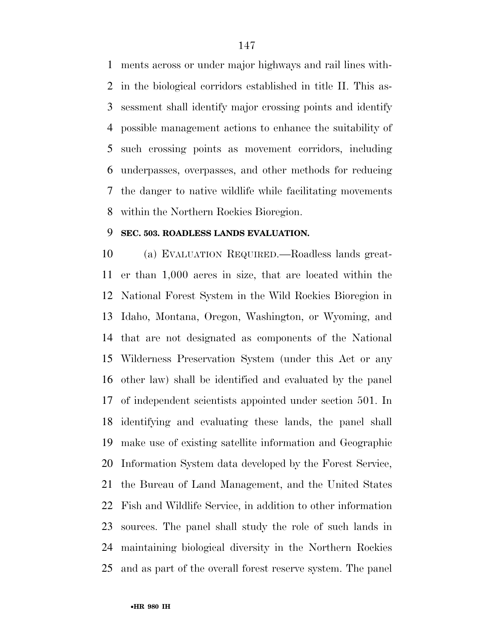ments across or under major highways and rail lines with- in the biological corridors established in title II. This as- sessment shall identify major crossing points and identify possible management actions to enhance the suitability of such crossing points as movement corridors, including underpasses, overpasses, and other methods for reducing the danger to native wildlife while facilitating movements within the Northern Rockies Bioregion.

#### **SEC. 503. ROADLESS LANDS EVALUATION.**

 (a) EVALUATION REQUIRED.—Roadless lands great- er than 1,000 acres in size, that are located within the National Forest System in the Wild Rockies Bioregion in Idaho, Montana, Oregon, Washington, or Wyoming, and that are not designated as components of the National Wilderness Preservation System (under this Act or any other law) shall be identified and evaluated by the panel of independent scientists appointed under section 501. In identifying and evaluating these lands, the panel shall make use of existing satellite information and Geographic Information System data developed by the Forest Service, the Bureau of Land Management, and the United States Fish and Wildlife Service, in addition to other information sources. The panel shall study the role of such lands in maintaining biological diversity in the Northern Rockies and as part of the overall forest reserve system. The panel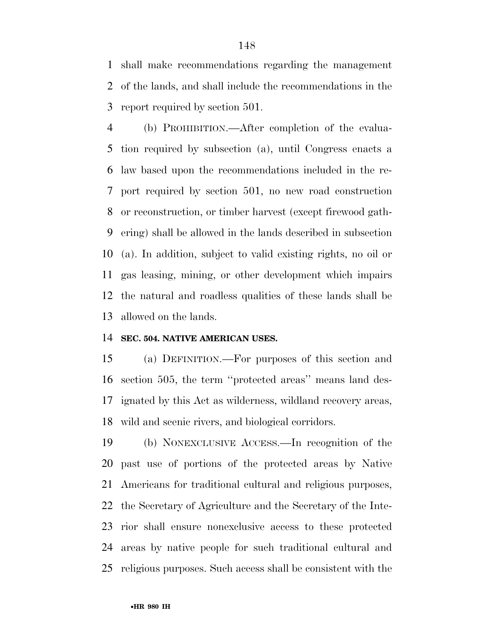shall make recommendations regarding the management of the lands, and shall include the recommendations in the report required by section 501.

 (b) PROHIBITION.—After completion of the evalua- tion required by subsection (a), until Congress enacts a law based upon the recommendations included in the re- port required by section 501, no new road construction or reconstruction, or timber harvest (except firewood gath- ering) shall be allowed in the lands described in subsection (a). In addition, subject to valid existing rights, no oil or gas leasing, mining, or other development which impairs the natural and roadless qualities of these lands shall be allowed on the lands.

#### **SEC. 504. NATIVE AMERICAN USES.**

 (a) DEFINITION.—For purposes of this section and section 505, the term ''protected areas'' means land des- ignated by this Act as wilderness, wildland recovery areas, wild and scenic rivers, and biological corridors.

 (b) NONEXCLUSIVE ACCESS.—In recognition of the past use of portions of the protected areas by Native Americans for traditional cultural and religious purposes, the Secretary of Agriculture and the Secretary of the Inte- rior shall ensure nonexclusive access to these protected areas by native people for such traditional cultural and religious purposes. Such access shall be consistent with the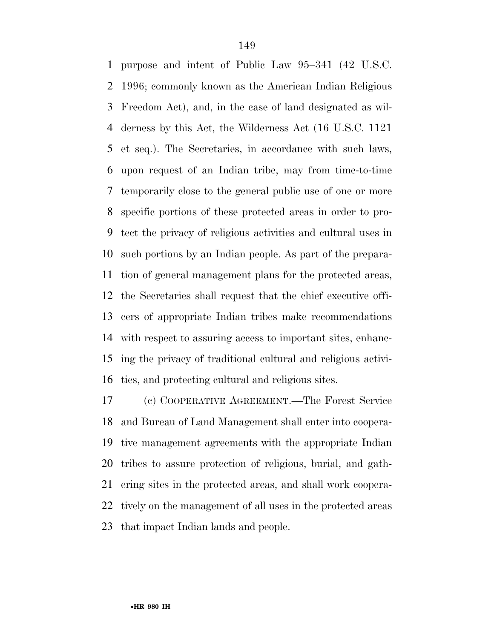purpose and intent of Public Law 95–341 (42 U.S.C. 1996; commonly known as the American Indian Religious Freedom Act), and, in the case of land designated as wil- derness by this Act, the Wilderness Act (16 U.S.C. 1121 et seq.). The Secretaries, in accordance with such laws, upon request of an Indian tribe, may from time-to-time temporarily close to the general public use of one or more specific portions of these protected areas in order to pro- tect the privacy of religious activities and cultural uses in such portions by an Indian people. As part of the prepara- tion of general management plans for the protected areas, the Secretaries shall request that the chief executive offi- cers of appropriate Indian tribes make recommendations with respect to assuring access to important sites, enhanc- ing the privacy of traditional cultural and religious activi-ties, and protecting cultural and religious sites.

 (c) COOPERATIVE AGREEMENT.—The Forest Service and Bureau of Land Management shall enter into coopera- tive management agreements with the appropriate Indian tribes to assure protection of religious, burial, and gath- ering sites in the protected areas, and shall work coopera- tively on the management of all uses in the protected areas that impact Indian lands and people.